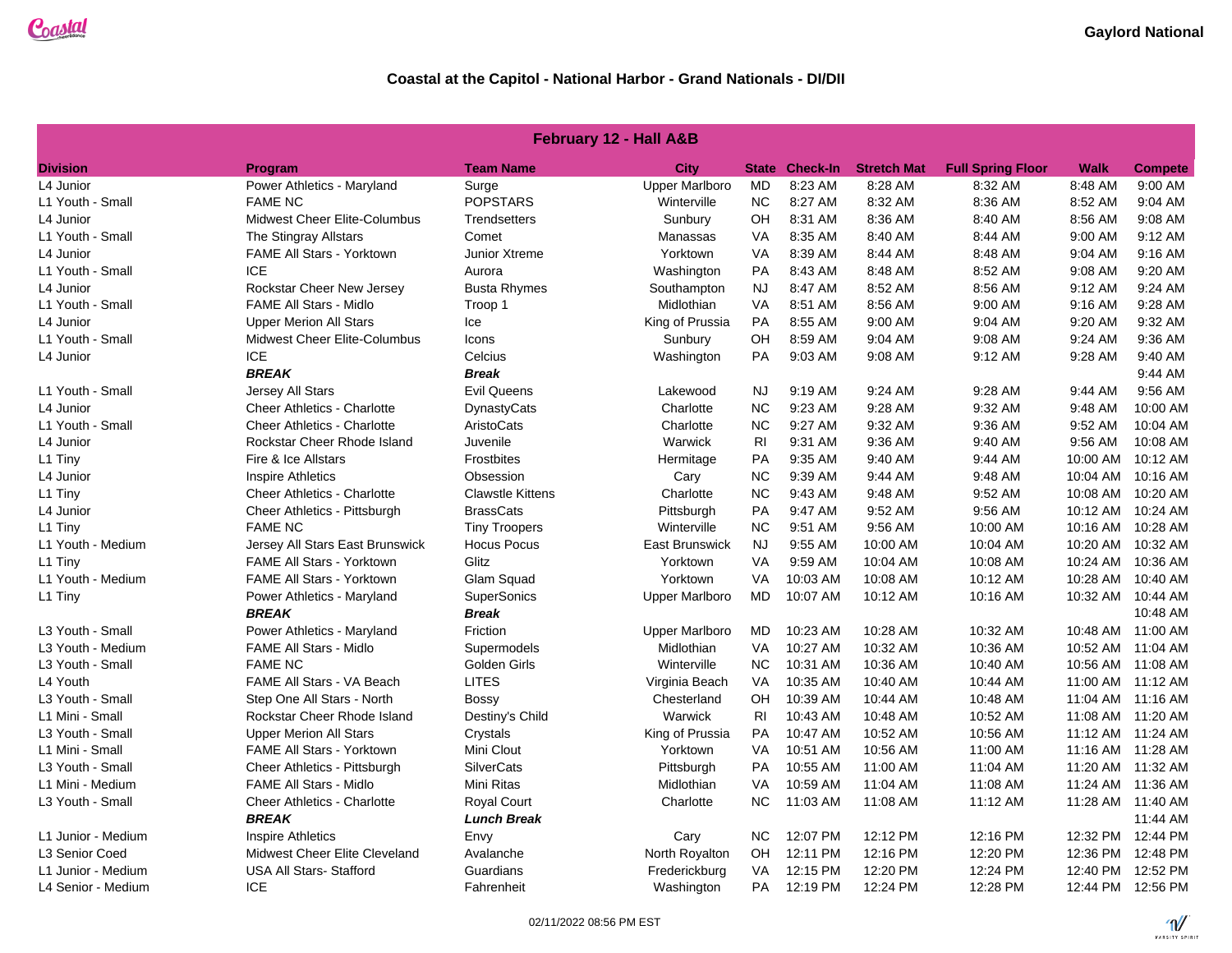| <b>February 12 - Hall A&amp;B</b> |                                     |                         |                       |                |                       |                    |                          |             |                    |  |
|-----------------------------------|-------------------------------------|-------------------------|-----------------------|----------------|-----------------------|--------------------|--------------------------|-------------|--------------------|--|
| <b>Division</b>                   | <b>Program</b>                      | <b>Team Name</b>        | <b>City</b>           |                | <b>State Check-In</b> | <b>Stretch Mat</b> | <b>Full Spring Floor</b> | <b>Walk</b> | <b>Compete</b>     |  |
| L4 Junior                         | Power Athletics - Maryland          | Surge                   | <b>Upper Marlboro</b> | <b>MD</b>      | 8:23 AM               | 8:28 AM            | 8:32 AM                  | 8:48 AM     | 9:00 AM            |  |
| L1 Youth - Small                  | <b>FAME NC</b>                      | <b>POPSTARS</b>         | Winterville           | <b>NC</b>      | 8:27 AM               | 8:32 AM            | 8:36 AM                  | 8:52 AM     | 9:04 AM            |  |
| L4 Junior                         | <b>Midwest Cheer Elite-Columbus</b> | Trendsetters            | Sunbury               | OH             | 8:31 AM               | 8:36 AM            | 8:40 AM                  | 8:56 AM     | 9:08 AM            |  |
| L1 Youth - Small                  | The Stingray Allstars               | Comet                   | Manassas              | VA             | 8:35 AM               | 8:40 AM            | 8:44 AM                  | 9:00 AM     | 9:12 AM            |  |
| L4 Junior                         | FAME All Stars - Yorktown           | Junior Xtreme           | Yorktown              | VA             | 8:39 AM               | 8:44 AM            | 8:48 AM                  | 9:04 AM     | 9:16 AM            |  |
| L1 Youth - Small                  | <b>ICE</b>                          | Aurora                  | Washington            | PA             | 8:43 AM               | 8:48 AM            | 8:52 AM                  | 9:08 AM     | 9:20 AM            |  |
| L4 Junior                         | Rockstar Cheer New Jersey           | <b>Busta Rhymes</b>     | Southampton           | <b>NJ</b>      | 8:47 AM               | 8:52 AM            | 8:56 AM                  | 9:12 AM     | 9:24 AM            |  |
| L1 Youth - Small                  | <b>FAME All Stars - Midlo</b>       | Troop 1                 | Midlothian            | VA             | 8:51 AM               | 8:56 AM            | 9:00 AM                  | 9:16 AM     | 9:28 AM            |  |
| L4 Junior                         | <b>Upper Merion All Stars</b>       | Ice                     | King of Prussia       | <b>PA</b>      | 8:55 AM               | 9:00 AM            | 9:04 AM                  | 9:20 AM     | 9:32 AM            |  |
| L1 Youth - Small                  | Midwest Cheer Elite-Columbus        | Icons                   | Sunbury               | OH             | 8:59 AM               | 9:04 AM            | 9:08 AM                  | 9:24 AM     | 9:36 AM            |  |
| L4 Junior                         | <b>ICE</b>                          | Celcius                 | Washington            | <b>PA</b>      | 9:03 AM               | 9:08 AM            | 9:12 AM                  | 9:28 AM     | 9:40 AM            |  |
|                                   | <b>BREAK</b>                        | <b>Break</b>            |                       |                |                       |                    |                          |             | 9:44 AM            |  |
| L1 Youth - Small                  | <b>Jersey All Stars</b>             | <b>Evil Queens</b>      | Lakewood              | <b>NJ</b>      | 9:19 AM               | $9:24$ AM          | 9:28 AM                  | 9:44 AM     | $9:56$ AM          |  |
| L4 Junior                         | <b>Cheer Athletics - Charlotte</b>  | <b>DynastyCats</b>      | Charlotte             | <b>NC</b>      | 9:23 AM               | 9:28 AM            | 9:32 AM                  | 9:48 AM     | 10:00 AM           |  |
| L1 Youth - Small                  | <b>Cheer Athletics - Charlotte</b>  | AristoCats              | Charlotte             | <b>NC</b>      | 9:27 AM               | 9:32 AM            | 9:36 AM                  | 9:52 AM     | 10:04 AM           |  |
| L4 Junior                         | Rockstar Cheer Rhode Island         | Juvenile                | Warwick               | R <sub>1</sub> | 9:31 AM               | 9:36 AM            | 9:40 AM                  | 9:56 AM     | 10:08 AM           |  |
| L1 Tiny                           | Fire & Ice Allstars                 | <b>Frostbites</b>       | Hermitage             | PA             | 9:35 AM               | 9:40 AM            | 9:44 AM                  | 10:00 AM    | 10:12 AM           |  |
| L4 Junior                         | <b>Inspire Athletics</b>            | Obsession               | Cary                  | <b>NC</b>      | 9:39 AM               | 9:44 AM            | 9:48 AM                  | 10:04 AM    | 10:16 AM           |  |
| L1 Tiny                           | <b>Cheer Athletics - Charlotte</b>  | <b>Clawstle Kittens</b> | Charlotte             | <b>NC</b>      | 9:43 AM               | 9:48 AM            | 9:52 AM                  | 10:08 AM    | 10:20 AM           |  |
| L4 Junior                         | Cheer Athletics - Pittsburgh        | <b>BrassCats</b>        | Pittsburgh            | <b>PA</b>      | 9:47 AM               | 9:52 AM            | 9:56 AM                  | 10:12 AM    | 10:24 AM           |  |
| L1 Tiny                           | <b>FAME NC</b>                      | <b>Tiny Troopers</b>    | Winterville           | <b>NC</b>      | 9:51 AM               | 9:56 AM            | 10:00 AM                 | 10:16 AM    | 10:28 AM           |  |
| L1 Youth - Medium                 | Jersey All Stars East Brunswick     | <b>Hocus Pocus</b>      | <b>East Brunswick</b> | NJ.            | 9:55 AM               | 10:00 AM           | 10:04 AM                 |             | 10:20 AM 10:32 AM  |  |
| $L1$ Tiny                         | <b>FAME All Stars - Yorktown</b>    | Glitz                   | Yorktown              | <b>VA</b>      | 9:59 AM               | 10:04 AM           | 10:08 AM                 | 10:24 AM    | 10:36 AM           |  |
| L1 Youth - Medium                 | <b>FAME All Stars - Yorktown</b>    | Glam Squad              | Yorktown              | VA             | 10:03 AM              | 10:08 AM           | 10:12 AM                 | 10:28 AM    | 10:40 AM           |  |
| L1 Tiny                           | Power Athletics - Maryland          | SuperSonics             | <b>Upper Marlboro</b> | MD             | 10:07 AM              | 10:12 AM           | 10:16 AM                 |             | 10:32 AM 10:44 AM  |  |
|                                   | <b>BREAK</b>                        | <b>Break</b>            |                       |                |                       |                    |                          |             | 10:48 AM           |  |
| L3 Youth - Small                  | Power Athletics - Maryland          | Friction                | <b>Upper Marlboro</b> | <b>MD</b>      | 10:23 AM              | 10:28 AM           | 10:32 AM                 |             | 10:48 AM 11:00 AM  |  |
| L3 Youth - Medium                 | <b>FAME All Stars - Midlo</b>       | Supermodels             | Midlothian            | VA             | 10:27 AM              | 10:32 AM           | 10:36 AM                 |             | 10:52 AM 11:04 AM  |  |
| L3 Youth - Small                  | <b>FAME NC</b>                      | Golden Girls            | Winterville           | <b>NC</b>      | 10:31 AM              | 10:36 AM           | 10:40 AM                 | 10:56 AM    | 11:08 AM           |  |
| L4 Youth                          | <b>FAME All Stars - VA Beach</b>    | <b>LITES</b>            | Virginia Beach        | <b>VA</b>      | 10:35 AM              | 10:40 AM           | 10:44 AM                 |             | 11:00 AM 11:12 AM  |  |
| L3 Youth - Small                  | Step One All Stars - North          | <b>Bossy</b>            | Chesterland           | OH.            | 10:39 AM              | 10:44 AM           | 10:48 AM                 |             | 11:04 AM  11:16 AM |  |
| L1 Mini - Small                   | Rockstar Cheer Rhode Island         | Destiny's Child         | Warwick               | R <sub>l</sub> | 10:43 AM              | 10:48 AM           | 10:52 AM                 |             | 11:08 AM 11:20 AM  |  |
| L3 Youth - Small                  | <b>Upper Merion All Stars</b>       | Crystals                | King of Prussia       | PA             | 10:47 AM              | 10:52 AM           | 10:56 AM                 |             | 11:12 AM 11:24 AM  |  |
| L1 Mini - Small                   | <b>FAME All Stars - Yorktown</b>    | Mini Clout              | Yorktown              | <b>VA</b>      | 10:51 AM              | 10:56 AM           | 11:00 AM                 |             | 11:16 AM 11:28 AM  |  |
| L3 Youth - Small                  | Cheer Athletics - Pittsburgh        | <b>SilverCats</b>       | Pittsburgh            | <b>PA</b>      | 10:55 AM              | 11:00 AM           | 11:04 AM                 |             | 11:20 AM 11:32 AM  |  |
| L1 Mini - Medium                  | <b>FAME All Stars - Midlo</b>       | Mini Ritas              | Midlothian            | VA             | 10:59 AM              | 11:04 AM           | 11:08 AM                 |             | 11:24 AM 11:36 AM  |  |
| L3 Youth - Small                  | <b>Cheer Athletics - Charlotte</b>  | <b>Royal Court</b>      | Charlotte             | <b>NC</b>      | 11:03 AM              | 11:08 AM           | 11:12 AM                 |             | 11:28 AM 11:40 AM  |  |
|                                   | <b>BREAK</b>                        | <b>Lunch Break</b>      |                       |                |                       |                    |                          |             | 11:44 AM           |  |
| L1 Junior - Medium                | <b>Inspire Athletics</b>            | Envy                    | Cary                  | <b>NC</b>      | 12:07 PM              | 12:12 PM           | 12:16 PM                 | 12:32 PM    | 12:44 PM           |  |
| L3 Senior Coed                    | Midwest Cheer Elite Cleveland       | Avalanche               | North Royalton        | <b>OH</b>      | 12:11 PM              | 12:16 PM           | 12:20 PM                 | 12:36 PM    | 12:48 PM           |  |
| L1 Junior - Medium                | <b>USA All Stars-Stafford</b>       | Guardians               | Frederickburg         | VA             | 12:15 PM              | 12:20 PM           | 12:24 PM                 | 12:40 PM    | 12:52 PM           |  |
| L4 Senior - Medium                | <b>ICE</b>                          | Fahrenheit              | Washington            | <b>PA</b>      | 12:19 PM              | 12:24 PM           | 12:28 PM                 |             | 12:44 PM 12:56 PM  |  |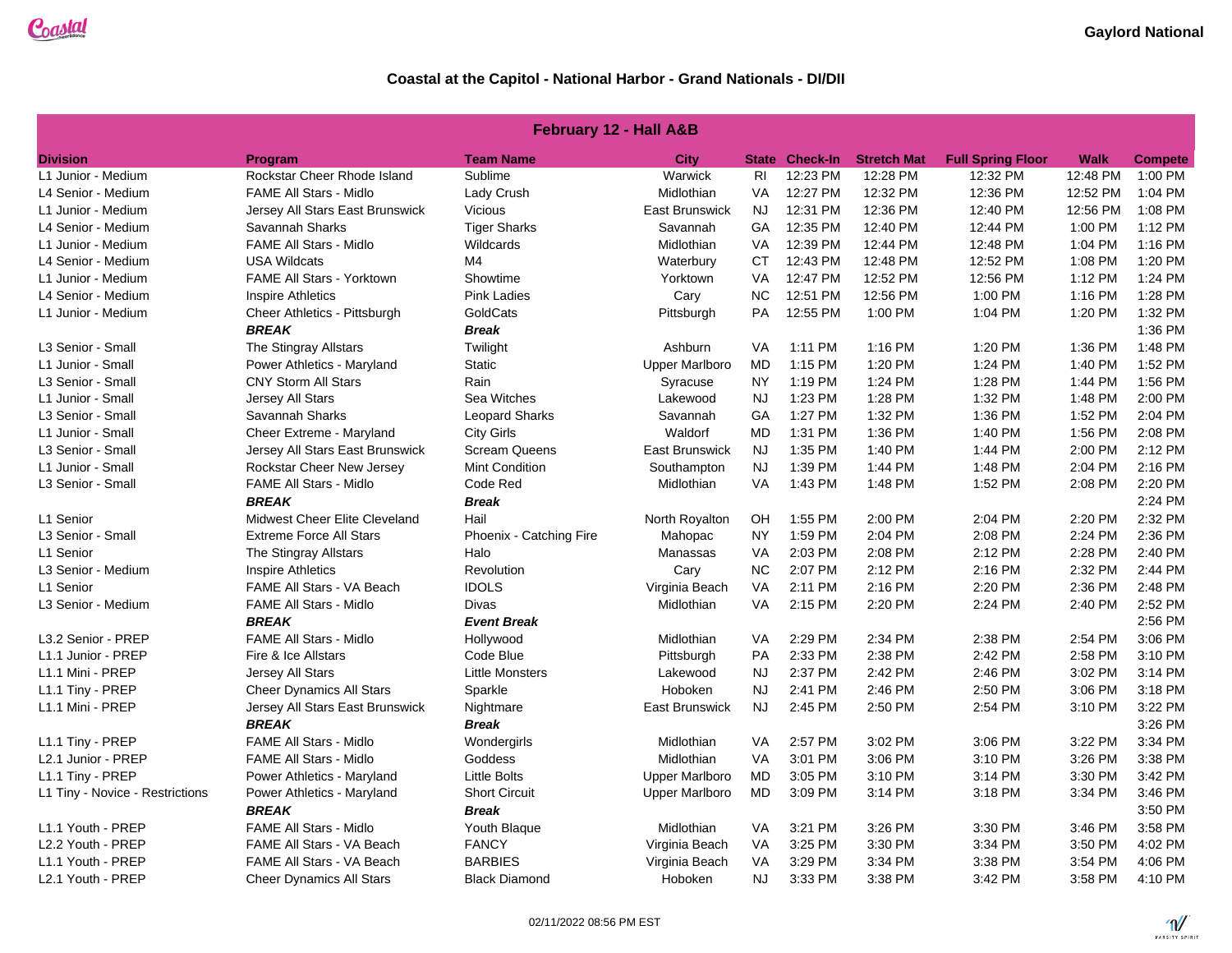| <b>February 12 - Hall A&amp;B</b> |                                  |                         |                       |                |                       |                    |                          |          |                |  |
|-----------------------------------|----------------------------------|-------------------------|-----------------------|----------------|-----------------------|--------------------|--------------------------|----------|----------------|--|
| <b>Division</b>                   | Program                          | <b>Team Name</b>        | City                  |                | <b>State Check-In</b> | <b>Stretch Mat</b> | <b>Full Spring Floor</b> | Walk     | <b>Compete</b> |  |
| L1 Junior - Medium                | Rockstar Cheer Rhode Island      | Sublime                 | Warwick               | R <sub>l</sub> | 12:23 PM              | 12:28 PM           | 12:32 PM                 | 12:48 PM | 1:00 PM        |  |
| L4 Senior - Medium                | <b>FAME All Stars - Midlo</b>    | Lady Crush              | Midlothian            | VA             | 12:27 PM              | 12:32 PM           | 12:36 PM                 | 12:52 PM | 1:04 PM        |  |
| L1 Junior - Medium                | Jersey All Stars East Brunswick  | Vicious                 | East Brunswick        | <b>NJ</b>      | 12:31 PM              | 12:36 PM           | 12:40 PM                 | 12:56 PM | 1:08 PM        |  |
| L4 Senior - Medium                | Savannah Sharks                  | <b>Tiger Sharks</b>     | Savannah              | <b>GA</b>      | 12:35 PM              | 12:40 PM           | 12:44 PM                 | 1:00 PM  | 1:12 PM        |  |
| L1 Junior - Medium                | <b>FAME All Stars - Midlo</b>    | Wildcards               | Midlothian            | VA             | 12:39 PM              | 12:44 PM           | 12:48 PM                 | 1:04 PM  | 1:16 PM        |  |
| L4 Senior - Medium                | <b>USA Wildcats</b>              | M4                      | Waterbury             | <b>CT</b>      | 12:43 PM              | 12:48 PM           | 12:52 PM                 | 1:08 PM  | 1:20 PM        |  |
| L1 Junior - Medium                | FAME All Stars - Yorktown        | Showtime                | Yorktown              | VA             | 12:47 PM              | 12:52 PM           | 12:56 PM                 | 1:12 PM  | 1:24 PM        |  |
| L4 Senior - Medium                | <b>Inspire Athletics</b>         | <b>Pink Ladies</b>      | Cary                  | <b>NC</b>      | 12:51 PM              | 12:56 PM           | 1:00 PM                  | 1:16 PM  | 1:28 PM        |  |
| L1 Junior - Medium                | Cheer Athletics - Pittsburgh     | GoldCats                | Pittsburgh            | <b>PA</b>      | 12:55 PM              | 1:00 PM            | 1:04 PM                  | 1:20 PM  | 1:32 PM        |  |
|                                   | <b>BREAK</b>                     | <b>Break</b>            |                       |                |                       |                    |                          |          | 1:36 PM        |  |
| ∟3 Senior - Small                 | The Stingray Allstars            | Twilight                | Ashburn               | VA             | 1:11 PM               | 1:16 PM            | 1:20 PM                  | 1:36 PM  | 1:48 PM        |  |
| L1 Junior - Small                 | Power Athletics - Maryland       | <b>Static</b>           | <b>Upper Marlboro</b> | MD             | 1:15 PM               | 1:20 PM            | 1:24 PM                  | 1:40 PM  | 1:52 PM        |  |
| L3 Senior - Small                 | <b>CNY Storm All Stars</b>       | Rain                    | Syracuse              | <b>NY</b>      | 1:19 PM               | 1:24 PM            | 1:28 PM                  | 1:44 PM  | 1:56 PM        |  |
| L1 Junior - Small                 | Jersey All Stars                 | Sea Witches             | Lakewood              | <b>NJ</b>      | 1:23 PM               | 1:28 PM            | 1:32 PM                  | 1:48 PM  | 2:00 PM        |  |
| L3 Senior - Small                 | Savannah Sharks                  | Leopard Sharks          | Savannah              | GA             | 1:27 PM               | 1:32 PM            | 1:36 PM                  | 1:52 PM  | 2:04 PM        |  |
| L1 Junior - Small                 | Cheer Extreme - Maryland         | <b>City Girls</b>       | Waldorf               | <b>MD</b>      | 1:31 PM               | 1:36 PM            | 1:40 PM                  | 1:56 PM  | 2:08 PM        |  |
| L3 Senior - Small                 | Jersey All Stars East Brunswick  | <b>Scream Queens</b>    | <b>East Brunswick</b> | <b>NJ</b>      | 1:35 PM               | 1:40 PM            | 1:44 PM                  | 2:00 PM  | 2:12 PM        |  |
| L1 Junior - Small                 | Rockstar Cheer New Jersey        | Mint Condition          | Southampton           | <b>NJ</b>      | 1:39 PM               | 1:44 PM            | 1:48 PM                  | 2:04 PM  | 2:16 PM        |  |
| L3 Senior - Small                 | FAME All Stars - Midlo           | Code Red                | Midlothian            | VA             | 1:43 PM               | 1:48 PM            | 1:52 PM                  | 2:08 PM  | 2:20 PM        |  |
|                                   | <b>BREAK</b>                     | <b>Break</b>            |                       |                |                       |                    |                          |          | 2:24 PM        |  |
| L1 Senior                         | Midwest Cheer Elite Cleveland    | Hail                    | North Royalton        | OH             | 1:55 PM               | 2:00 PM            | 2:04 PM                  | 2:20 PM  | 2:32 PM        |  |
| L3 Senior - Small                 | <b>Extreme Force All Stars</b>   | Phoenix - Catching Fire | Mahopac               | NY             | 1:59 PM               | 2:04 PM            | 2:08 PM                  | 2:24 PM  | 2:36 PM        |  |
| L1 Senior                         | The Stingray Allstars            | Halo                    | Manassas              | VA             | 2:03 PM               | 2:08 PM            | 2:12 PM                  | 2:28 PM  | 2:40 PM        |  |
| L3 Senior - Medium                | <b>Inspire Athletics</b>         | Revolution              | Cary                  | <b>NC</b>      | 2:07 PM               | 2:12 PM            | 2:16 PM                  | 2:32 PM  | 2:44 PM        |  |
| L1 Senior                         | FAME All Stars - VA Beach        | <b>IDOLS</b>            | Virginia Beach        | VA             | 2:11 PM               | 2:16 PM            | 2:20 PM                  | 2:36 PM  | 2:48 PM        |  |
| L3 Senior - Medium                | <b>FAME All Stars - Midlo</b>    | Divas                   | Midlothian            | VA             | 2:15 PM               | 2:20 PM            | 2:24 PM                  | 2:40 PM  | 2:52 PM        |  |
|                                   | <b>BREAK</b>                     | <b>Event Break</b>      |                       |                |                       |                    |                          |          | 2:56 PM        |  |
| L3.2 Senior - PREP                | <b>FAME All Stars - Midlo</b>    | Hollywood               | Midlothian            | <b>VA</b>      | 2:29 PM               | 2:34 PM            | 2:38 PM                  | 2:54 PM  | 3:06 PM        |  |
| L1.1 Junior - PREP                | Fire & Ice Allstars              | Code Blue               | Pittsburgh            | <b>PA</b>      | 2:33 PM               | 2:38 PM            | 2:42 PM                  | 2:58 PM  | 3:10 PM        |  |
| L1.1 Mini - PREP                  | Jersey All Stars                 | <b>Little Monsters</b>  | Lakewood              | <b>NJ</b>      | 2:37 PM               | 2:42 PM            | 2:46 PM                  | 3:02 PM  | 3:14 PM        |  |
| L1.1 Tiny - PREP                  | <b>Cheer Dynamics All Stars</b>  | Sparkle                 | Hoboken               | <b>NJ</b>      | 2:41 PM               | 2:46 PM            | 2:50 PM                  | 3:06 PM  | 3:18 PM        |  |
| L1.1 Mini - PREP                  | Jersey All Stars East Brunswick  | Nightmare               | East Brunswick        | <b>NJ</b>      | 2:45 PM               | 2:50 PM            | 2:54 PM                  | 3:10 PM  | 3:22 PM        |  |
|                                   | <b>BREAK</b>                     | <b>Break</b>            |                       |                |                       |                    |                          |          | 3:26 PM        |  |
| L1.1 Tiny - PREP                  | <b>FAME All Stars - Midlo</b>    | Wondergirls             | Midlothian            | VA             | 2:57 PM               | 3:02 PM            | 3:06 PM                  | 3:22 PM  | 3:34 PM        |  |
| L2.1 Junior - PREP                | <b>FAME All Stars - Midlo</b>    | Goddess                 | Midlothian            | VA             | 3:01 PM               | 3:06 PM            | 3:10 PM                  | 3:26 PM  | 3:38 PM        |  |
| L1.1 Tiny - PREP                  | Power Athletics - Maryland       | <b>Little Bolts</b>     | <b>Upper Marlboro</b> | MD             | 3:05 PM               | 3:10 PM            | 3:14 PM                  | 3:30 PM  | 3:42 PM        |  |
| L1 Tiny - Novice - Restrictions   | Power Athletics - Maryland       | <b>Short Circuit</b>    | <b>Upper Marlboro</b> | <b>MD</b>      | 3:09 PM               | 3:14 PM            | 3:18 PM                  | 3:34 PM  | 3:46 PM        |  |
|                                   | <b>BREAK</b>                     | <b>Break</b>            |                       |                |                       |                    |                          |          | 3:50 PM        |  |
| L1.1 Youth - PREP                 | <b>FAME All Stars - Midlo</b>    | Youth Blaque            | Midlothian            | VA             | 3:21 PM               | 3:26 PM            | 3:30 PM                  | 3:46 PM  | 3:58 PM        |  |
| L2.2 Youth - PREP                 | FAME All Stars - VA Beach        | <b>FANCY</b>            | Virginia Beach        | VA             | 3:25 PM               | 3:30 PM            | 3:34 PM                  | 3:50 PM  | 4:02 PM        |  |
| L1.1 Youth - PREP                 | <b>FAME All Stars - VA Beach</b> | <b>BARBIES</b>          | Virginia Beach        | VA             | 3:29 PM               | 3:34 PM            | 3:38 PM                  | 3:54 PM  | 4:06 PM        |  |
| L2.1 Youth - PREP                 | <b>Cheer Dynamics All Stars</b>  | <b>Black Diamond</b>    | Hoboken               | <b>NJ</b>      | 3:33 PM               | 3:38 PM            | 3:42 PM                  | 3:58 PM  | 4:10 PM        |  |
|                                   |                                  |                         |                       |                |                       |                    |                          |          |                |  |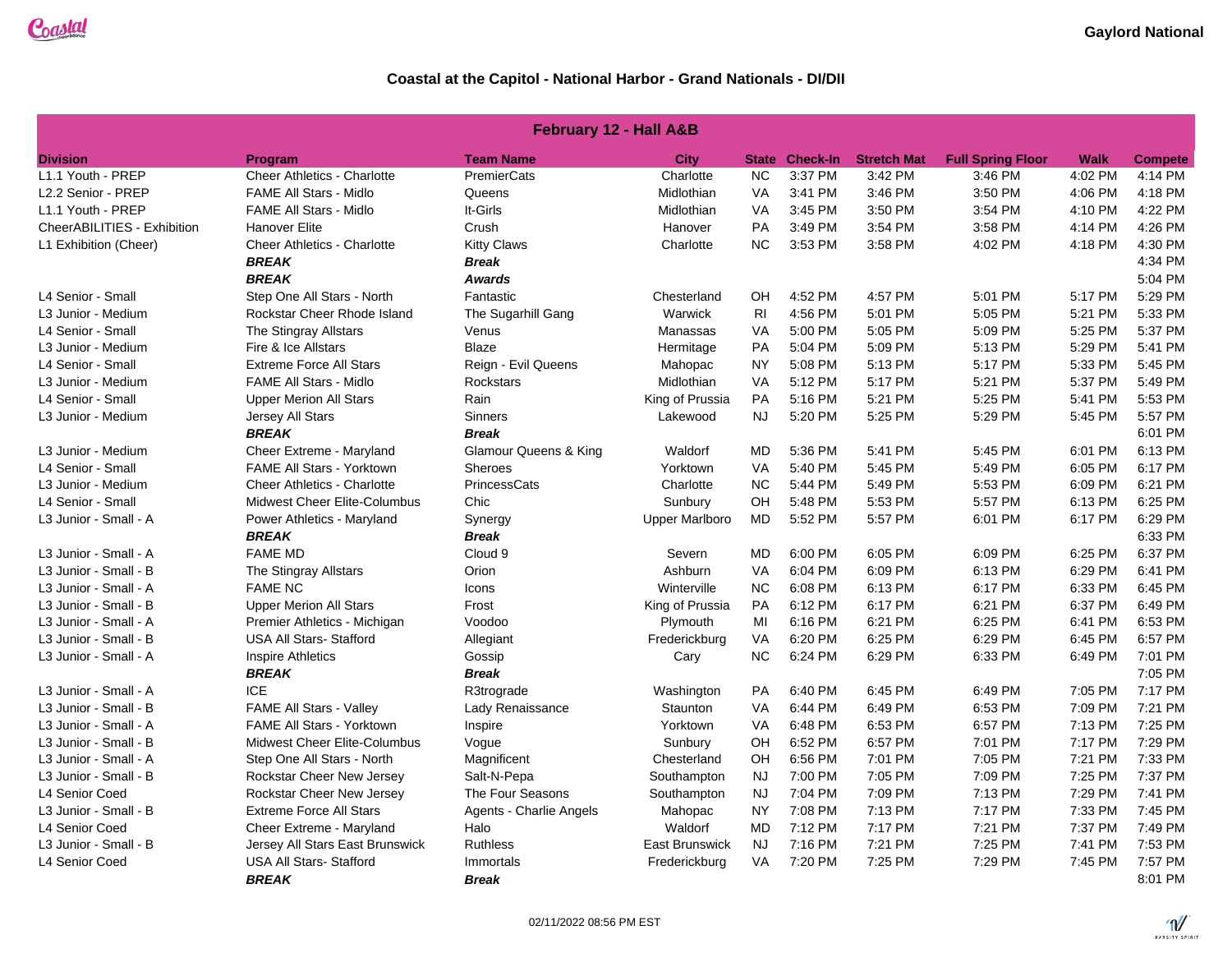| <b>February 12 - Hall A&amp;B</b> |                                    |                         |                       |                |                       |                    |                          |             |                |  |  |
|-----------------------------------|------------------------------------|-------------------------|-----------------------|----------------|-----------------------|--------------------|--------------------------|-------------|----------------|--|--|
| <b>Division</b>                   | Program                            | <b>Team Name</b>        | City                  |                | <b>State Check-In</b> | <b>Stretch Mat</b> | <b>Full Spring Floor</b> | <b>Walk</b> | <b>Compete</b> |  |  |
| L1.1 Youth - PREP                 | <b>Cheer Athletics - Charlotte</b> | PremierCats             | Charlotte             | <b>NC</b>      | 3:37 PM               | 3:42 PM            | 3:46 PM                  | 4:02 PM     | 4:14 PM        |  |  |
| L2.2 Senior - PREP                | <b>FAME All Stars - Midlo</b>      | Queens                  | Midlothian            | VA             | 3:41 PM               | 3:46 PM            | 3:50 PM                  | 4:06 PM     | 4:18 PM        |  |  |
| L1.1 Youth - PREP                 | <b>FAME All Stars - Midlo</b>      | It-Girls                | Midlothian            | VA             | 3:45 PM               | 3:50 PM            | 3:54 PM                  | 4:10 PM     | 4:22 PM        |  |  |
| CheerABILITIES - Exhibition       | <b>Hanover Elite</b>               | Crush                   | Hanover               | PA             | 3:49 PM               | 3:54 PM            | 3:58 PM                  | 4:14 PM     | 4:26 PM        |  |  |
| L1 Exhibition (Cheer)             | <b>Cheer Athletics - Charlotte</b> | <b>Kitty Claws</b>      | Charlotte             | <b>NC</b>      | 3:53 PM               | 3:58 PM            | 4:02 PM                  | 4:18 PM     | 4:30 PM        |  |  |
|                                   | <b>BREAK</b>                       | <b>Break</b>            |                       |                |                       |                    |                          |             | 4:34 PM        |  |  |
|                                   | <b>BREAK</b>                       | <b>Awards</b>           |                       |                |                       |                    |                          |             | 5:04 PM        |  |  |
| L4 Senior - Small                 | Step One All Stars - North         | Fantastic               | Chesterland           | <b>OH</b>      | 4:52 PM               | 4:57 PM            | 5:01 PM                  | 5:17 PM     | 5:29 PM        |  |  |
| L3 Junior - Medium                | Rockstar Cheer Rhode Island        | The Sugarhill Gang      | Warwick               | R <sub>l</sub> | 4:56 PM               | 5:01 PM            | 5:05 PM                  | 5:21 PM     | 5:33 PM        |  |  |
| L4 Senior - Small                 | The Stingray Allstars              | Venus                   | Manassas              | VA             | 5:00 PM               | 5:05 PM            | 5:09 PM                  | 5:25 PM     | 5:37 PM        |  |  |
| L3 Junior - Medium                | Fire & Ice Allstars                | <b>Blaze</b>            | Hermitage             | <b>PA</b>      | 5:04 PM               | 5:09 PM            | 5:13 PM                  | 5:29 PM     | 5:41 PM        |  |  |
| L4 Senior - Small                 | <b>Extreme Force All Stars</b>     | Reign - Evil Queens     | Mahopac               | <b>NY</b>      | 5:08 PM               | 5:13 PM            | 5:17 PM                  | 5:33 PM     | 5:45 PM        |  |  |
| L3 Junior - Medium                | <b>FAME All Stars - Midlo</b>      | <b>Rockstars</b>        | Midlothian            | VA             | 5:12 PM               | 5:17 PM            | 5:21 PM                  | 5:37 PM     | 5:49 PM        |  |  |
| L4 Senior - Small                 | <b>Upper Merion All Stars</b>      | Rain                    | King of Prussia       | PA             | 5:16 PM               | 5:21 PM            | 5:25 PM                  | 5:41 PM     | 5:53 PM        |  |  |
| L3 Junior - Medium                | Jersey All Stars                   | <b>Sinners</b>          | Lakewood              | <b>NJ</b>      | 5:20 PM               | 5:25 PM            | 5:29 PM                  | 5:45 PM     | 5:57 PM        |  |  |
|                                   | <b>BREAK</b>                       | <b>Break</b>            |                       |                |                       |                    |                          |             | 6:01 PM        |  |  |
| L3 Junior - Medium                | Cheer Extreme - Maryland           | Glamour Queens & King   | Waldorf               | MD             | 5:36 PM               | 5:41 PM            | 5:45 PM                  | 6:01 PM     | 6:13 PM        |  |  |
| L4 Senior - Small                 | FAME All Stars - Yorktown          | Sheroes                 | Yorktown              | VA             | 5:40 PM               | 5:45 PM            | 5:49 PM                  | 6:05 PM     | 6:17 PM        |  |  |
| L3 Junior - Medium                | <b>Cheer Athletics - Charlotte</b> | PrincessCats            | Charlotte             | <b>NC</b>      | 5:44 PM               | 5:49 PM            | 5:53 PM                  | 6:09 PM     | 6:21 PM        |  |  |
| L4 Senior - Small                 | Midwest Cheer Elite-Columbus       | Chic                    | Sunbury               | OH             | 5:48 PM               | 5:53 PM            | 5:57 PM                  | 6:13 PM     | 6:25 PM        |  |  |
| L3 Junior - Small - A             | Power Athletics - Maryland         | Synergy                 | <b>Upper Marlboro</b> | <b>MD</b>      | 5:52 PM               | 5:57 PM            | 6:01 PM                  | 6:17 PM     | 6:29 PM        |  |  |
|                                   | <b>BREAK</b>                       | <b>Break</b>            |                       |                |                       |                    |                          |             | 6:33 PM        |  |  |
| L3 Junior - Small - A             | <b>FAME MD</b>                     | Cloud 9                 | Severn                | MD             | 6:00 PM               | 6:05 PM            | 6:09 PM                  | 6:25 PM     | 6:37 PM        |  |  |
| L3 Junior - Small - B             | The Stingray Allstars              | Orion                   | Ashburn               | VA             | 6:04 PM               | 6:09 PM            | 6:13 PM                  | 6:29 PM     | 6:41 PM        |  |  |
| L3 Junior - Small - A             | <b>FAME NC</b>                     | Icons                   | Winterville           | <b>NC</b>      | 6:08 PM               | 6:13 PM            | 6:17 PM                  | 6:33 PM     | 6:45 PM        |  |  |
| L3 Junior - Small - B             | <b>Upper Merion All Stars</b>      | Frost                   | King of Prussia       | PA             | 6:12 PM               | 6:17 PM            | 6:21 PM                  | 6:37 PM     | 6:49 PM        |  |  |
| L3 Junior - Small - A             | Premier Athletics - Michigan       | Voodoo                  | Plymouth              | MI             | 6:16 PM               | 6:21 PM            | 6:25 PM                  | 6:41 PM     | 6:53 PM        |  |  |
| L3 Junior - Small - B             | <b>USA All Stars- Stafford</b>     | Allegiant               | Frederickburg         | VA             | 6:20 PM               | 6:25 PM            | 6:29 PM                  | 6:45 PM     | 6:57 PM        |  |  |
| L3 Junior - Small - A             | <b>Inspire Athletics</b>           | Gossip                  | Cary                  | <b>NC</b>      | 6:24 PM               | 6:29 PM            | 6:33 PM                  | 6:49 PM     | 7:01 PM        |  |  |
|                                   | <b>BREAK</b>                       | <b>Break</b>            |                       |                |                       |                    |                          |             | 7:05 PM        |  |  |
| L3 Junior - Small - A             | <b>ICE</b>                         | R3trograde              | Washington            | PA             | 6:40 PM               | 6:45 PM            | 6:49 PM                  | 7:05 PM     | 7:17 PM        |  |  |
| L3 Junior - Small - B             | <b>FAME All Stars - Valley</b>     | Lady Renaissance        | Staunton              | VA             | 6:44 PM               | 6:49 PM            | 6:53 PM                  | 7:09 PM     | 7:21 PM        |  |  |
| L3 Junior - Small - A             | FAME All Stars - Yorktown          | Inspire                 | Yorktown              | VA             | 6:48 PM               | 6:53 PM            | 6:57 PM                  | 7:13 PM     | 7:25 PM        |  |  |
| L3 Junior - Small - B             | Midwest Cheer Elite-Columbus       | Vogue                   | Sunbury               | OH             | 6:52 PM               | 6:57 PM            | 7:01 PM                  | 7:17 PM     | 7:29 PM        |  |  |
| L3 Junior - Small - A             | Step One All Stars - North         | Magnificent             | Chesterland           | OН             | 6:56 PM               | 7:01 PM            | 7:05 PM                  | 7:21 PM     | 7:33 PM        |  |  |
| L3 Junior - Small - B             | Rockstar Cheer New Jersey          | Salt-N-Pepa             | Southampton           | <b>NJ</b>      | 7:00 PM               | 7:05 PM            | 7:09 PM                  | 7:25 PM     | 7:37 PM        |  |  |
| L4 Senior Coed                    | Rockstar Cheer New Jersey          | The Four Seasons        | Southampton           | <b>NJ</b>      | 7:04 PM               | 7:09 PM            | 7:13 PM                  | 7:29 PM     | 7:41 PM        |  |  |
| L3 Junior - Small - B             | <b>Extreme Force All Stars</b>     | Agents - Charlie Angels | Mahopac               | <b>NY</b>      | 7:08 PM               | 7:13 PM            | 7:17 PM                  | 7:33 PM     | 7:45 PM        |  |  |
| L4 Senior Coed                    | Cheer Extreme - Maryland           | Halo                    | Waldorf               | MD             | 7:12 PM               | 7:17 PM            | 7:21 PM                  | 7:37 PM     | 7:49 PM        |  |  |
| L3 Junior - Small - B             | Jersey All Stars East Brunswick    | <b>Ruthless</b>         | <b>East Brunswick</b> | <b>NJ</b>      | 7:16 PM               | 7:21 PM            | 7:25 PM                  | 7:41 PM     | 7:53 PM        |  |  |
| L4 Senior Coed                    | <b>USA All Stars- Stafford</b>     | Immortals               | Frederickburg         | <b>VA</b>      | 7:20 PM               | 7:25 PM            | 7:29 PM                  | 7:45 PM     | 7:57 PM        |  |  |
|                                   | <b>BREAK</b>                       | <b>Break</b>            |                       |                |                       |                    |                          |             | 8:01 PM        |  |  |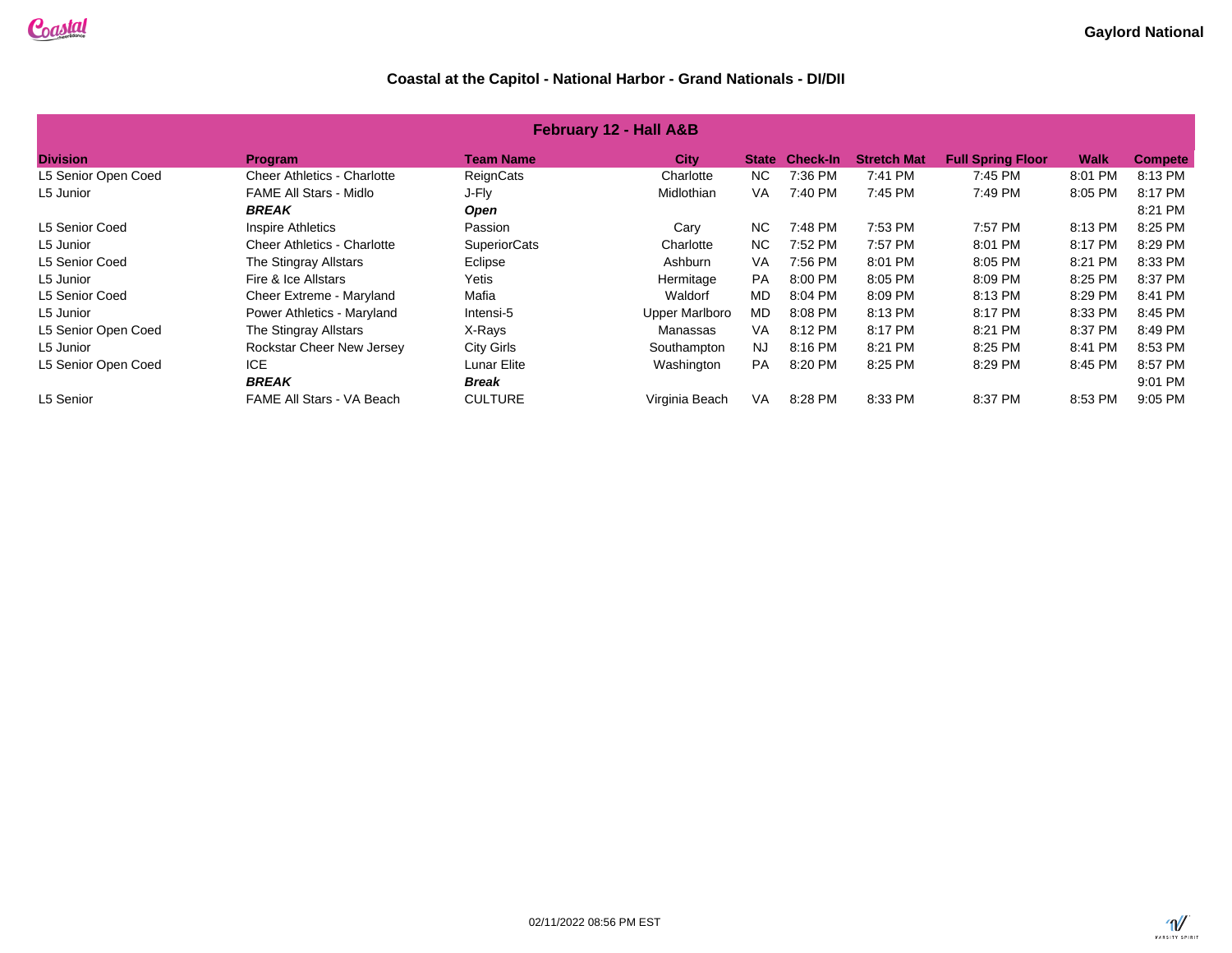| <b>February 12 - Hall A&amp;B</b>                                                                                        |                                    |                     |                       |              |                 |                    |                          |         |                |  |
|--------------------------------------------------------------------------------------------------------------------------|------------------------------------|---------------------|-----------------------|--------------|-----------------|--------------------|--------------------------|---------|----------------|--|
| <b>Division</b>                                                                                                          | Program                            | <b>Team Name</b>    | <b>City</b>           | <b>State</b> | <b>Check-In</b> | <b>Stretch Mat</b> | <b>Full Spring Floor</b> | Walk    | <b>Compete</b> |  |
| L5 Senior Open Coed                                                                                                      | <b>Cheer Athletics - Charlotte</b> | ReignCats           | Charlotte             | NC.          | 7:36 PM         | 7:41 PM            | 7:45 PM                  | 8:01 PM | 8:13 PM        |  |
| L5 Junior                                                                                                                | <b>FAME All Stars - Midlo</b>      | J-Fly               | Midlothian            | <b>VA</b>    | 7:40 PM         | 7:45 PM            | 7:49 PM                  | 8:05 PM | 8:17 PM        |  |
|                                                                                                                          | <b>BREAK</b>                       | <b>Open</b>         |                       |              |                 |                    |                          |         | 8:21 PM        |  |
| L5 Senior Coed                                                                                                           | <b>Inspire Athletics</b>           | Passion             | Cary                  | <b>NC</b>    | 7:48 PM         | 7:53 PM            | 7:57 PM                  | 8:13 PM | 8:25 PM        |  |
| L5 Junior                                                                                                                | <b>Cheer Athletics - Charlotte</b> | <b>SuperiorCats</b> | Charlotte             | NC.          | 7:52 PM         | 7:57 PM            | 8:01 PM                  | 8:17 PM | 8:29 PM        |  |
| L5 Senior Coed                                                                                                           | The Stingray Allstars              | Eclipse             | Ashburn               | VA           | 7:56 PM         | 8:01 PM            | 8:05 PM                  | 8:21 PM | 8:33 PM        |  |
| L5 Junior                                                                                                                | Fire & Ice Allstars                | Yetis               | Hermitage             | <b>PA</b>    | 8:00 PM         | 8:05 PM            | 8:09 PM                  | 8:25 PM | 8:37 PM        |  |
| L5 Senior Coed                                                                                                           | Cheer Extreme - Maryland           | Mafia               | Waldorf               | MD           | 8:04 PM         | 8:09 PM            | 8:13 PM                  | 8:29 PM | 8:41 PM        |  |
| L5 Junior                                                                                                                | Power Athletics - Maryland         | Intensi-5           | <b>Upper Marlboro</b> | MD.          | 8:08 PM         | 8:13 PM            | 8:17 PM                  | 8:33 PM | 8:45 PM        |  |
| L5 Senior Open Coed                                                                                                      | The Stingray Allstars              | X-Rays              | Manassas              | <b>VA</b>    | 8:12 PM         | 8:17 PM            | 8:21 PM                  | 8:37 PM | 8:49 PM        |  |
| L5 Junior                                                                                                                | Rockstar Cheer New Jersey          | City Girls          | Southampton           | <b>NJ</b>    | 8:16 PM         | 8:21 PM            | 8:25 PM                  | 8:41 PM | 8:53 PM        |  |
| L5 Senior Open Coed                                                                                                      | <b>ICE</b>                         | Lunar Elite         | Washington            | <b>PA</b>    | 8:20 PM         | 8:25 PM            | 8:29 PM                  | 8:45 PM | 8:57 PM        |  |
|                                                                                                                          | <b>BREAK</b>                       | <b>Break</b>        |                       |              |                 |                    |                          |         | 9:01 PM        |  |
| FAME All Stars - VA Beach<br><b>CULTURE</b><br>L5 Senior<br>Virginia Beach<br><b>VA</b><br>8:28 PM<br>8:33 PM<br>8:37 PM |                                    |                     |                       |              |                 |                    |                          |         | 9:05 PM        |  |

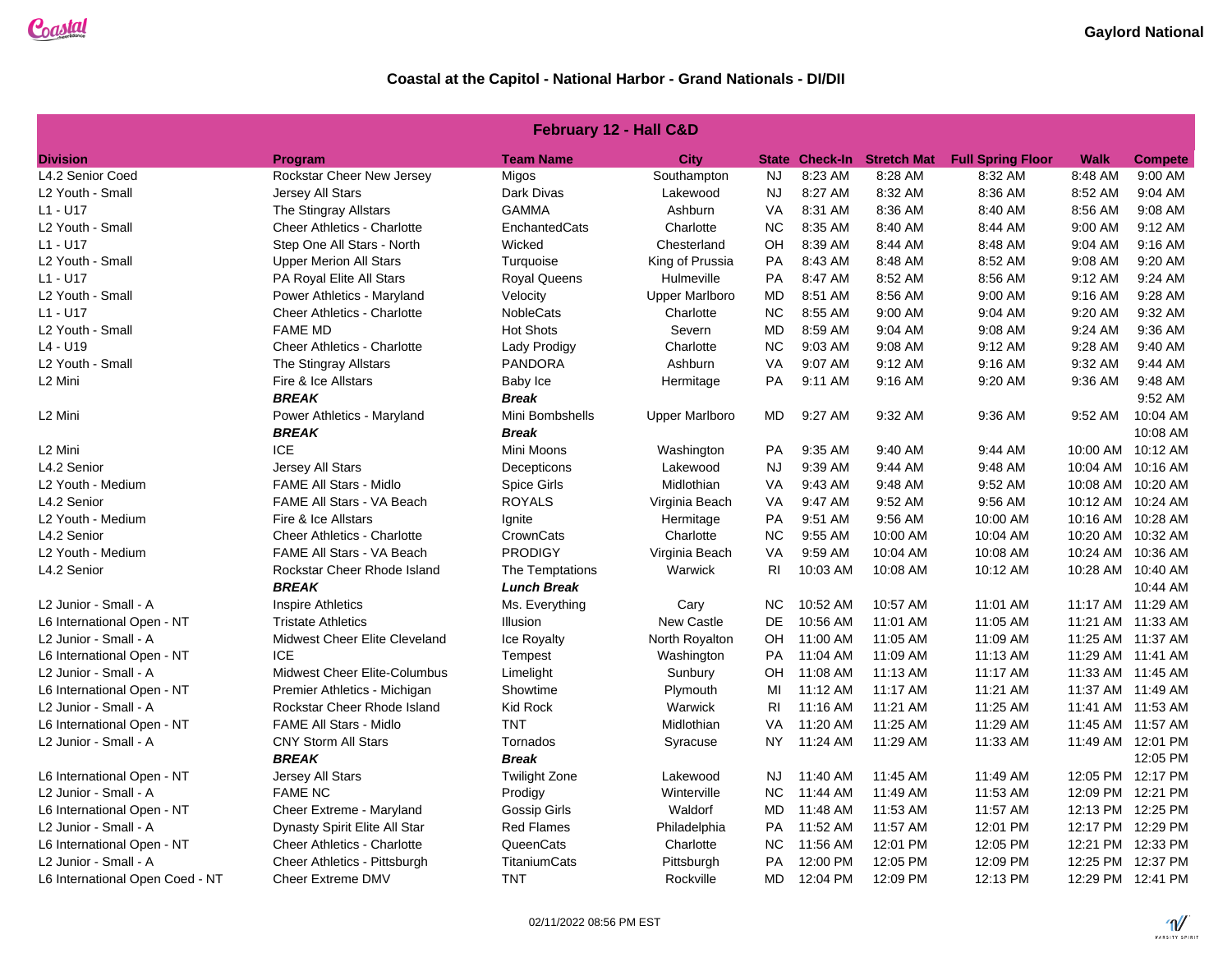| February 12 - Hall C&D          |                                    |                      |                       |                |                       |                    |                          |                   |                   |  |  |
|---------------------------------|------------------------------------|----------------------|-----------------------|----------------|-----------------------|--------------------|--------------------------|-------------------|-------------------|--|--|
| <b>Division</b>                 | <b>Program</b>                     | <b>Team Name</b>     | City                  |                | <b>State Check-In</b> | <b>Stretch Mat</b> | <b>Full Spring Floor</b> | Walk              | <b>Compete</b>    |  |  |
| L4.2 Senior Coed                | Rockstar Cheer New Jersey          | Migos                | Southampton           | <b>NJ</b>      | 8:23 AM               | 8:28 AM            | 8:32 AM                  | 8:48 AM           | 9:00 AM           |  |  |
| L2 Youth - Small                | Jersey All Stars                   | Dark Divas           | Lakewood              | <b>NJ</b>      | 8:27 AM               | 8:32 AM            | 8:36 AM                  | 8:52 AM           | 9:04 AM           |  |  |
| L1 - U17                        | The Stingray Allstars              | <b>GAMMA</b>         | Ashburn               | <b>VA</b>      | 8:31 AM               | 8:36 AM            | 8:40 AM                  | 8:56 AM           | 9:08 AM           |  |  |
| L2 Youth - Small                | <b>Cheer Athletics - Charlotte</b> | EnchantedCats        | Charlotte             | <b>NC</b>      | 8:35 AM               | 8:40 AM            | 8:44 AM                  | 9:00 AM           | 9:12 AM           |  |  |
| L1 - U17                        | Step One All Stars - North         | Wicked               | Chesterland           | OH             | 8:39 AM               | 8:44 AM            | 8:48 AM                  | 9:04 AM           | 9:16 AM           |  |  |
| L2 Youth - Small                | <b>Upper Merion All Stars</b>      | Turquoise            | King of Prussia       | PA             | 8:43 AM               | 8:48 AM            | 8:52 AM                  | 9:08 AM           | 9:20 AM           |  |  |
| L1 - U17                        | PA Royal Elite All Stars           | <b>Royal Queens</b>  | Hulmeville            | PA             | 8:47 AM               | 8:52 AM            | 8:56 AM                  | 9:12 AM           | 9:24 AM           |  |  |
| L2 Youth - Small                | Power Athletics - Maryland         | Velocity             | <b>Upper Marlboro</b> | MD             | 8:51 AM               | 8:56 AM            | 9:00 AM                  | 9:16 AM           | 9:28 AM           |  |  |
| L1 - U17                        | <b>Cheer Athletics - Charlotte</b> | <b>NobleCats</b>     | Charlotte             | <b>NC</b>      | 8:55 AM               | 9:00 AM            | 9:04 AM                  | 9:20 AM           | 9:32 AM           |  |  |
| L2 Youth - Small                | <b>FAME MD</b>                     | <b>Hot Shots</b>     | Severn                | MD             | 8:59 AM               | 9:04 AM            | 9:08 AM                  | 9:24 AM           | 9:36 AM           |  |  |
| L4 - U19                        | <b>Cheer Athletics - Charlotte</b> | Lady Prodigy         | Charlotte             | <b>NC</b>      | 9:03 AM               | 9:08 AM            | 9:12 AM                  | 9:28 AM           | 9:40 AM           |  |  |
| L2 Youth - Small                | The Stingray Allstars              | <b>PANDORA</b>       | Ashburn               | <b>VA</b>      | 9:07 AM               | 9:12 AM            | 9:16 AM                  | 9:32 AM           | $9:44$ AM         |  |  |
| L2 Mini                         | Fire & Ice Allstars                | Baby Ice             | Hermitage             | <b>PA</b>      | 9:11 AM               | 9:16 AM            | 9:20 AM                  | 9:36 AM           | 9:48 AM           |  |  |
|                                 | <b>BREAK</b>                       | <b>Break</b>         |                       |                |                       |                    |                          |                   | 9:52 AM           |  |  |
| L2 Mini                         | Power Athletics - Maryland         | Mini Bombshells      | <b>Upper Marlboro</b> | <b>MD</b>      | 9:27 AM               | 9:32 AM            | 9:36 AM                  | 9:52 AM           | 10:04 AM          |  |  |
|                                 | <b>BREAK</b>                       | <b>Break</b>         |                       |                |                       |                    |                          |                   | 10:08 AM          |  |  |
| L2 Mini                         | <b>ICE</b>                         | Mini Moons           | Washington            | PA             | 9:35 AM               | 9:40 AM            | 9:44 AM                  | 10:00 AM          | 10:12 AM          |  |  |
| L4.2 Senior                     | Jersey All Stars                   | Decepticons          | Lakewood              | <b>NJ</b>      | 9:39 AM               | 9:44 AM            | 9:48 AM                  | 10:04 AM          | 10:16 AM          |  |  |
| L2 Youth - Medium               | <b>FAME All Stars - Midlo</b>      | <b>Spice Girls</b>   | Midlothian            | VA             | 9:43 AM               | 9:48 AM            | 9:52 AM                  |                   | 10:08 AM 10:20 AM |  |  |
| L4.2 Senior                     | FAME All Stars - VA Beach          | <b>ROYALS</b>        | Virginia Beach        | VA             | 9:47 AM               | 9:52 AM            | 9:56 AM                  | 10:12 AM          | 10:24 AM          |  |  |
| L2 Youth - Medium               | Fire & Ice Allstars                | Ignite               | Hermitage             | PA             | 9:51 AM               | 9:56 AM            | 10:00 AM                 | 10:16 AM          | 10:28 AM          |  |  |
| L4.2 Senior                     | <b>Cheer Athletics - Charlotte</b> | CrownCats            | Charlotte             | <b>NC</b>      | 9:55 AM               | 10:00 AM           | 10:04 AM                 | 10:20 AM          | 10:32 AM          |  |  |
| L2 Youth - Medium               | <b>FAME All Stars - VA Beach</b>   | <b>PRODIGY</b>       | Virginia Beach        | VA             | 9:59 AM               | 10:04 AM           | 10:08 AM                 | 10:24 AM          | 10:36 AM          |  |  |
| L4.2 Senior                     | Rockstar Cheer Rhode Island        | The Temptations      | Warwick               | R <sub>l</sub> | 10:03 AM              | 10:08 AM           | 10:12 AM                 | 10:28 AM          | 10:40 AM          |  |  |
|                                 | <b>BREAK</b>                       | <b>Lunch Break</b>   |                       |                |                       |                    |                          |                   | 10:44 AM          |  |  |
| L2 Junior - Small - A           | <b>Inspire Athletics</b>           | Ms. Everything       | Cary                  | <b>NC</b>      | 10:52 AM              | 10:57 AM           | 11:01 AM                 |                   | 11:17 AM 11:29 AM |  |  |
| L6 International Open - NT      | <b>Tristate Athletics</b>          | Illusion             | New Castle            | DE             | 10:56 AM              | 11:01 AM           | 11:05 AM                 |                   | 11:21 AM 11:33 AM |  |  |
| L2 Junior - Small - A           | Midwest Cheer Elite Cleveland      | Ice Royalty          | North Royalton        | OН             | 11:00 AM              | 11:05 AM           | 11:09 AM                 | 11:25 AM 11:37 AM |                   |  |  |
| L6 International Open - NT      | <b>ICE</b>                         | Tempest              | Washington            | PA             | 11:04 AM              | 11:09 AM           | 11:13 AM                 |                   | 11:29 AM 11:41 AM |  |  |
| L2 Junior - Small - A           | Midwest Cheer Elite-Columbus       | Limelight            | Sunbury               | OH             | 11:08 AM              | 11:13 AM           | 11:17 AM                 | 11:33 AM 11:45 AM |                   |  |  |
| L6 International Open - NT      | Premier Athletics - Michigan       | Showtime             | Plymouth              | MI             | 11:12 AM              | 11:17 AM           | 11:21 AM                 |                   | 11:37 AM 11:49 AM |  |  |
| L2 Junior - Small - A           | Rockstar Cheer Rhode Island        | Kid Rock             | Warwick               | <b>RI</b>      | 11:16 AM              | 11:21 AM           | 11:25 AM                 |                   | 11:41 AM 11:53 AM |  |  |
| L6 International Open - NT      | <b>FAME All Stars - Midlo</b>      | <b>TNT</b>           | Midlothian            | VA             | 11:20 AM              | 11:25 AM           | 11:29 AM                 | 11:45 AM          | 11:57 AM          |  |  |
| L2 Junior - Small - A           | <b>CNY Storm All Stars</b>         | Tornados             | Syracuse              | <b>NY</b>      | 11:24 AM              | 11:29 AM           | 11:33 AM                 |                   | 11:49 AM 12:01 PM |  |  |
|                                 | <b>BREAK</b>                       | <b>Break</b>         |                       |                |                       |                    |                          |                   | 12:05 PM          |  |  |
| L6 International Open - NT      | Jersey All Stars                   | <b>Twilight Zone</b> | Lakewood              | NJ             | 11:40 AM              | 11:45 AM           | 11:49 AM                 |                   | 12:05 PM 12:17 PM |  |  |
| L2 Junior - Small - A           | <b>FAME NC</b>                     | Prodigy              | Winterville           | <b>NC</b>      | 11:44 AM              | 11:49 AM           | 11:53 AM                 |                   | 12:09 PM 12:21 PM |  |  |
| L6 International Open - NT      | Cheer Extreme - Maryland           | Gossip Girls         | Waldorf               | MD             | 11:48 AM              | 11:53 AM           | 11:57 AM                 |                   | 12:13 PM 12:25 PM |  |  |
| L2 Junior - Small - A           | Dynasty Spirit Elite All Star      | <b>Red Flames</b>    | Philadelphia          | <b>PA</b>      | 11:52 AM              | 11:57 AM           | 12:01 PM                 |                   | 12:17 PM 12:29 PM |  |  |
| L6 International Open - NT      | <b>Cheer Athletics - Charlotte</b> | QueenCats            | Charlotte             | <b>NC</b>      | 11:56 AM              | 12:01 PM           | 12:05 PM                 |                   | 12:21 PM 12:33 PM |  |  |
| L2 Junior - Small - A           | Cheer Athletics - Pittsburgh       | TitaniumCats         | Pittsburgh            | PA             | 12:00 PM              | 12:05 PM           | 12:09 PM                 |                   | 12:25 PM 12:37 PM |  |  |
| L6 International Open Coed - NT | Cheer Extreme DMV                  | <b>TNT</b>           | Rockville             | MD             | 12:04 PM              | 12:09 PM           | 12:13 PM                 |                   | 12:29 PM 12:41 PM |  |  |

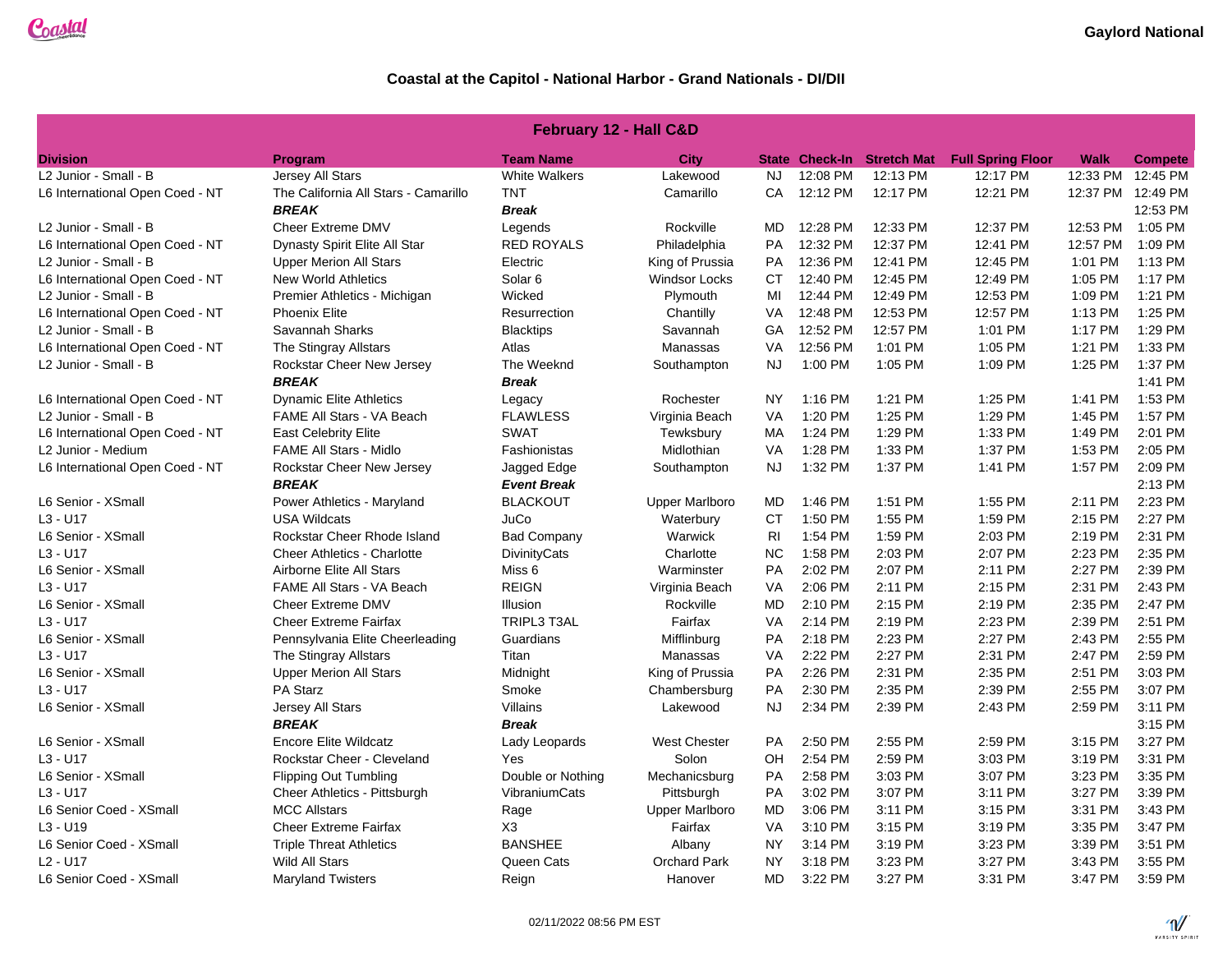| <b>February 12 - Hall C&amp;D</b>                                             |                                      |                      |                       |                |          |                            |                          |             |                   |  |  |
|-------------------------------------------------------------------------------|--------------------------------------|----------------------|-----------------------|----------------|----------|----------------------------|--------------------------|-------------|-------------------|--|--|
| <b>Division</b>                                                               | Program                              | <b>Team Name</b>     | City                  |                |          | State Check-In Stretch Mat | <b>Full Spring Floor</b> | <b>Walk</b> | <b>Compete</b>    |  |  |
| L2 Junior - Small - B                                                         | <b>Jersey All Stars</b>              | <b>White Walkers</b> | Lakewood              | <b>NJ</b>      | 12:08 PM | 12:13 PM                   | 12:17 PM                 | 12:33 PM    | 12:45 PM          |  |  |
| L6 International Open Coed - NT                                               | The California All Stars - Camarillo | <b>TNT</b>           | Camarillo             | CA             | 12:12 PM | 12:17 PM                   | 12:21 PM                 |             | 12:37 PM 12:49 PM |  |  |
|                                                                               | <b>BREAK</b>                         | <b>Break</b>         |                       |                |          |                            |                          |             | 12:53 PM          |  |  |
| L2 Junior - Small - B                                                         | <b>Cheer Extreme DMV</b>             | Legends              | Rockville             | MD             | 12:28 PM | 12:33 PM                   | 12:37 PM                 | 12:53 PM    | 1:05 PM           |  |  |
| L6 International Open Coed - NT                                               | Dynasty Spirit Elite All Star        | <b>RED ROYALS</b>    | Philadelphia          | <b>PA</b>      | 12:32 PM | 12:37 PM                   | 12:41 PM                 | 12:57 PM    | 1:09 PM           |  |  |
| L2 Junior - Small - B                                                         | <b>Upper Merion All Stars</b>        | Electric             | King of Prussia       | <b>PA</b>      | 12:36 PM | 12:41 PM                   | 12:45 PM                 | 1:01 PM     | 1:13 PM           |  |  |
| L6 International Open Coed - NT                                               | <b>New World Athletics</b>           | Solar <sub>6</sub>   | <b>Windsor Locks</b>  | СT             | 12:40 PM | 12:45 PM                   | 12:49 PM                 | 1:05 PM     | 1:17 PM           |  |  |
| L2 Junior - Small - B                                                         | Premier Athletics - Michigan         | Wicked               | Plymouth              | MI             | 12:44 PM | 12:49 PM                   | 12:53 PM                 | 1:09 PM     | 1:21 PM           |  |  |
| L6 International Open Coed - NT                                               | <b>Phoenix Elite</b>                 | Resurrection         | Chantilly             | VA             | 12:48 PM | 12:53 PM                   | 12:57 PM                 | 1:13 PM     | 1:25 PM           |  |  |
| L2 Junior - Small - B                                                         | Savannah Sharks                      | <b>Blacktips</b>     | Savannah              | GA             | 12:52 PM | 12:57 PM                   | 1:01 PM                  | 1:17 PM     | 1:29 PM           |  |  |
| L6 International Open Coed - NT                                               | The Stingray Allstars                | Atlas                | Manassas              | VA             | 12:56 PM | 1:01 PM                    | 1:05 PM                  | 1:21 PM     | 1:33 PM           |  |  |
| L2 Junior - Small - B<br><b>Rockstar Cheer New Jersey</b><br>The Weeknd       |                                      | Southampton          | <b>NJ</b>             | 1:00 PM        | 1:05 PM  | 1:09 PM                    | 1:25 PM                  | 1:37 PM     |                   |  |  |
|                                                                               | <b>BREAK</b>                         | <b>Break</b>         |                       |                |          |                            |                          |             | 1:41 PM           |  |  |
| L6 International Open Coed - NT                                               | <b>Dynamic Elite Athletics</b>       | Legacy               | Rochester             | <b>NY</b>      | 1:16 PM  | 1:21 PM                    | 1:25 PM                  | 1:41 PM     | 1:53 PM           |  |  |
| L2 Junior - Small - B                                                         | FAME All Stars - VA Beach            | <b>FLAWLESS</b>      | Virginia Beach        | VA             | 1:20 PM  | 1:25 PM                    | 1:29 PM                  | 1:45 PM     | 1:57 PM           |  |  |
| L6 International Open Coed - NT<br><b>SWAT</b><br><b>East Celebrity Elite</b> |                                      | Tewksbury            | MA                    | 1:24 PM        | 1:29 PM  | 1:33 PM                    | 1:49 PM                  | 2:01 PM     |                   |  |  |
| L2 Junior - Medium                                                            | <b>FAME All Stars - Midlo</b>        | Fashionistas         | Midlothian            | VA             | 1:28 PM  | 1:33 PM                    | 1:37 PM                  | 1:53 PM     | 2:05 PM           |  |  |
| L6 International Open Coed - NT                                               | Rockstar Cheer New Jersey            | Jagged Edge          | Southampton           | <b>NJ</b>      | 1:32 PM  | 1:37 PM                    | 1:41 PM                  | 1:57 PM     | 2:09 PM           |  |  |
|                                                                               | <b>BREAK</b>                         | <b>Event Break</b>   |                       |                |          |                            |                          |             | 2:13 PM           |  |  |
| L6 Senior - XSmall                                                            | Power Athletics - Maryland           | <b>BLACKOUT</b>      | <b>Upper Marlboro</b> | MD             | 1:46 PM  | 1:51 PM                    | 1:55 PM                  | 2:11 PM     | 2:23 PM           |  |  |
| $L3 - U17$                                                                    | <b>USA Wildcats</b>                  | JuCo                 | Waterbury             | <b>CT</b>      | 1:50 PM  | 1:55 PM                    | 1:59 PM                  | 2:15 PM     | 2:27 PM           |  |  |
| L6 Senior - XSmall                                                            | Rockstar Cheer Rhode Island          | <b>Bad Company</b>   | Warwick               | R <sub>1</sub> | 1:54 PM  | 1:59 PM                    | 2:03 PM                  | 2:19 PM     | 2:31 PM           |  |  |
| $L3 - U17$                                                                    | <b>Cheer Athletics - Charlotte</b>   | DivinityCats         | Charlotte             | <b>NC</b>      | 1:58 PM  | 2:03 PM                    | 2:07 PM                  | 2:23 PM     | 2:35 PM           |  |  |
| L6 Senior - XSmall                                                            | Airborne Elite All Stars             | Miss 6               | Warminster            | <b>PA</b>      | 2:02 PM  | 2:07 PM                    | 2:11 PM                  | 2:27 PM     | 2:39 PM           |  |  |
| $L3 - U17$                                                                    | FAME All Stars - VA Beach            | <b>REIGN</b>         | Virginia Beach        | VA             | 2:06 PM  | 2:11 PM                    | 2:15 PM                  | 2:31 PM     | 2:43 PM           |  |  |
| L6 Senior - XSmall                                                            | Cheer Extreme DMV                    | Illusion             | Rockville             | MD             | 2:10 PM  | 2:15 PM                    | 2:19 PM                  | 2:35 PM     | 2:47 PM           |  |  |
| $L3 - U17$                                                                    | <b>Cheer Extreme Fairfax</b>         | TRIPL3 T3AL          | Fairfax               | VA             | 2:14 PM  | 2:19 PM                    | 2:23 PM                  | 2:39 PM     | 2:51 PM           |  |  |
| L6 Senior - XSmall                                                            | Pennsylvania Elite Cheerleading      | Guardians            | Mifflinburg           | <b>PA</b>      | 2:18 PM  | 2:23 PM                    | 2:27 PM                  | 2:43 PM     | 2:55 PM           |  |  |
| $L3 - U17$                                                                    | The Stingray Allstars                | Titan                | Manassas              | VA             | 2:22 PM  | 2:27 PM                    | 2:31 PM                  | 2:47 PM     | 2:59 PM           |  |  |
| L6 Senior - XSmall                                                            | <b>Upper Merion All Stars</b>        | Midnight             | King of Prussia       | <b>PA</b>      | 2:26 PM  | 2:31 PM                    | 2:35 PM                  | 2:51 PM     | 3:03 PM           |  |  |
| $L3 - U17$                                                                    | <b>PA Starz</b>                      | Smoke                | Chambersburg          | PA             | 2:30 PM  | 2:35 PM                    | 2:39 PM                  | 2:55 PM     | 3:07 PM           |  |  |
| L6 Senior - XSmall                                                            | Jersey All Stars                     | <b>Villains</b>      | Lakewood              | <b>NJ</b>      | 2:34 PM  | 2:39 PM                    | 2:43 PM                  | 2:59 PM     | 3:11 PM           |  |  |
|                                                                               | <b>BREAK</b>                         | <b>Break</b>         |                       |                |          |                            |                          |             | 3:15 PM           |  |  |
| L6 Senior - XSmall                                                            | <b>Encore Elite Wildcatz</b>         | Lady Leopards        | <b>West Chester</b>   | PA             | 2:50 PM  | 2:55 PM                    | 2:59 PM                  | 3:15 PM     | 3:27 PM           |  |  |
| $L3 - U17$                                                                    | Rockstar Cheer - Cleveland           | Yes                  | Solon                 | OН             | 2:54 PM  | 2:59 PM                    | 3:03 PM                  | 3:19 PM     | 3:31 PM           |  |  |
| L6 Senior - XSmall                                                            | <b>Flipping Out Tumbling</b>         | Double or Nothing    | Mechanicsburg         | <b>PA</b>      | 2:58 PM  | 3:03 PM                    | 3:07 PM                  | 3:23 PM     | 3:35 PM           |  |  |
| $L3 - U17$                                                                    | Cheer Athletics - Pittsburgh         | VibraniumCats        | Pittsburgh            | <b>PA</b>      | 3:02 PM  | 3:07 PM                    | 3:11 PM                  | 3:27 PM     | 3:39 PM           |  |  |
| L6 Senior Coed - XSmall                                                       | <b>MCC Allstars</b>                  | Rage                 | <b>Upper Marlboro</b> | MD             | 3:06 PM  | 3:11 PM                    | 3:15 PM                  | 3:31 PM     | 3:43 PM           |  |  |
| $L3 - U19$                                                                    | <b>Cheer Extreme Fairfax</b>         | X <sub>3</sub>       | Fairfax               | VA             | 3:10 PM  | 3:15 PM                    | 3:19 PM                  | 3:35 PM     | 3:47 PM           |  |  |
| L6 Senior Coed - XSmall                                                       | <b>Triple Threat Athletics</b>       | <b>BANSHEE</b>       | Albany                | <b>NY</b>      | 3:14 PM  | 3:19 PM                    | 3:23 PM                  | 3:39 PM     | 3:51 PM           |  |  |
| $L2 - U17$                                                                    | <b>Wild All Stars</b>                | Queen Cats           | <b>Orchard Park</b>   | <b>NY</b>      | 3:18 PM  | 3:23 PM                    | 3:27 PM                  | 3:43 PM     | 3:55 PM           |  |  |
| L6 Senior Coed - XSmall                                                       | <b>Maryland Twisters</b>             | Reign                | Hanover               | <b>MD</b>      | 3:22 PM  | 3:27 PM                    | 3:31 PM                  | 3:47 PM     | 3:59 PM           |  |  |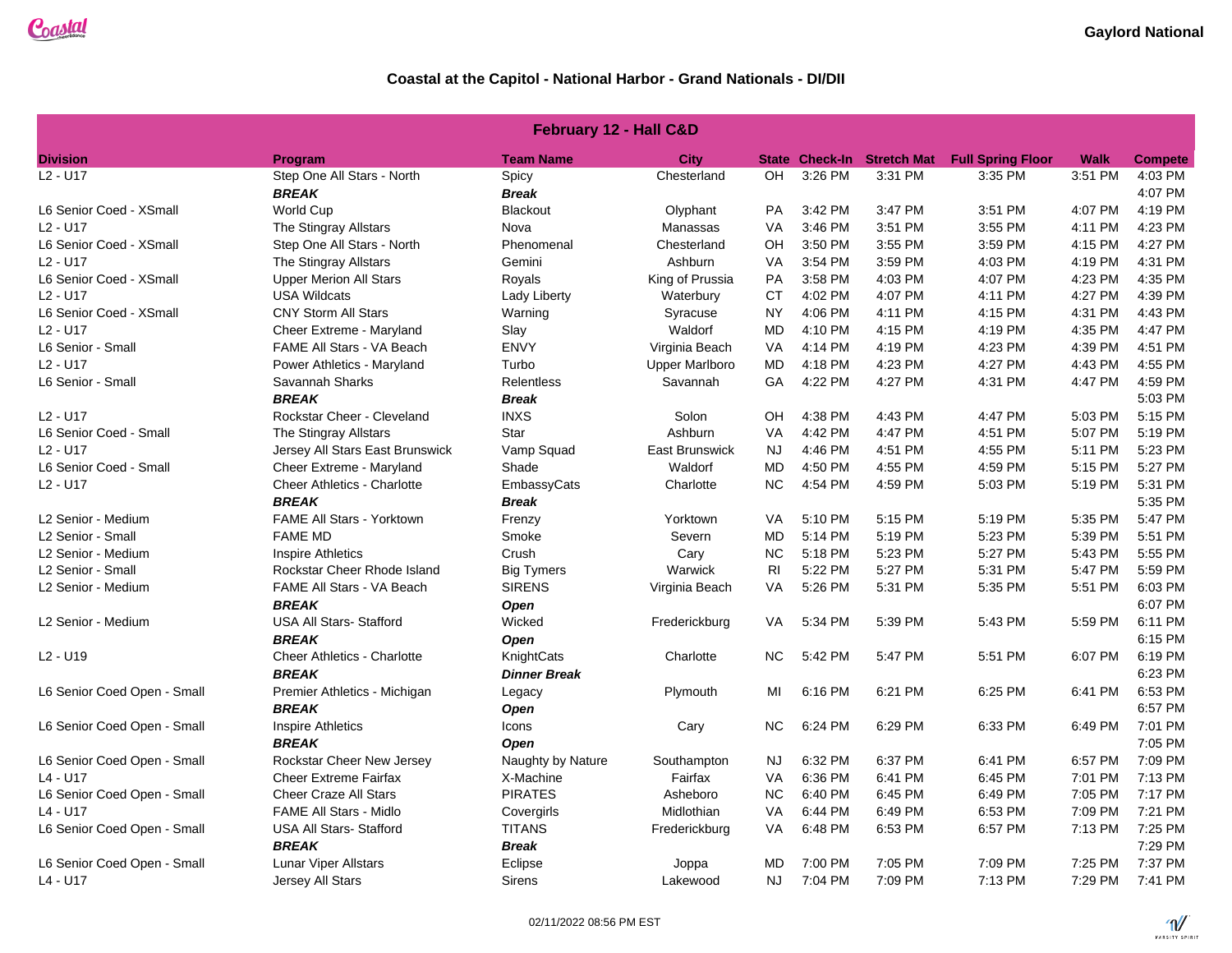| <b>February 12 - Hall C&amp;D</b> |                                    |                     |                       |           |                |                    |                          |             |                |  |  |
|-----------------------------------|------------------------------------|---------------------|-----------------------|-----------|----------------|--------------------|--------------------------|-------------|----------------|--|--|
| <b>Division</b>                   | <b>Program</b>                     | <b>Team Name</b>    | City                  |           | State Check-In | <b>Stretch Mat</b> | <b>Full Spring Floor</b> | <b>Walk</b> | <b>Compete</b> |  |  |
| L <sub>2</sub> - U <sub>17</sub>  | Step One All Stars - North         | Spicy               | Chesterland           | OH        | 3:26 PM        | 3:31 PM            | 3:35 PM                  | 3:51 PM     | 4:03 PM        |  |  |
|                                   | <b>BREAK</b>                       | <b>Break</b>        |                       |           |                |                    |                          |             | 4:07 PM        |  |  |
| L6 Senior Coed - XSmall           | World Cup                          | <b>Blackout</b>     | Olyphant              | PA        | 3:42 PM        | 3:47 PM            | 3:51 PM                  | 4:07 PM     | 4:19 PM        |  |  |
| L2 - U17                          | The Stingray Allstars              | Nova                | Manassas              | <b>VA</b> | 3:46 PM        | 3:51 PM            | 3:55 PM                  | 4:11 PM     | 4:23 PM        |  |  |
| L6 Senior Coed - XSmall           | Step One All Stars - North         | Phenomenal          | Chesterland           | OН        | 3:50 PM        | 3:55 PM            | 3:59 PM                  | 4:15 PM     | 4:27 PM        |  |  |
| L2 - U17                          | The Stingray Allstars              | Gemini              | Ashburn               | VA        | 3:54 PM        | 3:59 PM            | 4:03 PM                  | 4:19 PM     | 4:31 PM        |  |  |
| L6 Senior Coed - XSmall           | <b>Upper Merion All Stars</b>      | Royals              | King of Prussia       | PA        | 3:58 PM        | 4:03 PM            | 4:07 PM                  | 4:23 PM     | 4:35 PM        |  |  |
| L <sub>2</sub> - U <sub>17</sub>  | <b>USA Wildcats</b>                | Lady Liberty        | Waterbury             | <b>CT</b> | 4:02 PM        | 4:07 PM            | 4:11 PM                  | 4:27 PM     | 4:39 PM        |  |  |
| L6 Senior Coed - XSmall           | <b>CNY Storm All Stars</b>         | Warning             | Syracuse              | <b>NY</b> | 4:06 PM        | 4:11 PM            | 4:15 PM                  | 4:31 PM     | 4:43 PM        |  |  |
| L2 - U17                          | Cheer Extreme - Maryland           | Slay                | Waldorf               | MD        | 4:10 PM        | 4:15 PM            | 4:19 PM                  | 4:35 PM     | 4:47 PM        |  |  |
| L6 Senior - Small                 | FAME All Stars - VA Beach          | <b>ENVY</b>         | Virginia Beach        | VA        | 4:14 PM        | 4:19 PM            | 4:23 PM                  | 4:39 PM     | 4:51 PM        |  |  |
| L2 - U17                          | Power Athletics - Maryland         | Turbo               | <b>Upper Marlboro</b> | MD        | 4:18 PM        | 4:23 PM            | 4:27 PM                  | 4:43 PM     | 4:55 PM        |  |  |
| L6 Senior - Small                 | Savannah Sharks                    | <b>Relentless</b>   | Savannah              | GA        | 4:22 PM        | 4:27 PM            | 4:31 PM                  | 4:47 PM     | 4:59 PM        |  |  |
|                                   | <b>BREAK</b>                       | <b>Break</b>        |                       |           |                |                    |                          |             | 5:03 PM        |  |  |
| L <sub>2</sub> - U <sub>17</sub>  | Rockstar Cheer - Cleveland         | <b>INXS</b>         | Solon                 | OH        | 4:38 PM        | 4:43 PM            | 4:47 PM                  | 5:03 PM     | 5:15 PM        |  |  |
| L6 Senior Coed - Small            | The Stingray Allstars              | Star                | Ashburn               | <b>VA</b> | 4:42 PM        | 4:47 PM            | 4:51 PM                  | 5:07 PM     | 5:19 PM        |  |  |
| L2 - U17                          | Jersey All Stars East Brunswick    | Vamp Squad          | <b>East Brunswick</b> | <b>NJ</b> | 4:46 PM        | 4:51 PM            | 4:55 PM                  | 5:11 PM     | 5:23 PM        |  |  |
| L6 Senior Coed - Small            | Cheer Extreme - Maryland           | Shade               | Waldorf               | MD        | 4:50 PM        | 4:55 PM            | 4:59 PM                  | 5:15 PM     | 5:27 PM        |  |  |
| L2 - U17                          | <b>Cheer Athletics - Charlotte</b> | EmbassyCats         | Charlotte             | <b>NC</b> | 4:54 PM        | 4:59 PM            | 5:03 PM                  | 5:19 PM     | 5:31 PM        |  |  |
|                                   | <b>BREAK</b>                       | <b>Break</b>        |                       |           |                |                    |                          |             | 5:35 PM        |  |  |
| L2 Senior - Medium                | FAME All Stars - Yorktown          | Frenzy              | Yorktown              | <b>VA</b> | 5:10 PM        | 5:15 PM            | 5:19 PM                  | 5:35 PM     | 5:47 PM        |  |  |
| L2 Senior - Small                 | <b>FAME MD</b>                     | Smoke               | Severn                | <b>MD</b> | 5:14 PM        | 5:19 PM            | 5:23 PM                  | 5:39 PM     | 5:51 PM        |  |  |
| L2 Senior - Medium                | <b>Inspire Athletics</b>           | Crush               | Cary                  | <b>NC</b> | 5:18 PM        | 5:23 PM            | 5:27 PM                  | 5:43 PM     | 5:55 PM        |  |  |
| L2 Senior - Small                 | Rockstar Cheer Rhode Island        | <b>Big Tymers</b>   | Warwick               | <b>RI</b> | 5:22 PM        | 5:27 PM            | 5:31 PM                  | 5:47 PM     | 5:59 PM        |  |  |
| L2 Senior - Medium                | FAME All Stars - VA Beach          | <b>SIRENS</b>       | Virginia Beach        | <b>VA</b> | 5:26 PM        | 5:31 PM            | 5:35 PM                  | 5:51 PM     | 6:03 PM        |  |  |
|                                   | <b>BREAK</b>                       | Open                |                       |           |                |                    |                          |             | 6:07 PM        |  |  |
| L2 Senior - Medium                | <b>USA All Stars- Stafford</b>     | Wicked              | Frederickburg         | <b>VA</b> | 5:34 PM        | 5:39 PM            | 5:43 PM                  | 5:59 PM     | 6:11 PM        |  |  |
|                                   | <b>BREAK</b>                       | Open                |                       |           |                |                    |                          |             | 6:15 PM        |  |  |
| L2 - U19                          | <b>Cheer Athletics - Charlotte</b> | KnightCats          | Charlotte             | <b>NC</b> | 5:42 PM        | 5:47 PM            | 5:51 PM                  | 6:07 PM     | 6:19 PM        |  |  |
|                                   | <b>BREAK</b>                       | <b>Dinner Break</b> |                       |           |                |                    |                          |             | 6:23 PM        |  |  |
| L6 Senior Coed Open - Small       | Premier Athletics - Michigan       | Legacy              | Plymouth              | MI        | 6:16 PM        | 6:21 PM            | 6:25 PM                  | 6:41 PM     | 6:53 PM        |  |  |
|                                   | <b>BREAK</b>                       | Open                |                       |           |                |                    |                          |             | 6:57 PM        |  |  |
| L6 Senior Coed Open - Small       | <b>Inspire Athletics</b>           | Icons               | Cary                  | <b>NC</b> | 6:24 PM        | 6:29 PM            | 6:33 PM                  | 6:49 PM     | 7:01 PM        |  |  |
|                                   | <b>BREAK</b>                       | Open                |                       |           |                |                    |                          |             | 7:05 PM        |  |  |
| L6 Senior Coed Open - Small       | <b>Rockstar Cheer New Jersey</b>   | Naughty by Nature   | Southampton           | <b>NJ</b> | 6:32 PM        | 6:37 PM            | 6:41 PM                  | 6:57 PM     | 7:09 PM        |  |  |
| L4 - U17                          | <b>Cheer Extreme Fairfax</b>       | X-Machine           | Fairfax               | <b>VA</b> | 6:36 PM        | 6:41 PM            | 6:45 PM                  | 7:01 PM     | 7:13 PM        |  |  |
| L6 Senior Coed Open - Small       | <b>Cheer Craze All Stars</b>       | <b>PIRATES</b>      | Asheboro              | <b>NC</b> | 6:40 PM        | 6:45 PM            | 6:49 PM                  | 7:05 PM     | 7:17 PM        |  |  |
| L4 - U17                          | <b>FAME All Stars - Midlo</b>      | Covergirls          | Midlothian            | VA        | 6:44 PM        | 6:49 PM            | 6:53 PM                  | 7:09 PM     | 7:21 PM        |  |  |
| L6 Senior Coed Open - Small       | <b>USA All Stars- Stafford</b>     | <b>TITANS</b>       | Frederickburg         | <b>VA</b> | 6:48 PM        | 6:53 PM            | 6:57 PM                  | 7:13 PM     | 7:25 PM        |  |  |
|                                   | <b>BREAK</b>                       | <b>Break</b>        |                       |           |                |                    |                          |             | 7:29 PM        |  |  |
| L6 Senior Coed Open - Small       | Lunar Viper Allstars               | Eclipse             | Joppa                 | <b>MD</b> | 7:00 PM        | 7:05 PM            | 7:09 PM                  | 7:25 PM     | 7:37 PM        |  |  |
| L4 - U17                          | Jersey All Stars                   | <b>Sirens</b>       | Lakewood              | <b>NJ</b> | 7:04 PM        | 7:09 PM            | 7:13 PM                  | 7:29 PM     | 7:41 PM        |  |  |

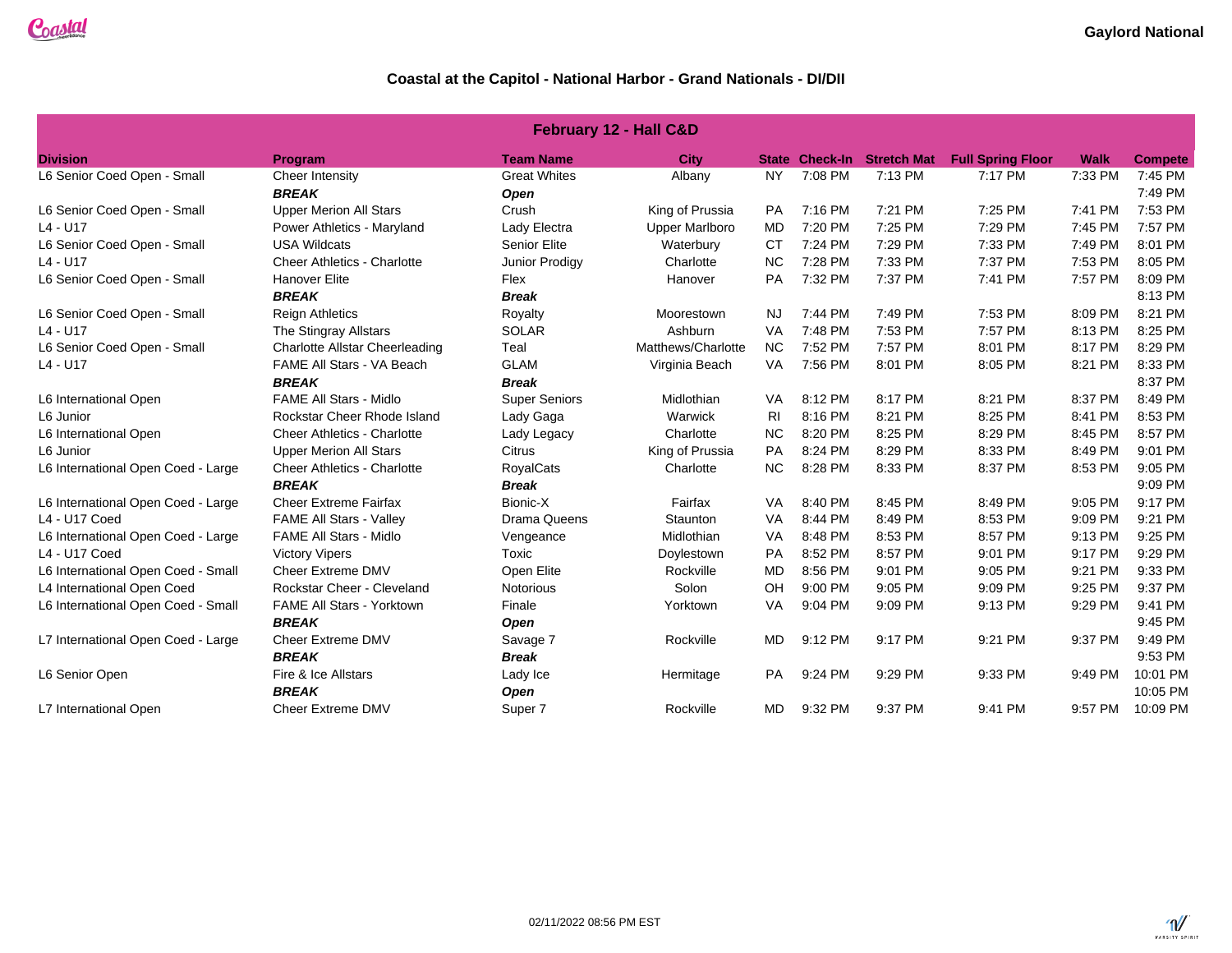| <b>February 12 - Hall C&amp;D</b>  |                                       |                      |                       |                |                       |                    |                          |             |                |  |
|------------------------------------|---------------------------------------|----------------------|-----------------------|----------------|-----------------------|--------------------|--------------------------|-------------|----------------|--|
| <b>Division</b>                    | Program                               | <b>Team Name</b>     | <b>City</b>           |                | <b>State Check-In</b> | <b>Stretch Mat</b> | <b>Full Spring Floor</b> | <b>Walk</b> | <b>Compete</b> |  |
| L6 Senior Coed Open - Small        | Cheer Intensity                       | <b>Great Whites</b>  | Albany                | <b>NY</b>      | 7:08 PM               | 7:13 PM            | 7:17 PM                  | 7:33 PM     | 7:45 PM        |  |
|                                    | <b>BREAK</b>                          | Open                 |                       |                |                       |                    |                          |             | 7:49 PM        |  |
| L6 Senior Coed Open - Small        | <b>Upper Merion All Stars</b>         | Crush                | King of Prussia       | <b>PA</b>      | 7:16 PM               | 7:21 PM            | 7:25 PM                  | 7:41 PM     | 7:53 PM        |  |
| $L4 - U17$                         | Power Athletics - Maryland            | Lady Electra         | <b>Upper Marlboro</b> | <b>MD</b>      | 7:20 PM               | 7:25 PM            | 7:29 PM                  | 7:45 PM     | 7:57 PM        |  |
| L6 Senior Coed Open - Small        | <b>USA Wildcats</b>                   | Senior Elite         | Waterbury             | <b>CT</b>      | 7:24 PM               | 7:29 PM            | 7:33 PM                  | 7:49 PM     | 8:01 PM        |  |
| $L4 - U17$                         | <b>Cheer Athletics - Charlotte</b>    | Junior Prodigy       | Charlotte             | <b>NC</b>      | 7:28 PM               | 7:33 PM            | 7:37 PM                  | 7:53 PM     | 8:05 PM        |  |
| L6 Senior Coed Open - Small        | <b>Hanover Elite</b>                  | Flex                 | Hanover               | PA             | 7:32 PM               | 7:37 PM            | 7:41 PM                  | 7:57 PM     | 8:09 PM        |  |
|                                    | <b>BREAK</b>                          | <b>Break</b>         |                       |                |                       |                    |                          |             | 8:13 PM        |  |
| L6 Senior Coed Open - Small        | <b>Reign Athletics</b>                | Royalty              | Moorestown            | <b>NJ</b>      | 7:44 PM               | 7:49 PM            | 7:53 PM                  | 8:09 PM     | 8:21 PM        |  |
| $L4 - U17$                         | The Stingray Allstars                 | <b>SOLAR</b>         | Ashburn               | VA             | 7:48 PM               | 7:53 PM            | 7:57 PM                  | 8:13 PM     | 8:25 PM        |  |
| L6 Senior Coed Open - Small        | <b>Charlotte Allstar Cheerleading</b> | Teal                 | Matthews/Charlotte    | <b>NC</b>      | 7:52 PM               | 7:57 PM            | 8:01 PM                  | 8:17 PM     | 8:29 PM        |  |
| $L4 - U17$                         | FAME All Stars - VA Beach             | <b>GLAM</b>          | Virginia Beach        | VA             | 7:56 PM               | 8:01 PM            | 8:05 PM                  | 8:21 PM     | 8:33 PM        |  |
| <b>BREAK</b><br><b>Break</b>       |                                       |                      |                       |                |                       |                    |                          | 8:37 PM     |                |  |
| L6 International Open              | <b>FAME All Stars - Midlo</b>         | <b>Super Seniors</b> | Midlothian            | VA             | 8:12 PM               | 8:17 PM            | 8:21 PM                  | 8:37 PM     | 8:49 PM        |  |
| L6 Junior                          | Rockstar Cheer Rhode Island           | Lady Gaga            | Warwick               | R <sub>l</sub> | 8:16 PM               | 8:21 PM            | 8:25 PM                  | 8:41 PM     | 8:53 PM        |  |
| L6 International Open              | <b>Cheer Athletics - Charlotte</b>    | Lady Legacy          | Charlotte             | <b>NC</b>      | 8:20 PM               | 8:25 PM            | 8:29 PM                  | 8:45 PM     | 8:57 PM        |  |
| L6 Junior                          | <b>Upper Merion All Stars</b>         | Citrus               | King of Prussia       | PA             | 8:24 PM               | 8:29 PM            | 8:33 PM                  | 8:49 PM     | 9:01 PM        |  |
| L6 International Open Coed - Large | <b>Cheer Athletics - Charlotte</b>    | <b>RoyalCats</b>     | Charlotte             | <b>NC</b>      | 8:28 PM               | 8:33 PM            | 8:37 PM                  | 8:53 PM     | 9:05 PM        |  |
|                                    | <b>BREAK</b>                          | <b>Break</b>         |                       |                |                       |                    |                          |             | 9:09 PM        |  |
| L6 International Open Coed - Large | <b>Cheer Extreme Fairfax</b>          | Bionic-X             | Fairfax               | VA             | 8:40 PM               | 8:45 PM            | 8:49 PM                  | 9:05 PM     | 9:17 PM        |  |
| L4 - U17 Coed                      | <b>FAME All Stars - Valley</b>        | <b>Drama Queens</b>  | Staunton              | VA             | 8:44 PM               | 8:49 PM            | 8:53 PM                  | 9:09 PM     | 9:21 PM        |  |
| L6 International Open Coed - Large | <b>FAME All Stars - Midlo</b>         | Vengeance            | Midlothian            | VA             | 8:48 PM               | 8:53 PM            | 8:57 PM                  | 9:13 PM     | 9:25 PM        |  |
| L4 - U17 Coed                      | <b>Victory Vipers</b>                 | Toxic                | Doylestown            | PA             | 8:52 PM               | 8:57 PM            | 9:01 PM                  | 9:17 PM     | 9:29 PM        |  |
| L6 International Open Coed - Small | Cheer Extreme DMV                     | Open Elite           | Rockville             | MD             | 8:56 PM               | 9:01 PM            | 9:05 PM                  | 9:21 PM     | 9:33 PM        |  |
| L4 International Open Coed         | Rockstar Cheer - Cleveland            | Notorious            | Solon                 | OH             | 9:00 PM               | 9:05 PM            | 9:09 PM                  | 9:25 PM     | 9:37 PM        |  |
| L6 International Open Coed - Small | FAME All Stars - Yorktown             | Finale               | Yorktown              | VA             | 9:04 PM               | 9:09 PM            | 9:13 PM                  | 9:29 PM     | 9:41 PM        |  |
|                                    | <b>BREAK</b>                          | Open                 |                       |                |                       |                    |                          |             | 9:45 PM        |  |
| L7 International Open Coed - Large | Cheer Extreme DMV                     | Savage 7             | Rockville             | MD             | 9:12 PM               | 9:17 PM            | 9:21 PM                  | 9:37 PM     | 9:49 PM        |  |
|                                    | <b>BREAK</b>                          | <b>Break</b>         |                       |                |                       |                    |                          |             | 9:53 PM        |  |
| L6 Senior Open                     | Fire & Ice Allstars                   | Lady Ice             | Hermitage             | PA             | 9:24 PM               | 9:29 PM            | 9:33 PM                  | 9:49 PM     | 10:01 PM       |  |
|                                    | <b>BREAK</b>                          | <b>Open</b>          |                       |                |                       |                    |                          |             | 10:05 PM       |  |
| L7 International Open              | Cheer Extreme DMV                     | Super 7              | Rockville             | MD             | 9:32 PM               | 9:37 PM            | 9:41 PM                  | 9:57 PM     | 10:09 PM       |  |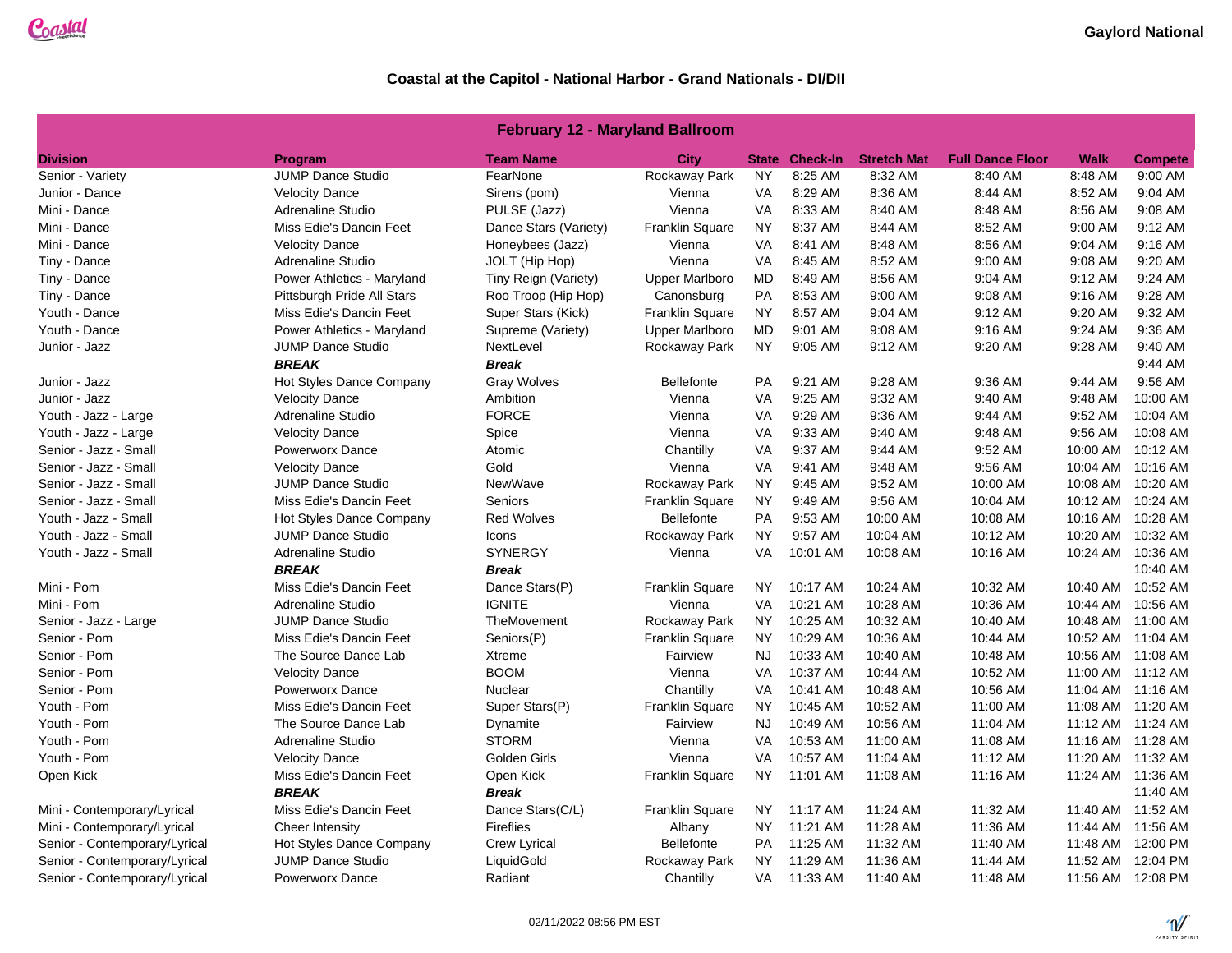### **February 12 - Maryland Ballroom**

| <b>Division</b>               | <b>Program</b>             | <b>Team Name</b>      | City                   | <b>State</b> | <b>Check-In</b> | <b>Stretch Mat</b> | <b>Full Dance Floor</b> | <b>Walk</b> | <b>Compete</b>    |
|-------------------------------|----------------------------|-----------------------|------------------------|--------------|-----------------|--------------------|-------------------------|-------------|-------------------|
| Senior - Variety              | <b>JUMP Dance Studio</b>   | FearNone              | Rockaway Park          | <b>NY</b>    | 8:25 AM         | 8:32 AM            | 8:40 AM                 | 8:48 AM     | 9:00 AM           |
| Junior - Dance                | <b>Velocity Dance</b>      | Sirens (pom)          | Vienna                 | VA           | 8:29 AM         | 8:36 AM            | 8:44 AM                 | 8:52 AM     | 9:04 AM           |
| Mini - Dance                  | Adrenaline Studio          | PULSE (Jazz)          | Vienna                 | VA           | 8:33 AM         | 8:40 AM            | 8:48 AM                 | 8:56 AM     | 9:08 AM           |
| Mini - Dance                  | Miss Edie's Dancin Feet    | Dance Stars (Variety) | <b>Franklin Square</b> | <b>NY</b>    | 8:37 AM         | 8:44 AM            | 8:52 AM                 | 9:00 AM     | 9:12 AM           |
| Mini - Dance                  | <b>Velocity Dance</b>      | Honeybees (Jazz)      | Vienna                 | VA           | 8:41 AM         | 8:48 AM            | 8:56 AM                 | 9:04 AM     | 9:16 AM           |
| Tiny - Dance                  | Adrenaline Studio          | JOLT (Hip Hop)        | Vienna                 | <b>VA</b>    | 8:45 AM         | 8:52 AM            | 9:00 AM                 | 9:08 AM     | 9:20 AM           |
| Tiny - Dance                  | Power Athletics - Maryland | Tiny Reign (Variety)  | <b>Upper Marlboro</b>  | MD           | 8:49 AM         | 8:56 AM            | 9:04 AM                 | 9:12 AM     | 9:24 AM           |
| Tiny - Dance                  | Pittsburgh Pride All Stars | Roo Troop (Hip Hop)   | Canonsburg             | PA           | 8:53 AM         | 9:00 AM            | 9:08 AM                 | 9:16 AM     | 9:28 AM           |
| Youth - Dance                 | Miss Edie's Dancin Feet    | Super Stars (Kick)    | Franklin Square        | <b>NY</b>    | 8:57 AM         | 9:04 AM            | 9:12 AM                 | 9:20 AM     | 9:32 AM           |
| Youth - Dance                 | Power Athletics - Maryland | Supreme (Variety)     | <b>Upper Marlboro</b>  | MD           | 9:01 AM         | 9:08 AM            | 9:16 AM                 | 9:24 AM     | 9:36 AM           |
| Junior - Jazz                 | <b>JUMP Dance Studio</b>   | NextLevel             | Rockaway Park          | <b>NY</b>    | 9:05 AM         | 9:12 AM            | 9:20 AM                 | 9:28 AM     | 9:40 AM           |
|                               | <b>BREAK</b>               | <b>Break</b>          |                        |              |                 |                    |                         |             | 9:44 AM           |
| Junior - Jazz                 | Hot Styles Dance Company   | <b>Gray Wolves</b>    | <b>Bellefonte</b>      | PA           | 9:21 AM         | 9:28 AM            | 9:36 AM                 | 9:44 AM     | 9:56 AM           |
| Junior - Jazz                 | <b>Velocity Dance</b>      | Ambition              | Vienna                 | <b>VA</b>    | 9:25 AM         | 9:32 AM            | 9:40 AM                 | 9:48 AM     | 10:00 AM          |
| Youth - Jazz - Large          | Adrenaline Studio          | <b>FORCE</b>          | Vienna                 | VA           | 9:29 AM         | 9:36 AM            | 9:44 AM                 | 9:52 AM     | 10:04 AM          |
| Youth - Jazz - Large          | <b>Velocity Dance</b>      | Spice                 | Vienna                 | VA           | 9:33 AM         | 9:40 AM            | 9:48 AM                 | 9:56 AM     | 10:08 AM          |
| Senior - Jazz - Small         | <b>Powerworx Dance</b>     | Atomic                | Chantilly              | <b>VA</b>    | 9:37 AM         | 9:44 AM            | 9:52 AM                 | 10:00 AM    | 10:12 AM          |
| Senior - Jazz - Small         | <b>Velocity Dance</b>      | Gold                  | Vienna                 | <b>VA</b>    | 9:41 AM         | 9:48 AM            | 9:56 AM                 | 10:04 AM    | 10:16 AM          |
| Senior - Jazz - Small         | <b>JUMP Dance Studio</b>   | NewWave               | Rockaway Park          | <b>NY</b>    | 9:45 AM         | 9:52 AM            | 10:00 AM                | 10:08 AM    | 10:20 AM          |
| Senior - Jazz - Small         | Miss Edie's Dancin Feet    | Seniors               | Franklin Square        | <b>NY</b>    | 9:49 AM         | 9:56 AM            | 10:04 AM                | 10:12 AM    | 10:24 AM          |
| Youth - Jazz - Small          | Hot Styles Dance Company   | <b>Red Wolves</b>     | <b>Bellefonte</b>      | PA           | 9:53 AM         | 10:00 AM           | 10:08 AM                | 10:16 AM    | 10:28 AM          |
| Youth - Jazz - Small          | <b>JUMP Dance Studio</b>   | Icons                 | Rockaway Park          | <b>NY</b>    | 9:57 AM         | 10:04 AM           | 10:12 AM                | 10:20 AM    | 10:32 AM          |
| Youth - Jazz - Small          | Adrenaline Studio          | <b>SYNERGY</b>        | Vienna                 | VA           | 10:01 AM        | 10:08 AM           | 10:16 AM                |             | 10:24 AM 10:36 AM |
|                               | <b>BREAK</b>               | <b>Break</b>          |                        |              |                 |                    |                         |             | 10:40 AM          |
| Mini - Pom                    | Miss Edie's Dancin Feet    | Dance Stars(P)        | <b>Franklin Square</b> | NY.          | 10:17 AM        | 10:24 AM           | 10:32 AM                | 10:40 AM    | 10:52 AM          |
| Mini - Pom                    | <b>Adrenaline Studio</b>   | <b>IGNITE</b>         | Vienna                 | <b>VA</b>    | 10:21 AM        | 10:28 AM           | 10:36 AM                | 10:44 AM    | 10:56 AM          |
| Senior - Jazz - Large         | <b>JUMP Dance Studio</b>   | TheMovement           | Rockaway Park          | <b>NY</b>    | 10:25 AM        | 10:32 AM           | 10:40 AM                | 10:48 AM    | 11:00 AM          |
| Senior - Pom                  | Miss Edie's Dancin Feet    | Seniors(P)            | <b>Franklin Square</b> | <b>NY</b>    | 10:29 AM        | 10:36 AM           | 10:44 AM                | 10:52 AM    | 11:04 AM          |
| Senior - Pom                  | The Source Dance Lab       | Xtreme                | Fairview               | <b>NJ</b>    | 10:33 AM        | 10:40 AM           | 10:48 AM                |             | 10:56 AM 11:08 AM |
| Senior - Pom                  | <b>Velocity Dance</b>      | <b>BOOM</b>           | Vienna                 | VA           | 10:37 AM        | 10:44 AM           | 10:52 AM                |             | 11:00 AM 11:12 AM |
| Senior - Pom                  | <b>Powerworx Dance</b>     | Nuclear               | Chantilly              | <b>VA</b>    | 10:41 AM        | 10:48 AM           | 10:56 AM                | 11:04 AM    | 11:16 AM          |
| Youth - Pom                   | Miss Edie's Dancin Feet    | Super Stars(P)        | Franklin Square        | <b>NY</b>    | 10:45 AM        | 10:52 AM           | 11:00 AM                |             | 11:08 AM 11:20 AM |
| Youth - Pom                   | The Source Dance Lab       | Dynamite              | Fairview               | NJ           | 10:49 AM        | 10:56 AM           | 11:04 AM                |             | 11:12 AM 11:24 AM |
| Youth - Pom                   | Adrenaline Studio          | <b>STORM</b>          | Vienna                 | <b>VA</b>    | 10:53 AM        | 11:00 AM           | 11:08 AM                |             | 11:16 AM 11:28 AM |
| Youth - Pom                   | <b>Velocity Dance</b>      | Golden Girls          | Vienna                 | VA           | 10:57 AM        | 11:04 AM           | 11:12 AM                | 11:20 AM    | 11:32 AM          |
| Open Kick                     | Miss Edie's Dancin Feet    | Open Kick             | Franklin Square        | NY.          | 11:01 AM        | 11:08 AM           | 11:16 AM                |             | 11:24 AM 11:36 AM |
|                               | <b>BREAK</b>               | <b>Break</b>          |                        |              |                 |                    |                         |             | 11:40 AM          |
| Mini - Contemporary/Lyrical   | Miss Edie's Dancin Feet    | Dance Stars(C/L)      | <b>Franklin Square</b> | NY.          | 11:17 AM        | 11:24 AM           | 11:32 AM                |             | 11:40 AM 11:52 AM |
| Mini - Contemporary/Lyrical   | Cheer Intensity            | <b>Fireflies</b>      | Albany                 | <b>NY</b>    | 11:21 AM        | 11:28 AM           | 11:36 AM                |             | 11:44 AM 11:56 AM |
| Senior - Contemporary/Lyrical | Hot Styles Dance Company   | <b>Crew Lyrical</b>   | <b>Bellefonte</b>      | PA           | 11:25 AM        | 11:32 AM           | 11:40 AM                |             | 11:48 AM 12:00 PM |
| Senior - Contemporary/Lyrical | <b>JUMP Dance Studio</b>   | LiquidGold            | Rockaway Park          | <b>NY</b>    | 11:29 AM        | 11:36 AM           | 11:44 AM                | 11:52 AM    | 12:04 PM          |
| Senior - Contemporary/Lyrical | <b>Powerworx Dance</b>     | Radiant               | Chantilly              | VA           | 11:33 AM        | 11:40 AM           | 11:48 AM                |             | 11:56 AM 12:08 PM |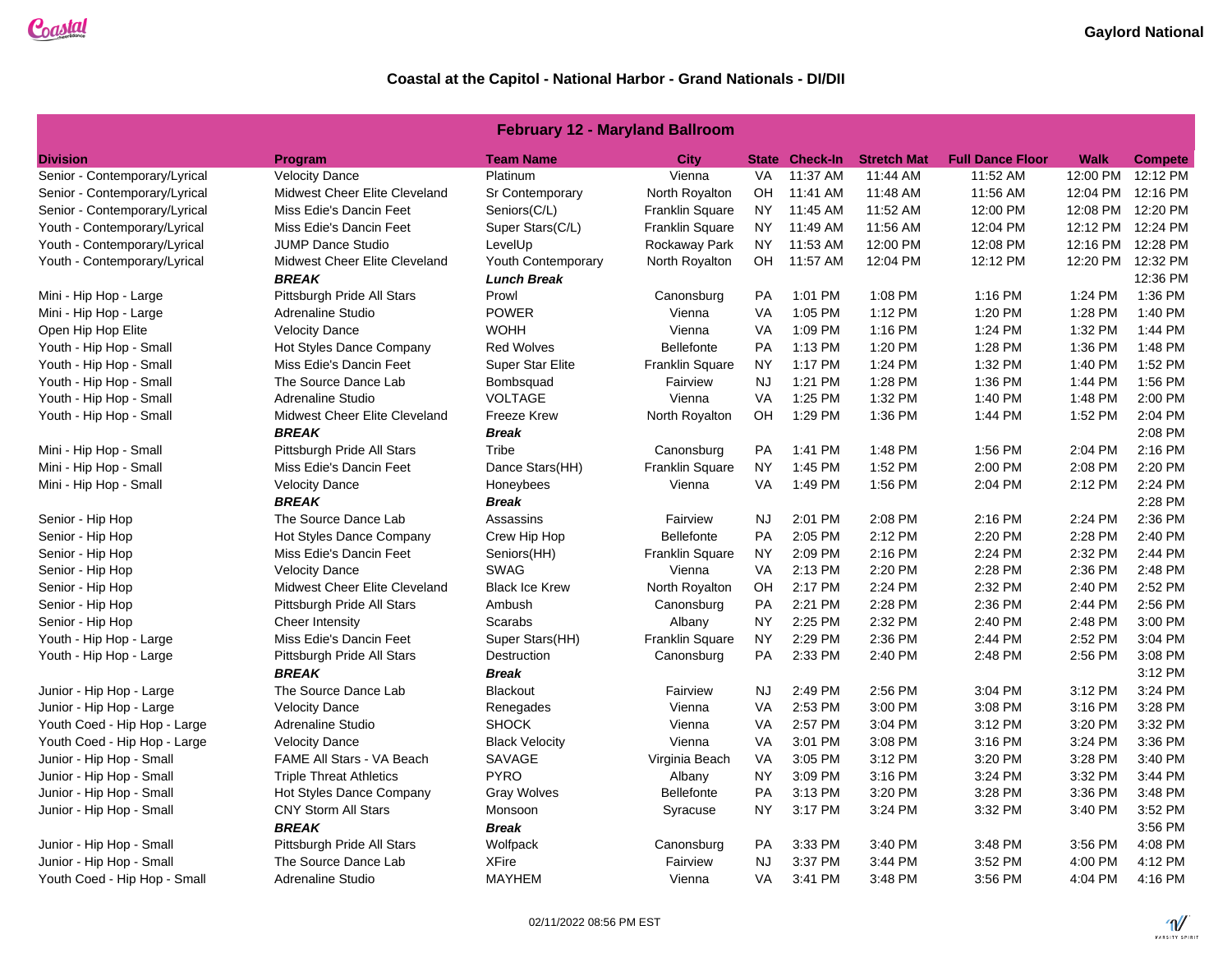### **February 12 - Maryland Ballroom**

|                                                  |                                         | <b>Team Name</b>          | <b>City</b>            |           | <b>State Check-In</b> | <b>Stretch Mat</b> | <b>Full Dance Floor</b> | <b>Walk</b> |                            |
|--------------------------------------------------|-----------------------------------------|---------------------------|------------------------|-----------|-----------------------|--------------------|-------------------------|-------------|----------------------------|
| <b>Division</b><br>Senior - Contemporary/Lyrical | <b>Program</b><br><b>Velocity Dance</b> | Platinum                  | Vienna                 | <b>VA</b> | 11:37 AM              | 11:44 AM           | 11:52 AM                | 12:00 PM    | <b>Compete</b><br>12:12 PM |
| Senior - Contemporary/Lyrical                    | Midwest Cheer Elite Cleveland           | Sr Contemporary           | North Royalton         | OH        | 11:41 AM              | 11:48 AM           | 11:56 AM                | 12:04 PM    | 12:16 PM                   |
| Senior - Contemporary/Lyrical                    | Miss Edie's Dancin Feet                 | Seniors(C/L)              | <b>Franklin Square</b> | <b>NY</b> | 11:45 AM              | 11:52 AM           | 12:00 PM                | 12:08 PM    | 12:20 PM                   |
| Youth - Contemporary/Lyrical                     | Miss Edie's Dancin Feet                 | Super Stars(C/L)          | <b>Franklin Square</b> | <b>NY</b> | 11:49 AM              | 11:56 AM           | 12:04 PM                | 12:12 PM    | 12:24 PM                   |
| Youth - Contemporary/Lyrical                     | <b>JUMP Dance Studio</b>                | LevelUp                   | Rockaway Park          | <b>NY</b> | 11:53 AM              | 12:00 PM           | 12:08 PM                | 12:16 PM    | 12:28 PM                   |
| Youth - Contemporary/Lyrical                     | Midwest Cheer Elite Cleveland           | <b>Youth Contemporary</b> | North Royalton         | OH        | 11:57 AM              | 12:04 PM           | 12:12 PM                |             | 12:20 PM 12:32 PM          |
|                                                  | <b>BREAK</b>                            | <b>Lunch Break</b>        |                        |           |                       |                    |                         |             | 12:36 PM                   |
| Mini - Hip Hop - Large                           | Pittsburgh Pride All Stars              | Prowl                     | Canonsburg             | <b>PA</b> | 1:01 PM               | 1:08 PM            | 1:16 PM                 | 1:24 PM     | 1:36 PM                    |
| Mini - Hip Hop - Large                           | <b>Adrenaline Studio</b>                | <b>POWER</b>              | Vienna                 | <b>VA</b> | 1:05 PM               | 1:12 PM            | 1:20 PM                 | 1:28 PM     | 1:40 PM                    |
| Open Hip Hop Elite                               | <b>Velocity Dance</b>                   | <b>WOHH</b>               | Vienna                 | <b>VA</b> | 1:09 PM               | 1:16 PM            | 1:24 PM                 | 1:32 PM     | 1:44 PM                    |
| Youth - Hip Hop - Small                          | Hot Styles Dance Company                | <b>Red Wolves</b>         | <b>Bellefonte</b>      | <b>PA</b> | 1:13 PM               | 1:20 PM            | 1:28 PM                 | 1:36 PM     | 1:48 PM                    |
| Youth - Hip Hop - Small                          | Miss Edie's Dancin Feet                 | <b>Super Star Elite</b>   | <b>Franklin Square</b> | <b>NY</b> | 1:17 PM               | 1:24 PM            | 1:32 PM                 | 1:40 PM     | 1:52 PM                    |
| Youth - Hip Hop - Small                          | The Source Dance Lab                    | Bombsquad                 | Fairview               | <b>NJ</b> | 1:21 PM               | 1:28 PM            | 1:36 PM                 | 1:44 PM     | 1:56 PM                    |
| Youth - Hip Hop - Small                          | <b>Adrenaline Studio</b>                | <b>VOLTAGE</b>            | Vienna                 | <b>VA</b> | 1:25 PM               | 1:32 PM            | 1:40 PM                 | 1:48 PM     | 2:00 PM                    |
| Youth - Hip Hop - Small                          | Midwest Cheer Elite Cleveland           | <b>Freeze Krew</b>        | North Royalton         | OH        | 1:29 PM               | 1:36 PM            | 1:44 PM                 | 1:52 PM     | 2:04 PM                    |
|                                                  | <b>BREAK</b>                            | <b>Break</b>              |                        |           |                       |                    |                         |             | 2:08 PM                    |
| Mini - Hip Hop - Small                           | Pittsburgh Pride All Stars              | Tribe                     | Canonsburg             | <b>PA</b> | 1:41 PM               | 1:48 PM            | 1:56 PM                 | 2:04 PM     | 2:16 PM                    |
| Mini - Hip Hop - Small                           | Miss Edie's Dancin Feet                 | Dance Stars(HH)           | Franklin Square        | <b>NY</b> | 1:45 PM               | 1:52 PM            | 2:00 PM                 | 2:08 PM     | 2:20 PM                    |
| Mini - Hip Hop - Small                           | <b>Velocity Dance</b>                   | Honeybees                 | Vienna                 | <b>VA</b> | 1:49 PM               | 1:56 PM            | 2:04 PM                 | 2:12 PM     | 2:24 PM                    |
|                                                  | <b>BREAK</b>                            | <b>Break</b>              |                        |           |                       |                    |                         |             | 2:28 PM                    |
| Senior - Hip Hop                                 | The Source Dance Lab                    | Assassins                 | Fairview               | <b>NJ</b> | 2:01 PM               | 2:08 PM            | 2:16 PM                 | 2:24 PM     | 2:36 PM                    |
| Senior - Hip Hop                                 | Hot Styles Dance Company                | Crew Hip Hop              | <b>Bellefonte</b>      | <b>PA</b> | 2:05 PM               | 2:12 PM            | 2:20 PM                 | 2:28 PM     | 2:40 PM                    |
| Senior - Hip Hop                                 | Miss Edie's Dancin Feet                 | Seniors(HH)               | Franklin Square        | <b>NY</b> | 2:09 PM               | 2:16 PM            | 2:24 PM                 | 2:32 PM     | 2:44 PM                    |
| Senior - Hip Hop                                 | <b>Velocity Dance</b>                   | <b>SWAG</b>               | Vienna                 | <b>VA</b> | 2:13 PM               | 2:20 PM            | 2:28 PM                 | 2:36 PM     | 2:48 PM                    |
| Senior - Hip Hop                                 | Midwest Cheer Elite Cleveland           | <b>Black Ice Krew</b>     | North Royalton         | OH        | 2:17 PM               | 2:24 PM            | 2:32 PM                 | 2:40 PM     | 2:52 PM                    |
| Senior - Hip Hop                                 | Pittsburgh Pride All Stars              | Ambush                    | Canonsburg             | <b>PA</b> | 2:21 PM               | 2:28 PM            | 2:36 PM                 | 2:44 PM     | 2:56 PM                    |
| Senior - Hip Hop                                 | Cheer Intensity                         | Scarabs                   | Albany                 | <b>NY</b> | 2:25 PM               | 2:32 PM            | 2:40 PM                 | 2:48 PM     | 3:00 PM                    |
| Youth - Hip Hop - Large                          | Miss Edie's Dancin Feet                 | Super Stars(HH)           | Franklin Square        | <b>NY</b> | 2:29 PM               | 2:36 PM            | 2:44 PM                 | 2:52 PM     | 3:04 PM                    |
| Youth - Hip Hop - Large                          | Pittsburgh Pride All Stars              | Destruction               | Canonsburg             | PA        | 2:33 PM               | 2:40 PM            | 2:48 PM                 | 2:56 PM     | 3:08 PM                    |
|                                                  | <b>BREAK</b>                            | <b>Break</b>              |                        |           |                       |                    |                         |             | 3:12 PM                    |
| Junior - Hip Hop - Large                         | The Source Dance Lab                    | <b>Blackout</b>           | Fairview               | NJ.       | 2:49 PM               | 2:56 PM            | 3:04 PM                 | 3:12 PM     | 3:24 PM                    |
| Junior - Hip Hop - Large                         | <b>Velocity Dance</b>                   | Renegades                 | Vienna                 | <b>VA</b> | 2:53 PM               | 3:00 PM            | 3:08 PM                 | 3:16 PM     | 3:28 PM                    |
| Youth Coed - Hip Hop - Large                     | Adrenaline Studio                       | <b>SHOCK</b>              | Vienna                 | <b>VA</b> | 2:57 PM               | 3:04 PM            | 3:12 PM                 | 3:20 PM     | 3:32 PM                    |
| Youth Coed - Hip Hop - Large                     | <b>Velocity Dance</b>                   | <b>Black Velocity</b>     | Vienna                 | <b>VA</b> | 3:01 PM               | 3:08 PM            | 3:16 PM                 | 3:24 PM     | 3:36 PM                    |
| Junior - Hip Hop - Small                         | FAME All Stars - VA Beach               | SAVAGE                    | Virginia Beach         | <b>VA</b> | 3:05 PM               | 3:12 PM            | 3:20 PM                 | 3:28 PM     | 3:40 PM                    |
| Junior - Hip Hop - Small                         | <b>Triple Threat Athletics</b>          | <b>PYRO</b>               | Albany                 | <b>NY</b> | 3:09 PM               | 3:16 PM            | 3:24 PM                 | 3:32 PM     | 3:44 PM                    |
| Junior - Hip Hop - Small                         | Hot Styles Dance Company                | <b>Gray Wolves</b>        | <b>Bellefonte</b>      | PA        | 3:13 PM               | 3:20 PM            | 3:28 PM                 | 3:36 PM     | 3:48 PM                    |
| Junior - Hip Hop - Small                         | <b>CNY Storm All Stars</b>              | Monsoon                   | Syracuse               | <b>NY</b> | 3:17 PM               | 3:24 PM            | 3:32 PM                 | 3:40 PM     | 3:52 PM                    |
|                                                  | <b>BREAK</b>                            | <b>Break</b>              |                        |           |                       |                    |                         |             | 3:56 PM                    |
| Junior - Hip Hop - Small                         | Pittsburgh Pride All Stars              | Wolfpack                  | Canonsburg             | <b>PA</b> | 3:33 PM               | 3:40 PM            | 3:48 PM                 | 3:56 PM     | 4:08 PM                    |
| Junior - Hip Hop - Small                         | The Source Dance Lab                    | <b>XFire</b>              | Fairview               | NJ        | 3:37 PM               | 3:44 PM            | 3:52 PM                 | 4:00 PM     | 4:12 PM                    |
| Youth Coed - Hip Hop - Small                     | <b>Adrenaline Studio</b>                | <b>MAYHEM</b>             | Vienna                 | <b>VA</b> | 3:41 PM               | 3:48 PM            | 3:56 PM                 | 4:04 PM     | 4:16 PM                    |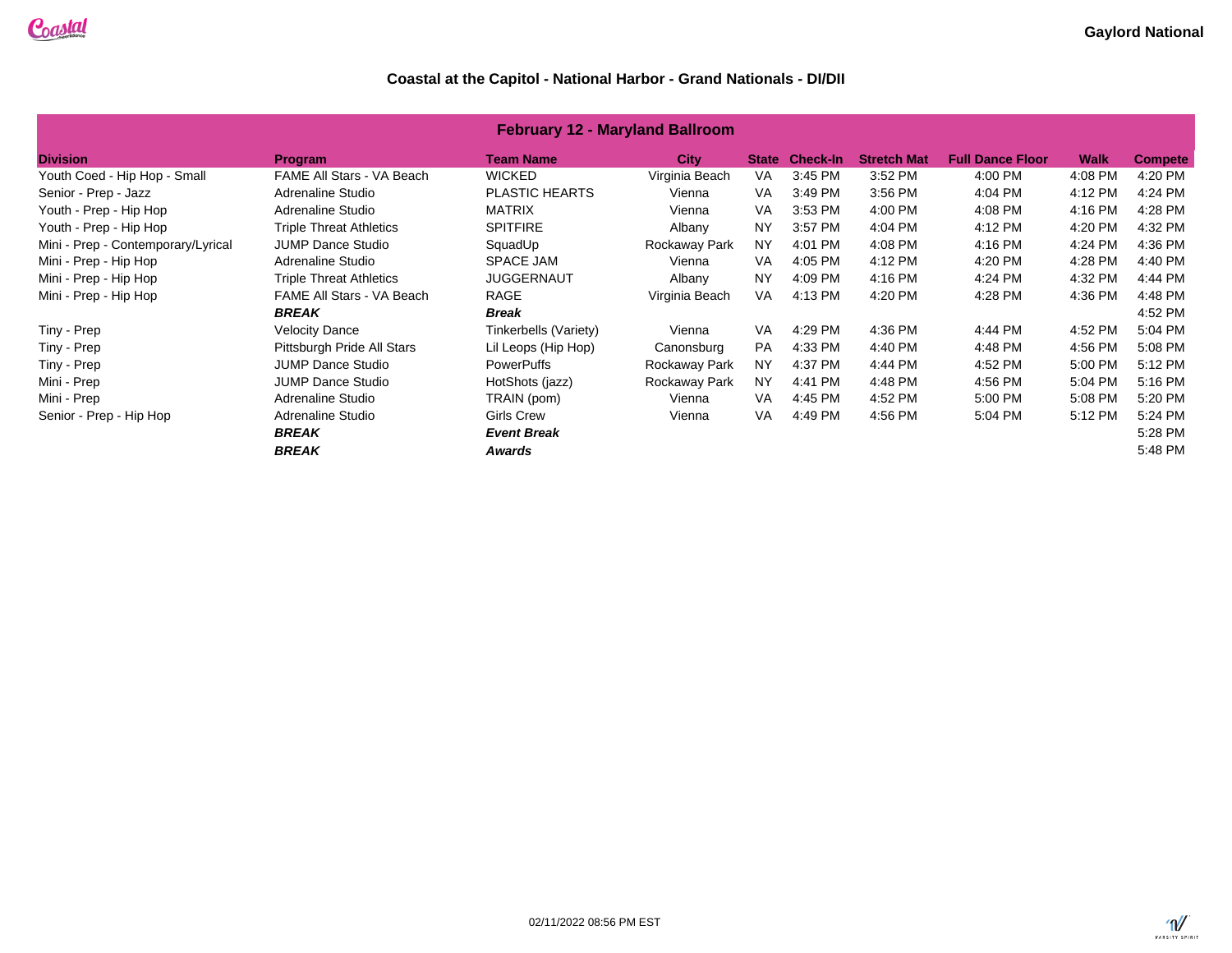| <b>February 12 - Maryland Ballroom</b> |                                |                       |                |              |                 |                    |                         |             |                |  |
|----------------------------------------|--------------------------------|-----------------------|----------------|--------------|-----------------|--------------------|-------------------------|-------------|----------------|--|
| <b>Division</b>                        | <b>Program</b>                 | <b>Team Name</b>      | <b>City</b>    | <b>State</b> | <b>Check-In</b> | <b>Stretch Mat</b> | <b>Full Dance Floor</b> | <b>Walk</b> | <b>Compete</b> |  |
| Youth Coed - Hip Hop - Small           | FAME All Stars - VA Beach      | <b>WICKED</b>         | Virginia Beach | VA.          | 3:45 PM         | 3:52 PM            | 4:00 PM                 | 4:08 PM     | 4:20 PM        |  |
| Senior - Prep - Jazz                   | Adrenaline Studio              | <b>PLASTIC HEARTS</b> | Vienna         | <b>VA</b>    | 3:49 PM         | 3:56 PM            | 4:04 PM                 | 4:12 PM     | 4:24 PM        |  |
| Youth - Prep - Hip Hop                 | Adrenaline Studio              | <b>MATRIX</b>         | Vienna         | VA           | 3:53 PM         | 4:00 PM            | 4:08 PM                 | 4:16 PM     | 4:28 PM        |  |
| Youth - Prep - Hip Hop                 | <b>Triple Threat Athletics</b> | <b>SPITFIRE</b>       | Albany         | <b>NY</b>    | 3:57 PM         | 4:04 PM            | 4:12 PM                 | 4:20 PM     | 4:32 PM        |  |
| Mini - Prep - Contemporary/Lyrical     | <b>JUMP Dance Studio</b>       | SquadUp               | Rockaway Park  | <b>NY</b>    | 4:01 PM         | 4:08 PM            | 4:16 PM                 | 4:24 PM     | 4:36 PM        |  |
| Mini - Prep - Hip Hop                  | Adrenaline Studio              | <b>SPACE JAM</b>      | Vienna         | <b>VA</b>    | 4:05 PM         | 4:12 PM            | 4:20 PM                 | 4:28 PM     | 4:40 PM        |  |
| Mini - Prep - Hip Hop                  | <b>Triple Threat Athletics</b> | <b>JUGGERNAUT</b>     | Albany         | <b>NY</b>    | 4:09 PM         | 4:16 PM            | 4:24 PM                 | 4:32 PM     | 4:44 PM        |  |
| Mini - Prep - Hip Hop                  | FAME All Stars - VA Beach      | RAGE                  | Virginia Beach | <b>VA</b>    | 4:13 PM         | 4:20 PM            | 4:28 PM                 | 4:36 PM     | 4:48 PM        |  |
|                                        | <b>BREAK</b>                   | <b>Break</b>          |                |              |                 |                    |                         |             | 4:52 PM        |  |
| Tiny - Prep                            | <b>Velocity Dance</b>          | Tinkerbells (Variety) | Vienna         | <b>VA</b>    | 4:29 PM         | 4:36 PM            | 4:44 PM                 | 4:52 PM     | 5:04 PM        |  |
| Tiny - Prep                            | Pittsburgh Pride All Stars     | Lil Leops (Hip Hop)   | Canonsburg     | <b>PA</b>    | 4:33 PM         | 4:40 PM            | 4:48 PM                 | 4:56 PM     | 5:08 PM        |  |
| Tiny - Prep                            | <b>JUMP Dance Studio</b>       | <b>PowerPuffs</b>     | Rockaway Park  | <b>NY</b>    | 4:37 PM         | 4:44 PM            | 4:52 PM                 | 5:00 PM     | 5:12 PM        |  |
| Mini - Prep                            | <b>JUMP Dance Studio</b>       | HotShots (jazz)       | Rockaway Park  | <b>NY</b>    | 4:41 PM         | 4:48 PM            | 4:56 PM                 | 5:04 PM     | 5:16 PM        |  |
| Mini - Prep                            | Adrenaline Studio              | TRAIN (pom)           | Vienna         | VA           | 4:45 PM         | 4:52 PM            | 5:00 PM                 | 5:08 PM     | 5:20 PM        |  |
| Senior - Prep - Hip Hop                | Adrenaline Studio              | <b>Girls Crew</b>     | Vienna         | <b>VA</b>    | 4:49 PM         | 4:56 PM            | 5:04 PM                 | 5:12 PM     | 5:24 PM        |  |
|                                        | <b>BREAK</b>                   | <b>Event Break</b>    |                |              |                 |                    |                         |             | 5:28 PM        |  |
|                                        | <b>BREAK</b>                   | Awards                |                |              |                 |                    |                         |             | 5:48 PM        |  |

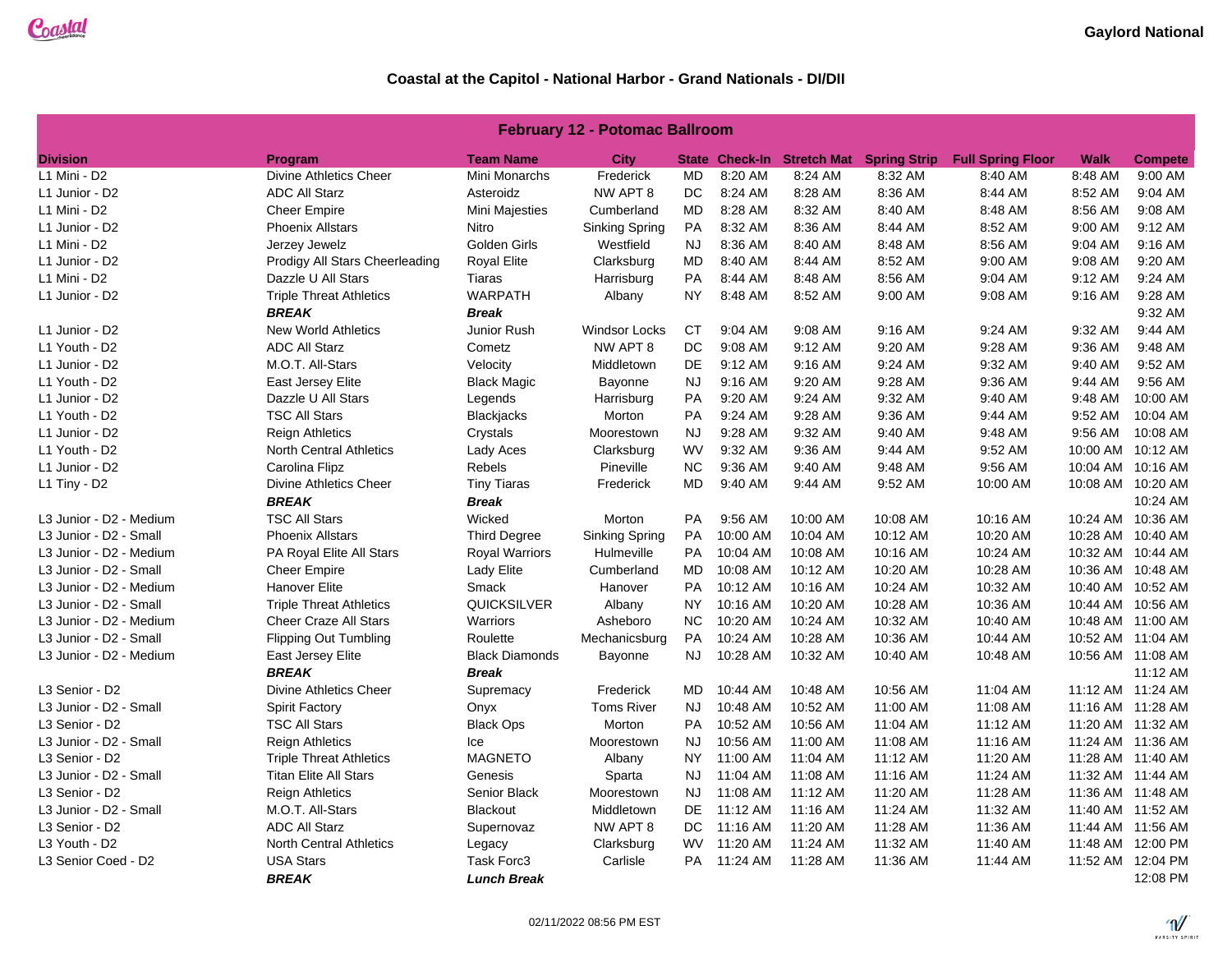### **February 12 - Potomac Ballroom**

| <b>Division</b>         | Program                        | <b>Team Name</b>      | City                  |           |          |          | State Check-In Stretch Mat Spring Strip | <b>Full Spring Floor</b> | <b>Walk</b> | <b>Compete</b>    |
|-------------------------|--------------------------------|-----------------------|-----------------------|-----------|----------|----------|-----------------------------------------|--------------------------|-------------|-------------------|
| L1 Mini - D2            | Divine Athletics Cheer         | Mini Monarchs         | Frederick             | MD        | 8:20 AM  | 8:24 AM  | 8:32 AM                                 | 8:40 AM                  | 8:48 AM     | 9:00 AM           |
| L1 Junior - D2          | <b>ADC All Starz</b>           | Asteroidz             | NW APT 8              | DC        | 8:24 AM  | 8:28 AM  | 8:36 AM                                 | 8:44 AM                  | 8:52 AM     | 9:04 AM           |
| L1 Mini - D2            | <b>Cheer Empire</b>            | Mini Majesties        | Cumberland            | MD        | 8:28 AM  | 8:32 AM  | 8:40 AM                                 | 8:48 AM                  | 8:56 AM     | 9:08 AM           |
| L1 Junior - D2          | <b>Phoenix Allstars</b>        | Nitro                 | <b>Sinking Spring</b> | PA        | 8:32 AM  | 8:36 AM  | 8:44 AM                                 | 8:52 AM                  | 9:00 AM     | 9:12 AM           |
| L1 Mini - D2            | Jerzey Jewelz                  | Golden Girls          | Westfield             | <b>NJ</b> | 8:36 AM  | 8:40 AM  | 8:48 AM                                 | 8:56 AM                  | 9:04 AM     | 9:16 AM           |
| L1 Junior - D2          | Prodigy All Stars Cheerleading | <b>Royal Elite</b>    | Clarksburg            | MD        | 8:40 AM  | 8:44 AM  | 8:52 AM                                 | 9:00 AM                  | 9:08 AM     | 9:20 AM           |
| L1 Mini - D2            | Dazzle U All Stars             | Tiaras                | Harrisburg            | PA        | 8:44 AM  | 8:48 AM  | 8:56 AM                                 | 9:04 AM                  | 9:12 AM     | 9:24 AM           |
| L1 Junior - D2          | <b>Triple Threat Athletics</b> | <b>WARPATH</b>        | Albany                | NY.       | 8:48 AM  | 8:52 AM  | 9:00 AM                                 | 9:08 AM                  | 9:16 AM     | 9:28 AM           |
|                         | <b>BREAK</b>                   | <b>Break</b>          |                       |           |          |          |                                         |                          |             | 9:32 AM           |
| L1 Junior - D2          | <b>New World Athletics</b>     | Junior Rush           | <b>Windsor Locks</b>  | CT        | 9:04 AM  | 9:08 AM  | 9:16 AM                                 | 9:24 AM                  | 9:32 AM     | 9:44 AM           |
| L1 Youth - D2           | <b>ADC All Starz</b>           | Cometz                | NW APT 8              | DC        | 9:08 AM  | 9:12 AM  | 9:20 AM                                 | 9:28 AM                  | 9:36 AM     | 9:48 AM           |
|                         |                                |                       |                       |           |          |          |                                         |                          |             |                   |
| L1 Junior - D2          | M.O.T. All-Stars               | Velocity              | Middletown            | DE        | 9:12 AM  | 9:16 AM  | 9:24 AM                                 | 9:32 AM                  | 9:40 AM     | 9:52 AM           |
| L1 Youth - D2           | East Jersey Elite              | <b>Black Magic</b>    | Bayonne               | <b>NJ</b> | 9:16 AM  | 9:20 AM  | 9:28 AM                                 | 9:36 AM                  | 9:44 AM     | 9:56 AM           |
| L1 Junior - D2          | Dazzle U All Stars             | Legends               | Harrisburg            | PA        | 9:20 AM  | 9:24 AM  | 9:32 AM                                 | 9:40 AM                  | 9:48 AM     | 10:00 AM          |
| L1 Youth - D2           | <b>TSC All Stars</b>           | Blackjacks            | Morton                | PA        | 9:24 AM  | 9:28 AM  | 9:36 AM                                 | 9:44 AM                  | 9:52 AM     | 10:04 AM          |
| L1 Junior - D2          | <b>Reign Athletics</b>         | Crystals              | Moorestown            | <b>NJ</b> | 9:28 AM  | 9:32 AM  | 9:40 AM                                 | 9:48 AM                  | 9:56 AM     | 10:08 AM          |
| L1 Youth - D2           | <b>North Central Athletics</b> | Lady Aces             | Clarksburg            | <b>WV</b> | 9:32 AM  | 9:36 AM  | 9:44 AM                                 | 9:52 AM                  |             | 10:00 AM 10:12 AM |
| L1 Junior - D2          | Carolina Flipz                 | Rebels                | Pineville             | NC        | 9:36 AM  | 9:40 AM  | 9:48 AM                                 | 9:56 AM                  |             | 10:04 AM 10:16 AM |
| $L1$ Tiny - D2          | <b>Divine Athletics Cheer</b>  | <b>Tiny Tiaras</b>    | Frederick             | MD        | 9:40 AM  | 9:44 AM  | 9:52 AM                                 | 10:00 AM                 |             | 10:08 AM 10:20 AM |
|                         | <b>BREAK</b>                   | <b>Break</b>          |                       |           |          |          |                                         |                          |             | 10:24 AM          |
| L3 Junior - D2 - Medium | <b>TSC All Stars</b>           | Wicked                | Morton                | <b>PA</b> | 9:56 AM  | 10:00 AM | 10:08 AM                                | 10:16 AM                 |             | 10:24 AM 10:36 AM |
| L3 Junior - D2 - Small  | <b>Phoenix Allstars</b>        | <b>Third Degree</b>   | Sinking Spring        | <b>PA</b> | 10:00 AM | 10:04 AM | 10:12 AM                                | 10:20 AM                 |             | 10:28 AM 10:40 AM |
| L3 Junior - D2 - Medium | PA Royal Elite All Stars       | <b>Royal Warriors</b> | Hulmeville            | <b>PA</b> | 10:04 AM | 10:08 AM | 10:16 AM                                | 10:24 AM                 |             | 10:32 AM 10:44 AM |
| L3 Junior - D2 - Small  | <b>Cheer Empire</b>            | Lady Elite            | Cumberland            | MD        | 10:08 AM | 10:12 AM | 10:20 AM                                | 10:28 AM                 |             | 10:36 AM 10:48 AM |
| L3 Junior - D2 - Medium | <b>Hanover Elite</b>           | Smack                 | Hanover               | <b>PA</b> | 10:12 AM | 10:16 AM | 10:24 AM                                | 10:32 AM                 |             | 10:40 AM 10:52 AM |
| L3 Junior - D2 - Small  | <b>Triple Threat Athletics</b> | QUICKSILVER           | Albany                | NY.       | 10:16 AM | 10:20 AM | 10:28 AM                                | 10:36 AM                 |             | 10:44 AM 10:56 AM |
| L3 Junior - D2 - Medium | <b>Cheer Craze All Stars</b>   | Warriors              | Asheboro              | $NC$      | 10:20 AM | 10:24 AM | 10:32 AM                                | 10:40 AM                 |             | 10:48 AM 11:00 AM |
| L3 Junior - D2 - Small  | <b>Flipping Out Tumbling</b>   | Roulette              | Mechanicsburg         | <b>PA</b> | 10:24 AM | 10:28 AM | 10:36 AM                                | 10:44 AM                 |             | 10:52 AM 11:04 AM |
| L3 Junior - D2 - Medium | East Jersey Elite              | <b>Black Diamonds</b> | Bayonne               | NJ        | 10:28 AM | 10:32 AM | 10:40 AM                                | 10:48 AM                 |             | 10:56 AM 11:08 AM |
|                         | <b>BREAK</b>                   | <b>Break</b>          |                       |           |          |          |                                         |                          |             | 11:12 AM          |
| L3 Senior - D2          | <b>Divine Athletics Cheer</b>  | Supremacy             | Frederick             | MD.       | 10:44 AM | 10:48 AM | 10:56 AM                                | 11:04 AM                 |             | 11:12 AM 11:24 AM |
| L3 Junior - D2 - Small  | <b>Spirit Factory</b>          | Onyx                  | <b>Toms River</b>     | <b>NJ</b> | 10:48 AM | 10:52 AM | 11:00 AM                                | 11:08 AM                 |             | 11:16 AM 11:28 AM |
| L3 Senior - D2          | <b>TSC All Stars</b>           | <b>Black Ops</b>      | Morton                | <b>PA</b> | 10:52 AM | 10:56 AM | 11:04 AM                                | 11:12 AM                 |             | 11:20 AM 11:32 AM |
| L3 Junior - D2 - Small  | <b>Reign Athletics</b>         | lce                   | Moorestown            | <b>NJ</b> | 10:56 AM | 11:00 AM | 11:08 AM                                | 11:16 AM                 |             | 11:24 AM 11:36 AM |
| L3 Senior - D2          | <b>Triple Threat Athletics</b> | <b>MAGNETO</b>        | Albany                | <b>NY</b> | 11:00 AM | 11:04 AM | 11:12 AM                                | 11:20 AM                 |             | 11:28 AM 11:40 AM |
| L3 Junior - D2 - Small  | <b>Titan Elite All Stars</b>   | Genesis               | Sparta                | NJ.       | 11:04 AM | 11:08 AM | 11:16 AM                                | 11:24 AM                 |             | 11:32 AM 11:44 AM |
| L3 Senior - D2          | <b>Reign Athletics</b>         | Senior Black          | Moorestown            | <b>NJ</b> | 11:08 AM | 11:12 AM | 11:20 AM                                | 11:28 AM                 |             | 11:36 AM 11:48 AM |
| L3 Junior - D2 - Small  | M.O.T. All-Stars               | Blackout              | Middletown            | <b>DE</b> | 11:12 AM | 11:16 AM | 11:24 AM                                | 11:32 AM                 |             | 11:40 AM 11:52 AM |
| L3 Senior - D2          | <b>ADC All Starz</b>           | Supernovaz            | NW APT 8              | DC.       | 11:16 AM | 11:20 AM | 11:28 AM                                | 11:36 AM                 |             | 11:44 AM 11:56 AM |
| L3 Youth - D2           | <b>North Central Athletics</b> | Legacy                | Clarksburg            | <b>WV</b> | 11:20 AM | 11:24 AM | 11:32 AM                                | 11:40 AM                 |             | 11:48 AM 12:00 PM |
| L3 Senior Coed - D2     | <b>USA Stars</b>               | Task Forc3            | Carlisle              | PA        | 11:24 AM | 11:28 AM | 11:36 AM                                | 11:44 AM                 |             | 11:52 AM 12:04 PM |
|                         | <b>BREAK</b>                   | <b>Lunch Break</b>    |                       |           |          |          |                                         |                          |             | 12:08 PM          |
|                         |                                |                       |                       |           |          |          |                                         |                          |             |                   |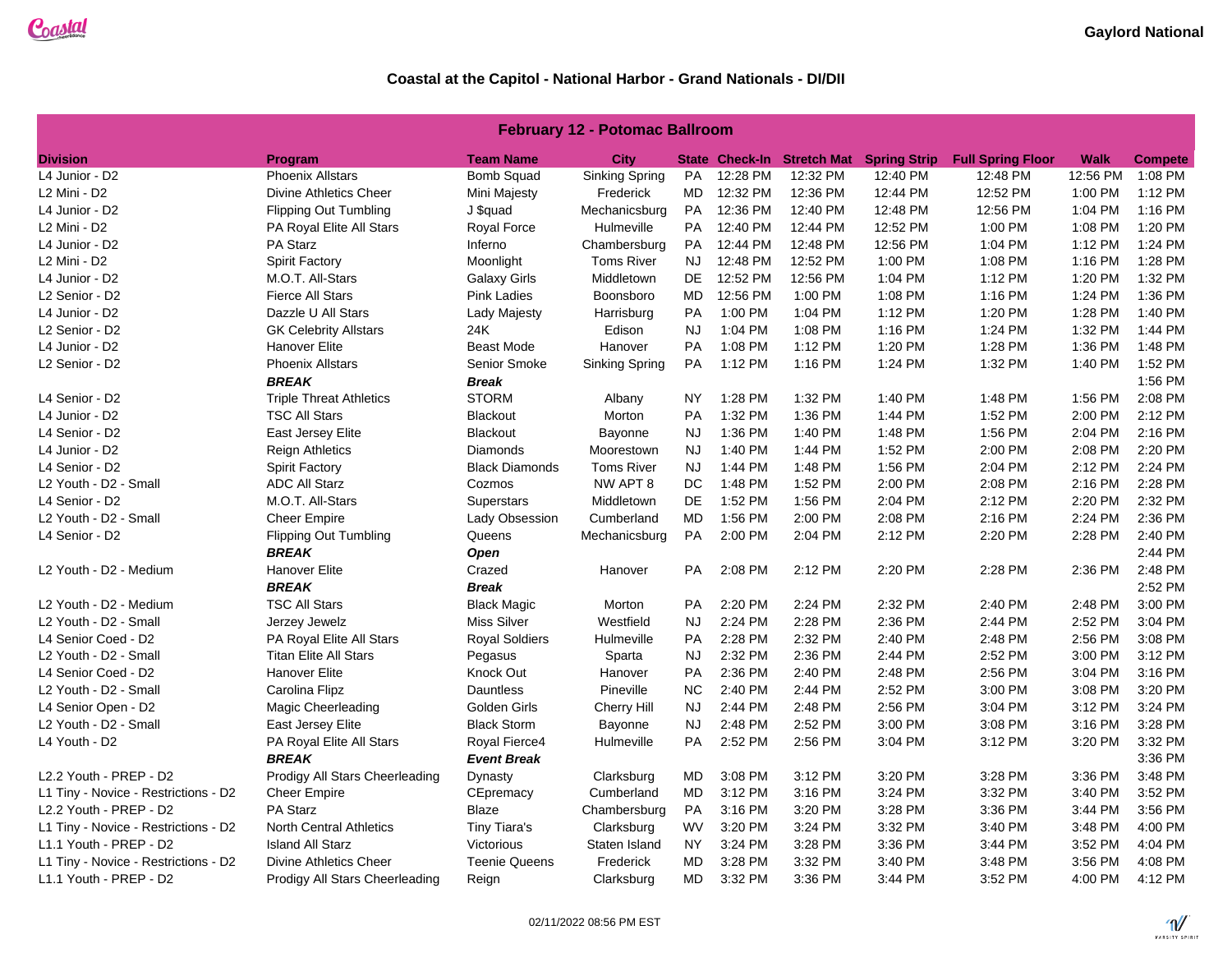| <b>February 12 - Potomac Ballroom</b> |  |  |  |
|---------------------------------------|--|--|--|
|---------------------------------------|--|--|--|

| <b>Division</b>                      | Program                        | <b>Team Name</b>      | <b>City</b>       |           |          | State Check-In Stretch Mat | <b>Spring Strip</b> | <b>Full Spring Floor</b> | Walk     | <b>Compete</b> |
|--------------------------------------|--------------------------------|-----------------------|-------------------|-----------|----------|----------------------------|---------------------|--------------------------|----------|----------------|
| L4 Junior - D2                       | <b>Phoenix Allstars</b>        | Bomb Squad            | Sinking Spring    | PA        | 12:28 PM | 12:32 PM                   | 12:40 PM            | 12:48 PM                 | 12:56 PM | 1:08 PM        |
| L2 Mini - D2                         | <b>Divine Athletics Cheer</b>  | Mini Majesty          | Frederick         | MD        | 12:32 PM | 12:36 PM                   | 12:44 PM            | 12:52 PM                 | 1:00 PM  | 1:12 PM        |
| L4 Junior - D2                       | <b>Flipping Out Tumbling</b>   | J \$quad              | Mechanicsburg     | PA        | 12:36 PM | 12:40 PM                   | 12:48 PM            | 12:56 PM                 | 1:04 PM  | 1:16 PM        |
| L2 Mini - D2                         | PA Royal Elite All Stars       | Royal Force           | Hulmeville        | PA        | 12:40 PM | 12:44 PM                   | 12:52 PM            | 1:00 PM                  | 1:08 PM  | 1:20 PM        |
| L4 Junior - D2                       | PA Starz                       | Inferno               | Chambersburg      | PA        | 12:44 PM | 12:48 PM                   | 12:56 PM            | 1:04 PM                  | 1:12 PM  | 1:24 PM        |
| L2 Mini - D2                         | <b>Spirit Factory</b>          | Moonlight             | <b>Toms River</b> | NJ.       | 12:48 PM | 12:52 PM                   | 1:00 PM             | 1:08 PM                  | 1:16 PM  | 1:28 PM        |
| L4 Junior - D2                       | M.O.T. All-Stars               | <b>Galaxy Girls</b>   | Middletown        | DE        | 12:52 PM | 12:56 PM                   | 1:04 PM             | 1:12 PM                  | 1:20 PM  | 1:32 PM        |
| L2 Senior - D2                       | <b>Fierce All Stars</b>        | <b>Pink Ladies</b>    | Boonsboro         | MD        | 12:56 PM | 1:00 PM                    | 1:08 PM             | 1:16 PM                  | 1:24 PM  | 1:36 PM        |
| L4 Junior - D2                       | Dazzle U All Stars             | Lady Majesty          | Harrisburg        | PA        | 1:00 PM  | 1:04 PM                    | 1:12 PM             | 1:20 PM                  | 1:28 PM  | 1:40 PM        |
| L2 Senior - D2                       | <b>GK Celebrity Allstars</b>   | 24K                   | Edison            | <b>NJ</b> | 1:04 PM  | 1:08 PM                    | 1:16 PM             | 1:24 PM                  | 1:32 PM  | 1:44 PM        |
| L4 Junior - D2                       | <b>Hanover Elite</b>           | <b>Beast Mode</b>     | Hanover           | PA        | 1:08 PM  | 1:12 PM                    | 1:20 PM             | 1:28 PM                  | 1:36 PM  | 1:48 PM        |
| L2 Senior - D2                       | <b>Phoenix Allstars</b>        | Senior Smoke          | Sinking Spring    | PA        | 1:12 PM  | 1:16 PM                    | 1:24 PM             | 1:32 PM                  | 1:40 PM  | 1:52 PM        |
|                                      | <b>BREAK</b>                   | <b>Break</b>          |                   |           |          |                            |                     |                          |          | 1:56 PM        |
| L4 Senior - D2                       | <b>Triple Threat Athletics</b> | <b>STORM</b>          | Albany            | NY        | 1:28 PM  | 1:32 PM                    | 1:40 PM             | 1:48 PM                  | 1:56 PM  | 2:08 PM        |
| L4 Junior - D2                       | <b>TSC All Stars</b>           | <b>Blackout</b>       | Morton            | PA        | 1:32 PM  | 1:36 PM                    | 1:44 PM             | 1:52 PM                  | 2:00 PM  | 2:12 PM        |
| L4 Senior - D2                       | East Jersey Elite              | <b>Blackout</b>       | Bayonne           | <b>NJ</b> | 1:36 PM  | 1:40 PM                    | 1:48 PM             | 1:56 PM                  | 2:04 PM  | 2:16 PM        |
| L4 Junior - D2                       | <b>Reign Athletics</b>         | Diamonds              | Moorestown        | <b>NJ</b> | 1:40 PM  | 1:44 PM                    | 1:52 PM             | 2:00 PM                  | 2:08 PM  | 2:20 PM        |
| L4 Senior - D2                       | <b>Spirit Factory</b>          | <b>Black Diamonds</b> | <b>Toms River</b> | <b>NJ</b> | 1:44 PM  | 1:48 PM                    | 1:56 PM             | 2:04 PM                  | 2:12 PM  | 2:24 PM        |
| L2 Youth - D2 - Small                | <b>ADC All Starz</b>           | Cozmos                | NW APT 8          | DC        | 1:48 PM  | 1:52 PM                    | 2:00 PM             | 2:08 PM                  | 2:16 PM  | 2:28 PM        |
| L4 Senior - D2                       | M.O.T. All-Stars               | Superstars            | Middletown        | <b>DE</b> | 1:52 PM  | 1:56 PM                    | 2:04 PM             | 2:12 PM                  | 2:20 PM  | 2:32 PM        |
| L2 Youth - D2 - Small                | <b>Cheer Empire</b>            | Lady Obsession        | Cumberland        | MD        | 1:56 PM  | 2:00 PM                    | 2:08 PM             | 2:16 PM                  | 2:24 PM  | 2:36 PM        |
| L4 Senior - D2                       | <b>Flipping Out Tumbling</b>   | Queens                | Mechanicsburg     | PA        | 2:00 PM  | 2:04 PM                    | 2:12 PM             | 2:20 PM                  | 2:28 PM  | 2:40 PM        |
|                                      | <b>BREAK</b>                   | <b>Open</b>           |                   |           |          |                            |                     |                          |          | 2:44 PM        |
| L2 Youth - D2 - Medium               | Hanover Elite                  | Crazed                | Hanover           | PA        | 2:08 PM  | 2:12 PM                    | 2:20 PM             | 2:28 PM                  | 2:36 PM  | 2:48 PM        |
|                                      | <b>BREAK</b>                   | <b>Break</b>          |                   |           |          |                            |                     |                          |          | 2:52 PM        |
| L2 Youth - D2 - Medium               | <b>TSC All Stars</b>           | <b>Black Magic</b>    | Morton            | PA        | 2:20 PM  | 2:24 PM                    | 2:32 PM             | 2:40 PM                  | 2:48 PM  | 3:00 PM        |
| L2 Youth - D2 - Small                | Jerzey Jewelz                  | <b>Miss Silver</b>    | Westfield         | <b>NJ</b> | 2:24 PM  | 2:28 PM                    | 2:36 PM             | 2:44 PM                  | 2:52 PM  | 3:04 PM        |
| L4 Senior Coed - D2                  | PA Royal Elite All Stars       | <b>Royal Soldiers</b> | Hulmeville        | PA        | 2:28 PM  | 2:32 PM                    | 2:40 PM             | 2:48 PM                  | 2:56 PM  | 3:08 PM        |
| L2 Youth - D2 - Small                | <b>Titan Elite All Stars</b>   | Pegasus               | Sparta            | <b>NJ</b> | 2:32 PM  | 2:36 PM                    | 2:44 PM             | 2:52 PM                  | 3:00 PM  | 3:12 PM        |
| L4 Senior Coed - D2                  | <b>Hanover Elite</b>           | Knock Out             | Hanover           | PA        | 2:36 PM  | 2:40 PM                    | 2:48 PM             | 2:56 PM                  | 3:04 PM  | 3:16 PM        |
| L2 Youth - D2 - Small                | Carolina Flipz                 | <b>Dauntless</b>      | Pineville         | <b>NC</b> | 2:40 PM  | 2:44 PM                    | 2:52 PM             | 3:00 PM                  | 3:08 PM  | 3:20 PM        |
| L4 Senior Open - D2                  | <b>Magic Cheerleading</b>      | Golden Girls          | Cherry Hill       | <b>NJ</b> | 2:44 PM  | 2:48 PM                    | 2:56 PM             | 3:04 PM                  | 3:12 PM  | 3:24 PM        |
| L2 Youth - D2 - Small                | East Jersey Elite              | <b>Black Storm</b>    | Bayonne           | <b>NJ</b> | 2:48 PM  | 2:52 PM                    | 3:00 PM             | 3:08 PM                  | 3:16 PM  | 3:28 PM        |
| L4 Youth - D2                        | PA Royal Elite All Stars       | Royal Fierce4         | Hulmeville        | PA        | 2:52 PM  | 2:56 PM                    | 3:04 PM             | 3:12 PM                  | 3:20 PM  | 3:32 PM        |
|                                      | <b>BREAK</b>                   | <b>Event Break</b>    |                   |           |          |                            |                     |                          |          | 3:36 PM        |
| L2.2 Youth - PREP - D2               | Prodigy All Stars Cheerleading | Dynasty               | Clarksburg        | <b>MD</b> | 3:08 PM  | 3:12 PM                    | 3:20 PM             | 3:28 PM                  | 3:36 PM  | 3:48 PM        |
| L1 Tiny - Novice - Restrictions - D2 | <b>Cheer Empire</b>            | CEpremacy             | Cumberland        | MD        | 3:12 PM  | 3:16 PM                    | 3:24 PM             | 3:32 PM                  | 3:40 PM  | 3:52 PM        |
| L2.2 Youth - PREP - D2               | PA Starz                       | Blaze                 | Chambersburg      | PA        | 3:16 PM  | 3:20 PM                    | 3:28 PM             | 3:36 PM                  | 3:44 PM  | 3:56 PM        |
| L1 Tiny - Novice - Restrictions - D2 | North Central Athletics        | Tiny Tiara's          | Clarksburg        | <b>WV</b> | 3:20 PM  | 3:24 PM                    | 3:32 PM             | 3:40 PM                  | 3:48 PM  | 4:00 PM        |
| L1.1 Youth - PREP - D2               | <b>Island All Starz</b>        | Victorious            | Staten Island     | <b>NY</b> | 3:24 PM  | 3:28 PM                    | 3:36 PM             | 3:44 PM                  | 3:52 PM  | 4:04 PM        |
| L1 Tiny - Novice - Restrictions - D2 | <b>Divine Athletics Cheer</b>  | <b>Teenie Queens</b>  | Frederick         | MD        | 3:28 PM  | 3:32 PM                    | 3:40 PM             | 3:48 PM                  | 3:56 PM  | 4:08 PM        |
| L1.1 Youth - PREP - D2               | Prodigy All Stars Cheerleading | Reign                 | Clarksburg        | MD        | 3:32 PM  | 3:36 PM                    | 3:44 PM             | 3:52 PM                  | 4:00 PM  | 4:12 PM        |
|                                      |                                |                       |                   |           |          |                            |                     |                          |          |                |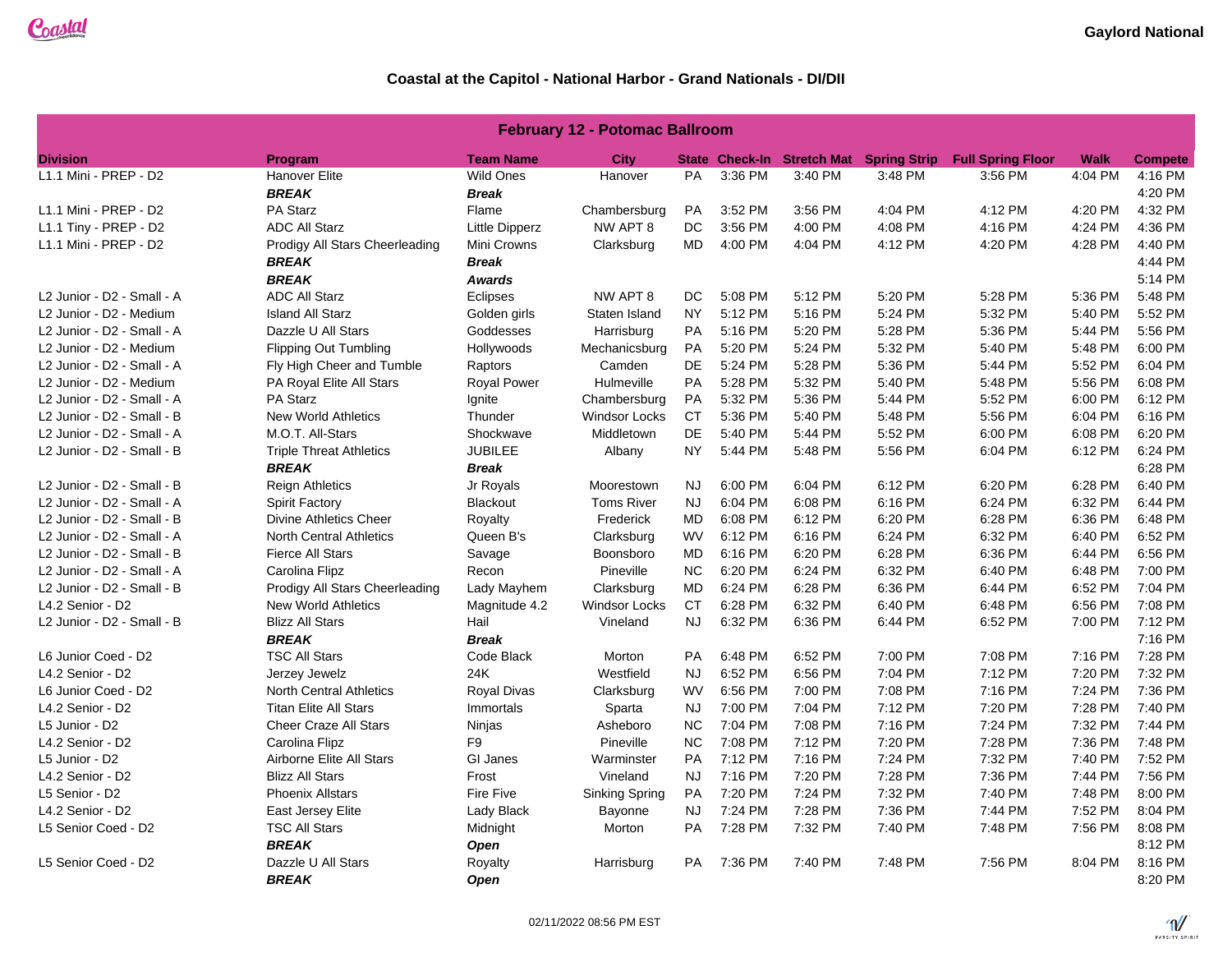| <b>February 12 - Potomac Ballroom</b> |                                 |                       |                      |           |         |         |                                         |                          |             |                |  |
|---------------------------------------|---------------------------------|-----------------------|----------------------|-----------|---------|---------|-----------------------------------------|--------------------------|-------------|----------------|--|
| <b>Division</b>                       | Program                         | <b>Team Name</b>      | City                 |           |         |         | State Check-In Stretch Mat Spring Strip | <b>Full Spring Floor</b> | <b>Walk</b> | <b>Compete</b> |  |
| L1.1 Mini - PREP - D2                 | <b>Hanover Elite</b>            | <b>Wild Ones</b>      | Hanover              | PA        | 3:36 PM | 3:40 PM | 3:48 PM                                 | 3:56 PM                  | 4:04 PM     | 4:16 PM        |  |
|                                       | <b>BREAK</b>                    | <b>Break</b>          |                      |           |         |         |                                         |                          |             | 4:20 PM        |  |
| L1.1 Mini - PREP - D2                 | PA Starz                        | Flame                 | Chambersburg         | <b>PA</b> | 3:52 PM | 3:56 PM | 4:04 PM                                 | 4:12 PM                  | 4:20 PM     | 4:32 PM        |  |
| L1.1 Tiny - PREP - D2                 | <b>ADC All Starz</b>            | <b>Little Dipperz</b> | NW APT 8             | DC        | 3:56 PM | 4:00 PM | 4:08 PM                                 | 4:16 PM                  | 4:24 PM     | 4:36 PM        |  |
| L1.1 Mini - PREP - D2                 | Prodigy All Stars Cheerleading  | Mini Crowns           | Clarksburg           | <b>MD</b> | 4:00 PM | 4:04 PM | 4:12 PM                                 | 4:20 PM                  | 4:28 PM     | 4:40 PM        |  |
|                                       | <b>BREAK</b>                    | <b>Break</b>          |                      |           |         |         |                                         |                          |             | 4:44 PM        |  |
|                                       | <b>BREAK</b>                    | <b>Awards</b>         |                      |           |         |         |                                         |                          |             | 5:14 PM        |  |
| L2 Junior - D2 - Small - A            | <b>ADC All Starz</b>            | Eclipses              | NW APT 8             | DC.       | 5:08 PM | 5:12 PM | 5:20 PM                                 | 5:28 PM                  | 5:36 PM     | 5:48 PM        |  |
| L2 Junior - D2 - Medium               | <b>Island All Starz</b>         | Golden girls          | Staten Island        | <b>NY</b> | 5:12 PM | 5:16 PM | 5:24 PM                                 | 5:32 PM                  | 5:40 PM     | 5:52 PM        |  |
| L2 Junior - D2 - Small - A            | Dazzle U All Stars              | Goddesses             | Harrisburg           | <b>PA</b> | 5:16 PM | 5:20 PM | 5:28 PM                                 | 5:36 PM                  | 5:44 PM     | 5:56 PM        |  |
| L2 Junior - D2 - Medium               | <b>Flipping Out Tumbling</b>    | Hollywoods            | Mechanicsburg        | <b>PA</b> | 5:20 PM | 5:24 PM | 5:32 PM                                 | 5:40 PM                  | 5:48 PM     | 6:00 PM        |  |
| L2 Junior - D2 - Small - A            | Fly High Cheer and Tumble       | Raptors               | Camden               | DE        | 5:24 PM | 5:28 PM | 5:36 PM                                 | 5:44 PM                  | 5:52 PM     | 6:04 PM        |  |
| L2 Junior - D2 - Medium               | PA Royal Elite All Stars        | <b>Royal Power</b>    | Hulmeville           | PA        | 5:28 PM | 5:32 PM | 5:40 PM                                 | 5:48 PM                  | 5:56 PM     | 6:08 PM        |  |
| L2 Junior - D2 - Small - A            | PA Starz                        | Ignite                | Chambersburg         | <b>PA</b> | 5:32 PM | 5:36 PM | 5:44 PM                                 | 5:52 PM                  | 6:00 PM     | 6:12 PM        |  |
| L2 Junior - D2 - Small - B            | <b>New World Athletics</b>      | Thunder               | <b>Windsor Locks</b> | <b>CT</b> | 5:36 PM | 5:40 PM | 5:48 PM                                 | 5:56 PM                  | 6:04 PM     | 6:16 PM        |  |
| L2 Junior - D2 - Small - A            | M.O.T. All-Stars                | Shockwave             | Middletown           | <b>DE</b> | 5:40 PM | 5:44 PM | 5:52 PM                                 | 6:00 PM                  | 6:08 PM     | 6:20 PM        |  |
| L2 Junior - D2 - Small - B            | <b>Triple Threat Athletics</b>  | <b>JUBILEE</b>        | Albany               | NY.       | 5:44 PM | 5:48 PM | 5:56 PM                                 | 6:04 PM                  | 6:12 PM     | 6:24 PM        |  |
|                                       | <b>BREAK</b>                    | <b>Break</b>          |                      |           |         |         |                                         |                          |             | 6:28 PM        |  |
| L2 Junior - D2 - Small - B            | <b>Reign Athletics</b>          | Jr Royals             | Moorestown           | <b>NJ</b> | 6:00 PM | 6:04 PM | 6:12 PM                                 | 6:20 PM                  | 6:28 PM     | 6:40 PM        |  |
| L2 Junior - D2 - Small - A            | <b>Spirit Factory</b>           | <b>Blackout</b>       | <b>Toms River</b>    | <b>NJ</b> | 6:04 PM | 6:08 PM | 6:16 PM                                 | 6:24 PM                  | 6:32 PM     | 6:44 PM        |  |
| L2 Junior - D2 - Small - B            | <b>Divine Athletics Cheer</b>   | Royalty               | Frederick            | <b>MD</b> | 6:08 PM | 6:12 PM | 6:20 PM                                 | 6:28 PM                  | 6:36 PM     | 6:48 PM        |  |
| L2 Junior - D2 - Small - A            | <b>North Central Athletics</b>  | Queen B's             | Clarksburg           | <b>WV</b> | 6:12 PM | 6:16 PM | 6:24 PM                                 | 6:32 PM                  | 6:40 PM     | 6:52 PM        |  |
| L2 Junior - D2 - Small - B            | <b>Fierce All Stars</b>         | Savage                | Boonsboro            | MD        | 6:16 PM | 6:20 PM | 6:28 PM                                 | 6:36 PM                  | 6:44 PM     | 6:56 PM        |  |
| L2 Junior - D2 - Small - A            | Carolina Flipz                  | Recon                 | Pineville            | NC.       | 6:20 PM | 6:24 PM | 6:32 PM                                 | 6:40 PM                  | 6:48 PM     | 7:00 PM        |  |
| L2 Junior - D2 - Small - B            | Prodigy All Stars Cheerleading  | Lady Mayhem           | Clarksburg           | <b>MD</b> | 6:24 PM | 6:28 PM | 6:36 PM                                 | 6:44 PM                  | 6:52 PM     | 7:04 PM        |  |
| L4.2 Senior - D2                      | <b>New World Athletics</b>      | Magnitude 4.2         | Windsor Locks        | <b>CT</b> | 6:28 PM | 6:32 PM | 6:40 PM                                 | 6:48 PM                  | 6:56 PM     | 7:08 PM        |  |
| L2 Junior - D2 - Small - B            | <b>Blizz All Stars</b>          | Hail                  | Vineland             | <b>NJ</b> | 6:32 PM | 6:36 PM | 6:44 PM                                 | 6:52 PM                  | 7:00 PM     | 7:12 PM        |  |
|                                       | <b>BREAK</b>                    | <b>Break</b>          |                      |           |         |         |                                         |                          |             | 7:16 PM        |  |
| L6 Junior Coed - D2                   | <b>TSC All Stars</b>            | Code Black            | Morton               | <b>PA</b> | 6:48 PM | 6:52 PM | 7:00 PM                                 | 7:08 PM                  | 7:16 PM     | 7:28 PM        |  |
| L4.2 Senior - D2                      | Jerzey Jewelz                   | 24K                   | Westfield            | <b>NJ</b> | 6:52 PM | 6:56 PM | 7:04 PM                                 | 7:12 PM                  | 7:20 PM     | 7:32 PM        |  |
| L6 Junior Coed - D2                   | <b>North Central Athletics</b>  | Royal Divas           | Clarksburg           | <b>WV</b> | 6:56 PM | 7:00 PM | 7:08 PM                                 | 7:16 PM                  | 7:24 PM     | 7:36 PM        |  |
| L4.2 Senior - D2                      | <b>Titan Elite All Stars</b>    | Immortals             | Sparta               | <b>NJ</b> | 7:00 PM | 7:04 PM | 7:12 PM                                 | 7:20 PM                  | 7:28 PM     | 7:40 PM        |  |
| L5 Junior - D2                        | <b>Cheer Craze All Stars</b>    | Ninjas                | Asheboro             | NC.       | 7:04 PM | 7:08 PM | 7:16 PM                                 | 7:24 PM                  | 7:32 PM     | 7:44 PM        |  |
| L4.2 Senior - D2                      | Carolina Flipz                  | F <sub>9</sub>        | Pineville            | NC.       | 7:08 PM | 7:12 PM | 7:20 PM                                 | 7:28 PM                  | 7:36 PM     | 7:48 PM        |  |
| L5 Junior - D2                        | <b>Airborne Elite All Stars</b> | GI Janes              | Warminster           | PA        | 7:12 PM | 7:16 PM | 7:24 PM                                 | 7:32 PM                  | 7:40 PM     | 7:52 PM        |  |
| L4.2 Senior - D2                      | <b>Blizz All Stars</b>          | Frost                 | Vineland             | <b>NJ</b> | 7:16 PM | 7:20 PM | 7:28 PM                                 | 7:36 PM                  | 7:44 PM     | 7:56 PM        |  |
| L5 Senior - D2                        | <b>Phoenix Allstars</b>         | Fire Five             | Sinking Spring       | PA        | 7:20 PM | 7:24 PM | 7:32 PM                                 | 7:40 PM                  | 7:48 PM     | 8:00 PM        |  |
| L4.2 Senior - D2                      | <b>East Jersey Elite</b>        | Lady Black            | Bayonne              | <b>NJ</b> | 7:24 PM | 7:28 PM | 7:36 PM                                 | 7:44 PM                  | 7:52 PM     | 8:04 PM        |  |
| L5 Senior Coed - D2                   | <b>TSC All Stars</b>            | Midnight              | Morton               | <b>PA</b> | 7:28 PM | 7:32 PM | 7:40 PM                                 | 7:48 PM                  | 7:56 PM     | 8:08 PM        |  |
|                                       | <b>BREAK</b>                    | <b>Open</b>           |                      |           |         |         |                                         |                          |             | 8:12 PM        |  |
| L5 Senior Coed - D2                   | Dazzle U All Stars              | Royalty               | Harrisburg           | <b>PA</b> | 7:36 PM | 7:40 PM | 7:48 PM                                 | 7:56 PM                  | 8:04 PM     | 8:16 PM        |  |
|                                       | <b>BREAK</b>                    | Open                  |                      |           |         |         |                                         |                          |             | 8:20 PM        |  |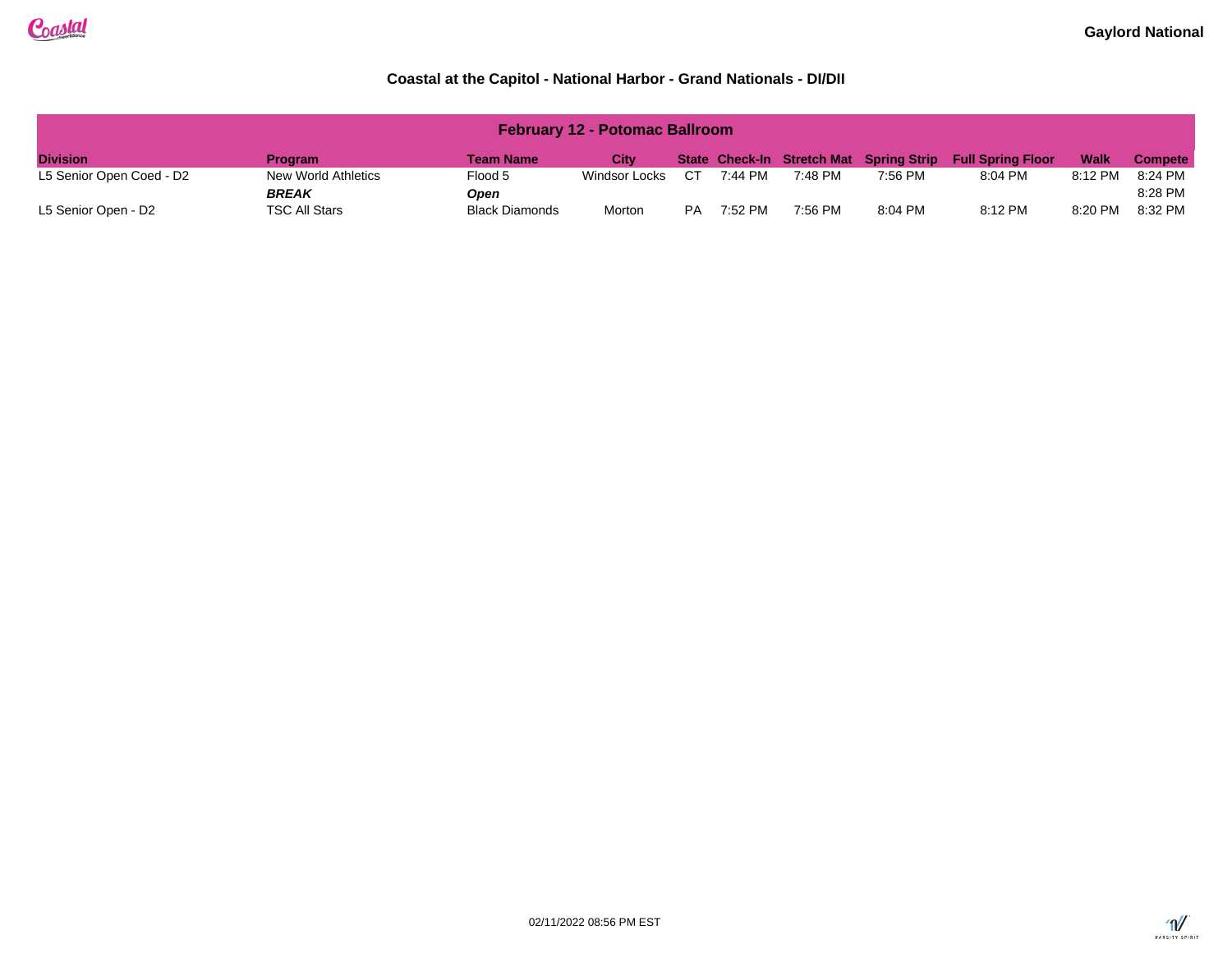| <b>February 12 - Potomac Ballroom</b> |                     |                       |               |           |         |         |                                         |                          |             |                |
|---------------------------------------|---------------------|-----------------------|---------------|-----------|---------|---------|-----------------------------------------|--------------------------|-------------|----------------|
| <b>Division</b>                       | <b>Program</b>      | <b>Team Name</b>      | City          |           |         |         | State Check-In Stretch Mat Spring Strip | <b>Full Spring Floor</b> | <b>Walk</b> | <b>Compete</b> |
| L5 Senior Open Coed - D2              | New World Athletics | Flood 5               | Windsor Locks | CТ        | 7:44 PM | 7:48 PM | 7:56 PM                                 | 8:04 PM                  | 8:12 PM     | 8:24 PM        |
|                                       | <b>BREAK</b>        | Open                  |               |           |         |         |                                         |                          |             | 8:28 PM        |
| L5 Senior Open - D2                   | TSC All Stars       | <b>Black Diamonds</b> | Morton        | <b>PA</b> | 7:52 PM | 7:56 PM | 8:04 PM                                 | 8:12 PM                  | 8:20 PM     | 8:32 PM        |

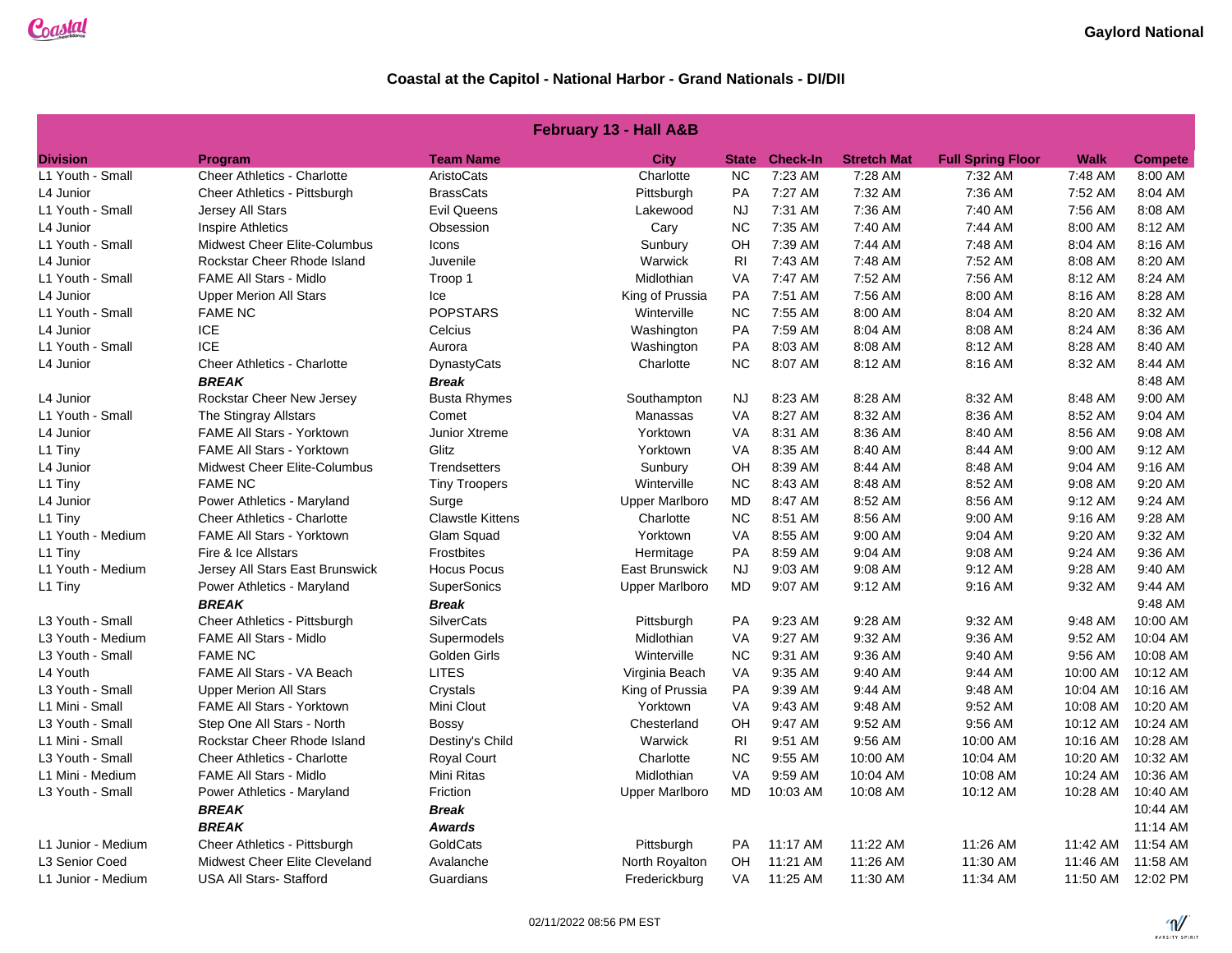| <b>February 13 - Hall A&amp;B</b> |                                     |                         |                       |                |                 |                    |                          |          |                   |
|-----------------------------------|-------------------------------------|-------------------------|-----------------------|----------------|-----------------|--------------------|--------------------------|----------|-------------------|
| <b>Division</b>                   | Program                             | <b>Team Name</b>        | <b>City</b>           | <b>State</b>   | <b>Check-In</b> | <b>Stretch Mat</b> | <b>Full Spring Floor</b> | Walk     | <b>Compete</b>    |
| L1 Youth - Small                  | <b>Cheer Athletics - Charlotte</b>  | AristoCats              | Charlotte             | <b>NC</b>      | 7:23 AM         | 7:28 AM            | 7:32 AM                  | 7:48 AM  | 8:00 AM           |
| L4 Junior                         | Cheer Athletics - Pittsburgh        | <b>BrassCats</b>        | Pittsburgh            | <b>PA</b>      | 7:27 AM         | 7:32 AM            | 7:36 AM                  | 7:52 AM  | 8:04 AM           |
| L1 Youth - Small                  | Jersey All Stars                    | Evil Queens             | Lakewood              | <b>NJ</b>      | 7:31 AM         | 7:36 AM            | 7:40 AM                  | 7:56 AM  | 8:08 AM           |
| L4 Junior                         | <b>Inspire Athletics</b>            | Obsession               | Cary                  | <b>NC</b>      | 7:35 AM         | 7:40 AM            | 7:44 AM                  | 8:00 AM  | 8:12 AM           |
| L1 Youth - Small                  | <b>Midwest Cheer Elite-Columbus</b> | Icons                   | Sunbury               | OH             | 7:39 AM         | 7:44 AM            | 7:48 AM                  | 8:04 AM  | 8:16 AM           |
| L4 Junior                         | Rockstar Cheer Rhode Island         | Juvenile                | Warwick               | R <sub>l</sub> | 7:43 AM         | 7:48 AM            | 7:52 AM                  | 8:08 AM  | 8:20 AM           |
| L1 Youth - Small                  | <b>FAME All Stars - Midlo</b>       | Troop 1                 | Midlothian            | <b>VA</b>      | 7:47 AM         | 7:52 AM            | 7:56 AM                  | 8:12 AM  | 8:24 AM           |
| L4 Junior                         | <b>Upper Merion All Stars</b>       | Ice                     | King of Prussia       | PA             | 7:51 AM         | 7:56 AM            | 8:00 AM                  | 8:16 AM  | 8:28 AM           |
| L1 Youth - Small                  | <b>FAME NC</b>                      | <b>POPSTARS</b>         | Winterville           | <b>NC</b>      | 7:55 AM         | 8:00 AM            | 8:04 AM                  | 8:20 AM  | 8:32 AM           |
| L4 Junior                         | <b>ICE</b>                          | Celcius                 | Washington            | PA             | 7:59 AM         | 8:04 AM            | 8:08 AM                  | 8:24 AM  | 8:36 AM           |
| L1 Youth - Small                  | <b>ICE</b>                          | Aurora                  | Washington            | PA             | 8:03 AM         | 8:08 AM            | 8:12 AM                  | 8:28 AM  | 8:40 AM           |
| L4 Junior                         | <b>Cheer Athletics - Charlotte</b>  | DynastyCats             | Charlotte             | <b>NC</b>      | 8:07 AM         | 8:12 AM            | 8:16 AM                  | 8:32 AM  | 8:44 AM           |
|                                   | <b>BREAK</b>                        | <b>Break</b>            |                       |                |                 |                    |                          |          | 8:48 AM           |
| L4 Junior                         | Rockstar Cheer New Jersey           | <b>Busta Rhymes</b>     | Southampton           | <b>NJ</b>      | 8:23 AM         | 8:28 AM            | 8:32 AM                  | 8:48 AM  | 9:00 AM           |
| L1 Youth - Small                  | The Stingray Allstars               | Comet                   | Manassas              | <b>VA</b>      | 8:27 AM         | 8:32 AM            | 8:36 AM                  | 8:52 AM  | 9:04 AM           |
| L4 Junior                         | FAME All Stars - Yorktown           | Junior Xtreme           | Yorktown              | <b>VA</b>      | 8:31 AM         | 8:36 AM            | 8:40 AM                  | 8:56 AM  | 9:08 AM           |
| L1 Tiny                           | <b>FAME All Stars - Yorktown</b>    | Glitz                   | Yorktown              | <b>VA</b>      | 8:35 AM         | 8:40 AM            | 8:44 AM                  | 9:00 AM  | 9:12 AM           |
| L4 Junior                         | Midwest Cheer Elite-Columbus        | Trendsetters            | Sunbury               | OH             | 8:39 AM         | 8:44 AM            | 8:48 AM                  | 9:04 AM  | 9:16 AM           |
| L1 Tiny                           | <b>FAME NC</b>                      | <b>Tiny Troopers</b>    | Winterville           | <b>NC</b>      | 8:43 AM         | 8:48 AM            | 8:52 AM                  | 9:08 AM  | 9:20 AM           |
| ∟4 Junior                         | Power Athletics - Maryland          | Surge                   | Upper Marlboro        | <b>MD</b>      | 8:47 AM         | 8:52 AM            | 8:56 AM                  | 9:12 AM  | 9:24 AM           |
| L1 Tiny                           | Cheer Athletics - Charlotte         | <b>Clawstle Kittens</b> | Charlotte             | <b>NC</b>      | 8:51 AM         | 8:56 AM            | 9:00 AM                  | 9:16 AM  | 9:28 AM           |
| L1 Youth - Medium                 | FAME All Stars - Yorktown           | Glam Squad              | Yorktown              | VA             | 8:55 AM         | 9:00 AM            | 9:04 AM                  | 9:20 AM  | 9:32 AM           |
| L1 Tiny                           | Fire & Ice Allstars                 | Frostbites              | Hermitage             | PA             | 8:59 AM         | 9:04 AM            | 9:08 AM                  | 9:24 AM  | 9:36 AM           |
| L1 Youth - Medium                 | Jersey All Stars East Brunswick     | <b>Hocus Pocus</b>      | <b>East Brunswick</b> | <b>NJ</b>      | 9:03 AM         | 9:08 AM            | 9:12 AM                  | 9:28 AM  | 9:40 AM           |
| L1 Tiny                           | Power Athletics - Maryland          | <b>SuperSonics</b>      | <b>Upper Marlboro</b> | MD             | 9:07 AM         | 9:12 AM            | 9:16 AM                  | 9:32 AM  | 9:44 AM           |
|                                   | <b>BREAK</b>                        | <b>Break</b>            |                       |                |                 |                    |                          |          | 9:48 AM           |
| L3 Youth - Small                  | Cheer Athletics - Pittsburgh        | <b>SilverCats</b>       | Pittsburgh            | PA             | 9:23 AM         | 9:28 AM            | 9:32 AM                  | 9:48 AM  | 10:00 AM          |
| L3 Youth - Medium                 | <b>FAME All Stars - Midlo</b>       | Supermodels             | Midlothian            | <b>VA</b>      | 9:27 AM         | 9:32 AM            | 9:36 AM                  | 9:52 AM  | 10:04 AM          |
| L3 Youth - Small                  | <b>FAME NC</b>                      | Golden Girls            | Winterville           | <b>NC</b>      | 9:31 AM         | 9:36 AM            | 9:40 AM                  | 9:56 AM  | 10:08 AM          |
| L4 Youth                          | FAME All Stars - VA Beach           | <b>LITES</b>            | Virginia Beach        | VA             | 9:35 AM         | 9:40 AM            | 9:44 AM                  | 10:00 AM | 10:12 AM          |
| L3 Youth - Small                  | <b>Upper Merion All Stars</b>       | Crystals                | King of Prussia       | PA             | 9:39 AM         | 9:44 AM            | 9:48 AM                  | 10:04 AM | 10:16 AM          |
| L1 Mini - Small                   | <b>FAME All Stars - Yorktown</b>    | Mini Clout              | Yorktown              | <b>VA</b>      | 9:43 AM         | 9:48 AM            | 9:52 AM                  | 10:08 AM | 10:20 AM          |
| L3 Youth - Small                  | Step One All Stars - North          | Bossy                   | Chesterland           | OH             | 9:47 AM         | 9:52 AM            | 9:56 AM                  | 10:12 AM | 10:24 AM          |
| L1 Mini - Small                   | Rockstar Cheer Rhode Island         | Destiny's Child         | Warwick               | R <sub>l</sub> | 9:51 AM         | 9:56 AM            | 10:00 AM                 | 10:16 AM | 10:28 AM          |
| L3 Youth - Small                  | <b>Cheer Athletics - Charlotte</b>  | <b>Royal Court</b>      | Charlotte             | <b>NC</b>      | 9:55 AM         | 10:00 AM           | 10:04 AM                 | 10:20 AM | 10:32 AM          |
| L1 Mini - Medium                  | <b>FAME All Stars - Midlo</b>       | Mini Ritas              | Midlothian            | <b>VA</b>      | 9:59 AM         | 10:04 AM           | 10:08 AM                 | 10:24 AM | 10:36 AM          |
| L3 Youth - Small                  | Power Athletics - Maryland          | Friction                | <b>Upper Marlboro</b> | MD             | 10:03 AM        | 10:08 AM           | 10:12 AM                 | 10:28 AM | 10:40 AM          |
|                                   | <b>BREAK</b>                        | <b>Break</b>            |                       |                |                 |                    |                          |          | 10:44 AM          |
|                                   | <b>BREAK</b>                        | Awards                  |                       |                |                 |                    |                          |          | 11:14 AM          |
| L1 Junior - Medium                | <b>Cheer Athletics - Pittsburgh</b> | GoldCats                | Pittsburgh            | <b>PA</b>      | 11:17 AM        | 11:22 AM           | 11:26 AM                 | 11:42 AM | 11:54 AM          |
| L3 Senior Coed                    | Midwest Cheer Elite Cleveland       | Avalanche               | North Royalton        | OH             | 11:21 AM        | 11:26 AM           | 11:30 AM                 | 11:46 AM | 11:58 AM          |
| L1 Junior - Medium                | <b>USA All Stars- Stafford</b>      | Guardians               | Frederickburg         | <b>VA</b>      | 11:25 AM        | 11:30 AM           | 11:34 AM                 |          | 11:50 AM 12:02 PM |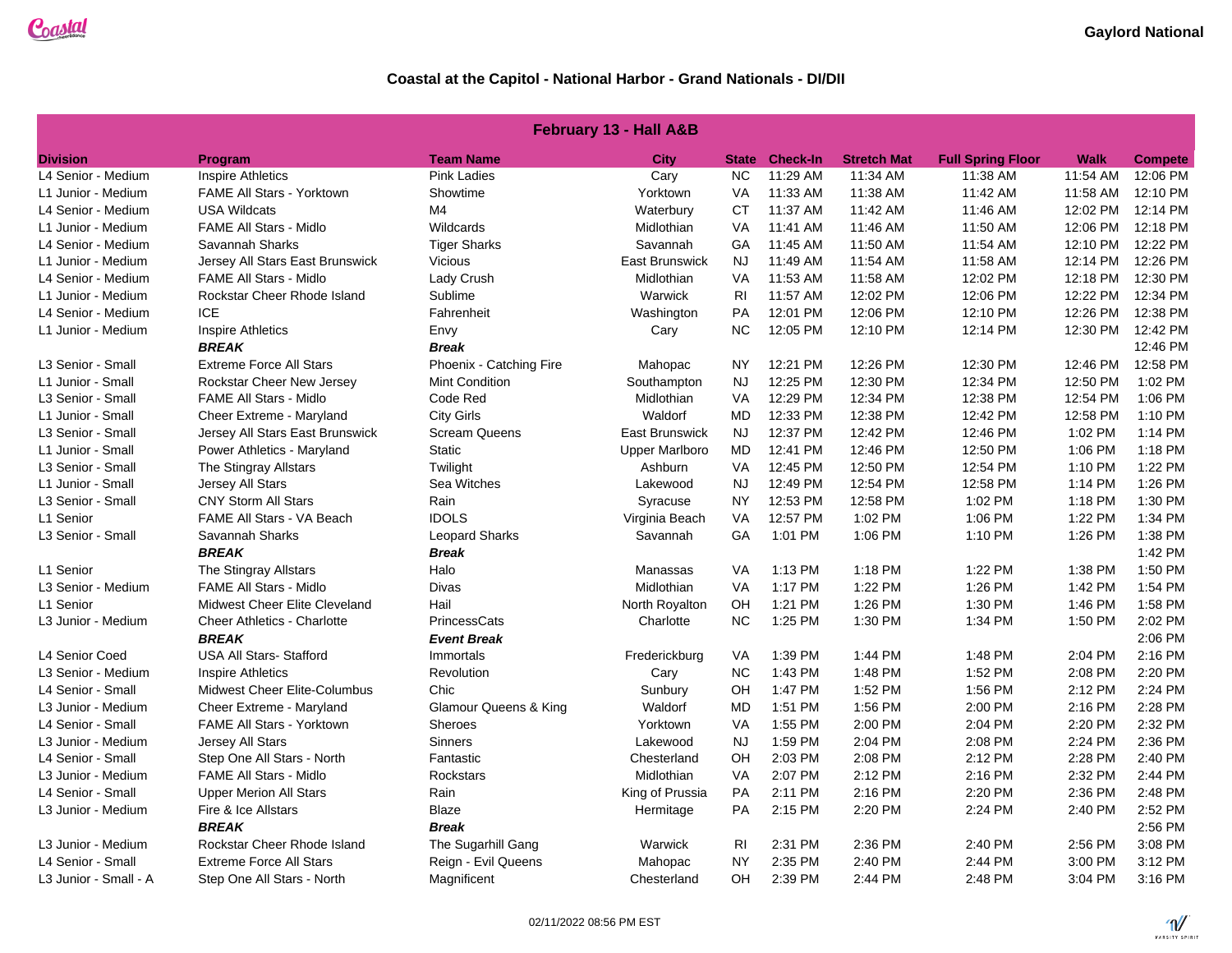#### **February 13 - Hall A&B**

| <b>Division</b>       | Program                          | <b>Team Name</b>                 | <b>City</b>     | <b>State</b>   | <b>Check-In</b> | <b>Stretch Mat</b> | <b>Full Spring Floor</b> | <b>Walk</b> | <b>Compete</b> |
|-----------------------|----------------------------------|----------------------------------|-----------------|----------------|-----------------|--------------------|--------------------------|-------------|----------------|
| L4 Senior - Medium    | <b>Inspire Athletics</b>         | <b>Pink Ladies</b>               | Cary            | <b>NC</b>      | 11:29 AM        | 11:34 AM           | 11:38 AM                 | 11:54 AM    | 12:06 PM       |
| L1 Junior - Medium    | <b>FAME All Stars - Yorktown</b> | Showtime                         | Yorktown        | VA             | 11:33 AM        | 11:38 AM           | 11:42 AM                 | 11:58 AM    | 12:10 PM       |
| L4 Senior - Medium    | <b>USA Wildcats</b>              | M4                               | Waterbury       | CT             | 11:37 AM        | 11:42 AM           | 11:46 AM                 | 12:02 PM    | 12:14 PM       |
| L1 Junior - Medium    | <b>FAME All Stars - Midlo</b>    | Wildcards                        | Midlothian      | VA             | 11:41 AM        | 11:46 AM           | 11:50 AM                 | 12:06 PM    | 12:18 PM       |
| L4 Senior - Medium    | Savannah Sharks                  | <b>Tiger Sharks</b>              | Savannah        | GA             | 11:45 AM        | 11:50 AM           | 11:54 AM                 | 12:10 PM    | 12:22 PM       |
| L1 Junior - Medium    | Jersey All Stars East Brunswick  | Vicious                          | East Brunswick  | <b>NJ</b>      | 11:49 AM        | 11:54 AM           | 11:58 AM                 | 12:14 PM    | 12:26 PM       |
| L4 Senior - Medium    | <b>FAME All Stars - Midlo</b>    | Lady Crush                       | Midlothian      | VA             | 11:53 AM        | 11:58 AM           | 12:02 PM                 | 12:18 PM    | 12:30 PM       |
| L1 Junior - Medium    | Rockstar Cheer Rhode Island      | Sublime                          | Warwick         | R <sub>l</sub> | 11:57 AM        | 12:02 PM           | 12:06 PM                 | 12:22 PM    | 12:34 PM       |
| L4 Senior - Medium    | <b>ICE</b>                       | Fahrenheit                       | Washington      | PA             | 12:01 PM        | 12:06 PM           | 12:10 PM                 | 12:26 PM    | 12:38 PM       |
| L1 Junior - Medium    | <b>Inspire Athletics</b>         | Envy                             | Cary            | NC             | 12:05 PM        | 12:10 PM           | 12:14 PM                 | 12:30 PM    | 12:42 PM       |
|                       | <b>BREAK</b>                     | <b>Break</b>                     |                 |                |                 |                    |                          |             | 12:46 PM       |
| L3 Senior - Small     | <b>Extreme Force All Stars</b>   | Phoenix - Catching Fire          | Mahopac         | <b>NY</b>      | 12:21 PM        | 12:26 PM           | 12:30 PM                 | 12:46 PM    | 12:58 PM       |
| L1 Junior - Small     | Rockstar Cheer New Jersey        | <b>Mint Condition</b>            | Southampton     | <b>NJ</b>      | 12:25 PM        | 12:30 PM           | 12:34 PM                 | 12:50 PM    | 1:02 PM        |
| L3 Senior - Small     | <b>FAME All Stars - Midlo</b>    | Code Red                         | Midlothian      | VA             | 12:29 PM        | 12:34 PM           | 12:38 PM                 | 12:54 PM    | 1:06 PM        |
| L1 Junior - Small     | Cheer Extreme - Maryland         | <b>City Girls</b>                | Waldorf         | <b>MD</b>      | 12:33 PM        | 12:38 PM           | 12:42 PM                 | 12:58 PM    | 1:10 PM        |
| L3 Senior - Small     | Jersey All Stars East Brunswick  | <b>Scream Queens</b>             | East Brunswick  | <b>NJ</b>      | 12:37 PM        | 12:42 PM           | 12:46 PM                 | 1:02 PM     | 1:14 PM        |
| L1 Junior - Small     | Power Athletics - Maryland       | <b>Static</b>                    | Upper Marlboro  | <b>MD</b>      | 12:41 PM        | 12:46 PM           | 12:50 PM                 | 1:06 PM     | 1:18 PM        |
| L3 Senior - Small     | The Stingray Allstars            | Twilight                         | Ashburn         | VA             | 12:45 PM        | 12:50 PM           | 12:54 PM                 | 1:10 PM     | 1:22 PM        |
| L1 Junior - Small     | Jersey All Stars                 | Sea Witches                      | Lakewood        | <b>NJ</b>      | 12:49 PM        | 12:54 PM           | 12:58 PM                 | 1:14 PM     | 1:26 PM        |
| L3 Senior - Small     | <b>CNY Storm All Stars</b>       | Rain                             | Syracuse        | <b>NY</b>      | 12:53 PM        | 12:58 PM           | 1:02 PM                  | 1:18 PM     | 1:30 PM        |
| L1 Senior             | FAME All Stars - VA Beach        | <b>IDOLS</b>                     | Virginia Beach  | VA             | 12:57 PM        | 1:02 PM            | 1:06 PM                  | 1:22 PM     | 1:34 PM        |
| L3 Senior - Small     | Savannah Sharks                  | <b>Leopard Sharks</b>            | Savannah        | GA             | 1:01 PM         | 1:06 PM            | 1:10 PM                  | 1:26 PM     | 1:38 PM        |
|                       | <b>BREAK</b>                     | <b>Break</b>                     |                 |                |                 |                    |                          |             | 1:42 PM        |
| L1 Senior             | The Stingray Allstars            | Halo                             | Manassas        | VA             | 1:13 PM         | 1:18 PM            | 1:22 PM                  | 1:38 PM     | 1:50 PM        |
| L3 Senior - Medium    | <b>FAME All Stars - Midlo</b>    | Divas                            | Midlothian      | VA             | 1:17 PM         | 1:22 PM            | 1:26 PM                  | 1:42 PM     | 1:54 PM        |
| L1 Senior             | Midwest Cheer Elite Cleveland    | Hail                             | North Royalton  | OH             | 1:21 PM         | 1:26 PM            | 1:30 PM                  | 1:46 PM     | 1:58 PM        |
| L3 Junior - Medium    | Cheer Athletics - Charlotte      | <b>PrincessCats</b>              | Charlotte       | <b>NC</b>      | 1:25 PM         | 1:30 PM            | 1:34 PM                  | 1:50 PM     | 2:02 PM        |
|                       | <b>BREAK</b>                     | <b>Event Break</b>               |                 |                |                 |                    |                          |             | 2:06 PM        |
| L4 Senior Coed        | <b>USA All Stars-Stafford</b>    | Immortals                        | Frederickburg   | VA             | 1:39 PM         | 1:44 PM            | 1:48 PM                  | 2:04 PM     | 2:16 PM        |
| L3 Senior - Medium    | Inspire Athletics                | Revolution                       | Cary            | <b>NC</b>      | 1:43 PM         | 1:48 PM            | 1:52 PM                  | 2:08 PM     | 2:20 PM        |
| L4 Senior - Small     | Midwest Cheer Elite-Columbus     | Chic                             | Sunbury         | OH             | 1:47 PM         | 1:52 PM            | 1:56 PM                  | 2:12 PM     | 2:24 PM        |
| L3 Junior - Medium    | Cheer Extreme - Maryland         | <b>Glamour Queens &amp; King</b> | Waldorf         | <b>MD</b>      | 1:51 PM         | 1:56 PM            | 2:00 PM                  | 2:16 PM     | 2:28 PM        |
| L4 Senior - Small     | <b>FAME All Stars - Yorktown</b> | <b>Sheroes</b>                   | Yorktown        | VA             | 1:55 PM         | 2:00 PM            | 2:04 PM                  | 2:20 PM     | 2:32 PM        |
| L3 Junior - Medium    | <b>Jersey All Stars</b>          | <b>Sinners</b>                   | Lakewood        | <b>NJ</b>      | 1:59 PM         | 2:04 PM            | 2:08 PM                  | 2:24 PM     | 2:36 PM        |
| L4 Senior - Small     | Step One All Stars - North       | Fantastic                        | Chesterland     | OH             | 2:03 PM         | 2:08 PM            | 2:12 PM                  | 2:28 PM     | 2:40 PM        |
| L3 Junior - Medium    | <b>FAME All Stars - Midlo</b>    | Rockstars                        | Midlothian      | VA             | 2:07 PM         | 2:12 PM            | 2:16 PM                  | 2:32 PM     | 2:44 PM        |
| L4 Senior - Small     | <b>Upper Merion All Stars</b>    | Rain                             | King of Prussia | PA             | 2:11 PM         | 2:16 PM            | 2:20 PM                  | 2:36 PM     | 2:48 PM        |
| L3 Junior - Medium    | Fire & Ice Allstars              | Blaze                            | Hermitage       | PA             | 2:15 PM         | 2:20 PM            | 2:24 PM                  | 2:40 PM     | 2:52 PM        |
|                       | <b>BREAK</b>                     | <b>Break</b>                     |                 |                |                 |                    |                          |             | 2:56 PM        |
| L3 Junior - Medium    | Rockstar Cheer Rhode Island      | The Sugarhill Gang               | Warwick         | R <sub>l</sub> | 2:31 PM         | 2:36 PM            | 2:40 PM                  | 2:56 PM     | 3:08 PM        |
| L4 Senior - Small     | <b>Extreme Force All Stars</b>   | Reign - Evil Queens              | Mahopac         | <b>NY</b>      | 2:35 PM         | 2:40 PM            | 2:44 PM                  | 3:00 PM     | 3:12 PM        |
| L3 Junior - Small - A | Step One All Stars - North       | Magnificent                      | Chesterland     | <b>OH</b>      | 2:39 PM         | 2:44 PM            | 2:48 PM                  | 3:04 PM     | 3:16 PM        |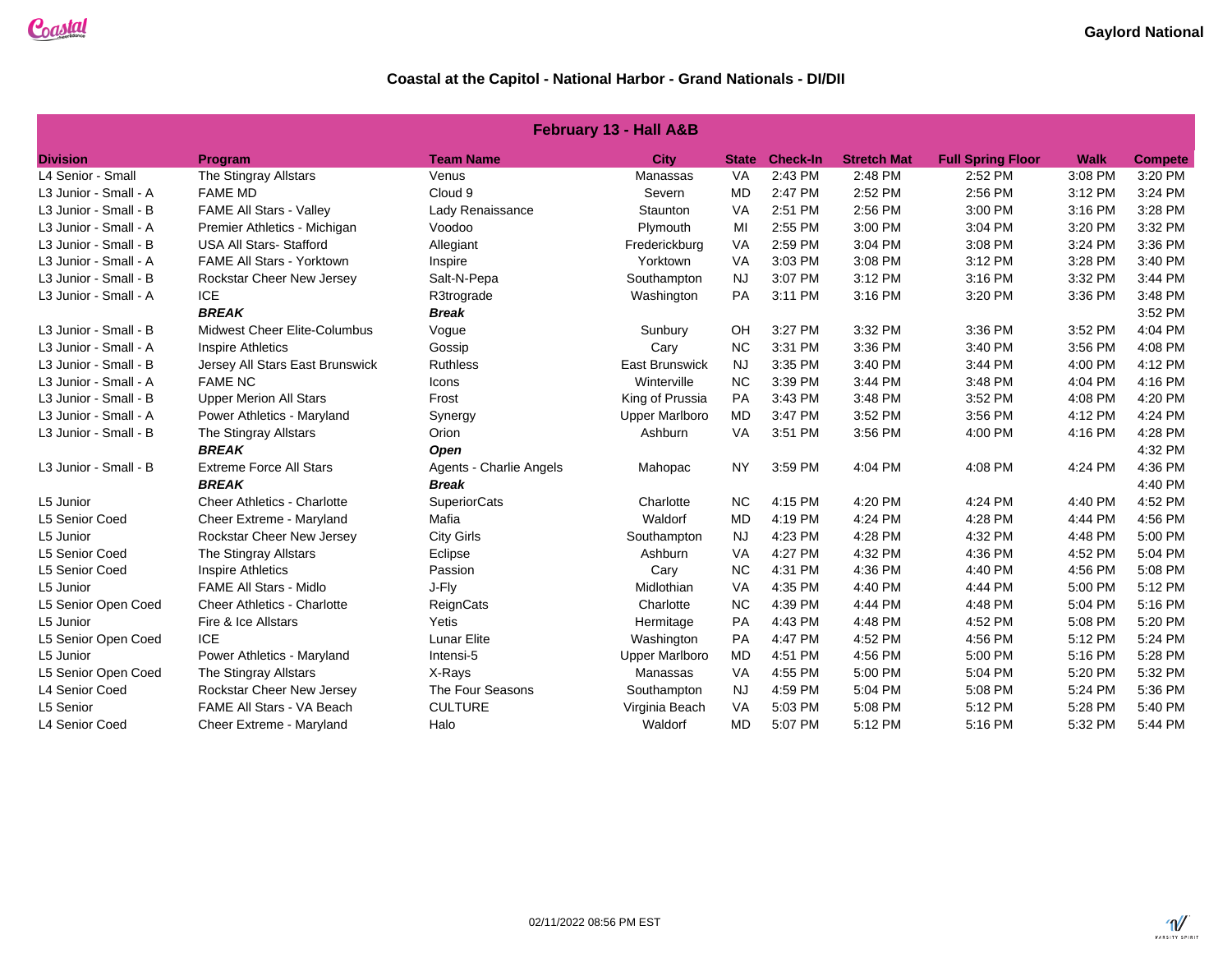|  | <b>February 13 - Hall A&amp;B</b> |
|--|-----------------------------------|
|--|-----------------------------------|

| <b>Division</b>       | Program                             | <b>Team Name</b>        | <b>City</b>           | <b>State</b> | <b>Check-In</b> | <b>Stretch Mat</b> | <b>Full Spring Floor</b> | <b>Walk</b> | <b>Compete</b> |
|-----------------------|-------------------------------------|-------------------------|-----------------------|--------------|-----------------|--------------------|--------------------------|-------------|----------------|
| L4 Senior - Small     | The Stingray Allstars               | Venus                   | Manassas              | VA           | 2:43 PM         | 2:48 PM            | 2:52 PM                  | 3:08 PM     | 3:20 PM        |
| L3 Junior - Small - A | <b>FAME MD</b>                      | Cloud 9                 | Severn                | <b>MD</b>    | 2:47 PM         | 2:52 PM            | 2:56 PM                  | 3:12 PM     | 3:24 PM        |
| L3 Junior - Small - B | <b>FAME All Stars - Valley</b>      | Lady Renaissance        | Staunton              | VA           | 2:51 PM         | 2:56 PM            | 3:00 PM                  | 3:16 PM     | 3:28 PM        |
| L3 Junior - Small - A | Premier Athletics - Michigan        | Voodoo                  | Plymouth              | MI           | 2:55 PM         | 3:00 PM            | 3:04 PM                  | 3:20 PM     | 3:32 PM        |
| L3 Junior - Small - B | <b>USA All Stars- Stafford</b>      | Allegiant               | Frederickburg         | VA           | 2:59 PM         | 3:04 PM            | 3:08 PM                  | 3:24 PM     | 3:36 PM        |
| L3 Junior - Small - A | <b>FAME All Stars - Yorktown</b>    | Inspire                 | Yorktown              | VA           | 3:03 PM         | 3:08 PM            | 3:12 PM                  | 3:28 PM     | 3:40 PM        |
| L3 Junior - Small - B | Rockstar Cheer New Jersey           | Salt-N-Pepa             | Southampton           | <b>NJ</b>    | 3:07 PM         | 3:12 PM            | 3:16 PM                  | 3:32 PM     | 3:44 PM        |
| L3 Junior - Small - A | <b>ICE</b>                          | R3trograde              | Washington            | PA           | 3:11 PM         | 3:16 PM            | 3:20 PM                  | 3:36 PM     | 3:48 PM        |
|                       | <b>BREAK</b>                        | <b>Break</b>            |                       |              |                 |                    |                          |             | 3:52 PM        |
| L3 Junior - Small - B | <b>Midwest Cheer Elite-Columbus</b> | Vogue                   | Sunbury               | OH           | 3:27 PM         | 3:32 PM            | 3:36 PM                  | 3:52 PM     | 4:04 PM        |
| L3 Junior - Small - A | <b>Inspire Athletics</b>            | Gossip                  | Cary                  | <b>NC</b>    | 3:31 PM         | 3:36 PM            | 3:40 PM                  | 3:56 PM     | 4:08 PM        |
| L3 Junior - Small - B | Jersey All Stars East Brunswick     | <b>Ruthless</b>         | <b>East Brunswick</b> | <b>NJ</b>    | 3:35 PM         | 3:40 PM            | 3:44 PM                  | 4:00 PM     | 4:12 PM        |
| L3 Junior - Small - A | <b>FAME NC</b>                      | Icons                   | Winterville           | <b>NC</b>    | 3:39 PM         | 3:44 PM            | 3:48 PM                  | 4:04 PM     | 4:16 PM        |
| L3 Junior - Small - B | <b>Upper Merion All Stars</b>       | Frost                   | King of Prussia       | PA           | 3:43 PM         | 3:48 PM            | 3:52 PM                  | 4:08 PM     | 4:20 PM        |
| L3 Junior - Small - A | Power Athletics - Maryland          | Synergy                 | <b>Upper Marlboro</b> | <b>MD</b>    | 3:47 PM         | 3:52 PM            | 3:56 PM                  | 4:12 PM     | 4:24 PM        |
| L3 Junior - Small - B | The Stingray Allstars               | Orion                   | Ashburn               | VA           | 3:51 PM         | 3:56 PM            | 4:00 PM                  | 4:16 PM     | 4:28 PM        |
|                       | <b>BREAK</b>                        | Open                    |                       |              |                 |                    |                          |             | 4:32 PM        |
| L3 Junior - Small - B | <b>Extreme Force All Stars</b>      | Agents - Charlie Angels | Mahopac               | <b>NY</b>    | 3:59 PM         | 4:04 PM            | 4:08 PM                  | 4:24 PM     | 4:36 PM        |
|                       | <b>BREAK</b>                        | <b>Break</b>            |                       |              |                 |                    |                          |             | 4:40 PM        |
| L5 Junior             | <b>Cheer Athletics - Charlotte</b>  | <b>SuperiorCats</b>     | Charlotte             | <b>NC</b>    | 4:15 PM         | 4:20 PM            | 4:24 PM                  | 4:40 PM     | 4:52 PM        |
| L5 Senior Coed        | Cheer Extreme - Maryland            | Mafia                   | Waldorf               | <b>MD</b>    | 4:19 PM         | 4:24 PM            | 4:28 PM                  | 4:44 PM     | 4:56 PM        |
| L5 Junior             | Rockstar Cheer New Jersey           | <b>City Girls</b>       | Southampton           | <b>NJ</b>    | 4:23 PM         | 4:28 PM            | 4:32 PM                  | 4:48 PM     | 5:00 PM        |
| L5 Senior Coed        | The Stingray Allstars               | Eclipse                 | Ashburn               | VA           | 4:27 PM         | 4:32 PM            | 4:36 PM                  | 4:52 PM     | 5:04 PM        |
| L5 Senior Coed        | <b>Inspire Athletics</b>            | Passion                 | Cary                  | <b>NC</b>    | 4:31 PM         | 4:36 PM            | 4:40 PM                  | 4:56 PM     | 5:08 PM        |
| L5 Junior             | <b>FAME All Stars - Midlo</b>       | J-Fly                   | Midlothian            | VA           | 4:35 PM         | 4:40 PM            | 4:44 PM                  | 5:00 PM     | 5:12 PM        |
| L5 Senior Open Coed   | <b>Cheer Athletics - Charlotte</b>  | ReignCats               | Charlotte             | <b>NC</b>    | 4:39 PM         | 4:44 PM            | 4:48 PM                  | 5:04 PM     | 5:16 PM        |
| L5 Junior             | Fire & Ice Allstars                 | Yetis                   | Hermitage             | PA           | 4:43 PM         | 4:48 PM            | 4:52 PM                  | 5:08 PM     | 5:20 PM        |
| L5 Senior Open Coed   | <b>ICE</b>                          | <b>Lunar Elite</b>      | Washington            | PA           | 4:47 PM         | 4:52 PM            | 4:56 PM                  | 5:12 PM     | 5:24 PM        |
| L5 Junior             | Power Athletics - Maryland          | Intensi-5               | <b>Upper Marlboro</b> | <b>MD</b>    | 4:51 PM         | 4:56 PM            | 5:00 PM                  | 5:16 PM     | 5:28 PM        |
| L5 Senior Open Coed   | The Stingray Allstars               | X-Rays                  | Manassas              | VA           | 4:55 PM         | 5:00 PM            | 5:04 PM                  | 5:20 PM     | 5:32 PM        |
| L4 Senior Coed        | Rockstar Cheer New Jersey           | The Four Seasons        | Southampton           | <b>NJ</b>    | 4:59 PM         | 5:04 PM            | 5:08 PM                  | 5:24 PM     | 5:36 PM        |
| L5 Senior             | FAME All Stars - VA Beach           | <b>CULTURE</b>          | Virginia Beach        | VA           | 5:03 PM         | 5:08 PM            | 5:12 PM                  | 5:28 PM     | 5:40 PM        |
| L4 Senior Coed        | Cheer Extreme - Maryland            | Halo                    | Waldorf               | <b>MD</b>    | 5:07 PM         | 5:12 PM            | 5:16 PM                  | 5:32 PM     | 5:44 PM        |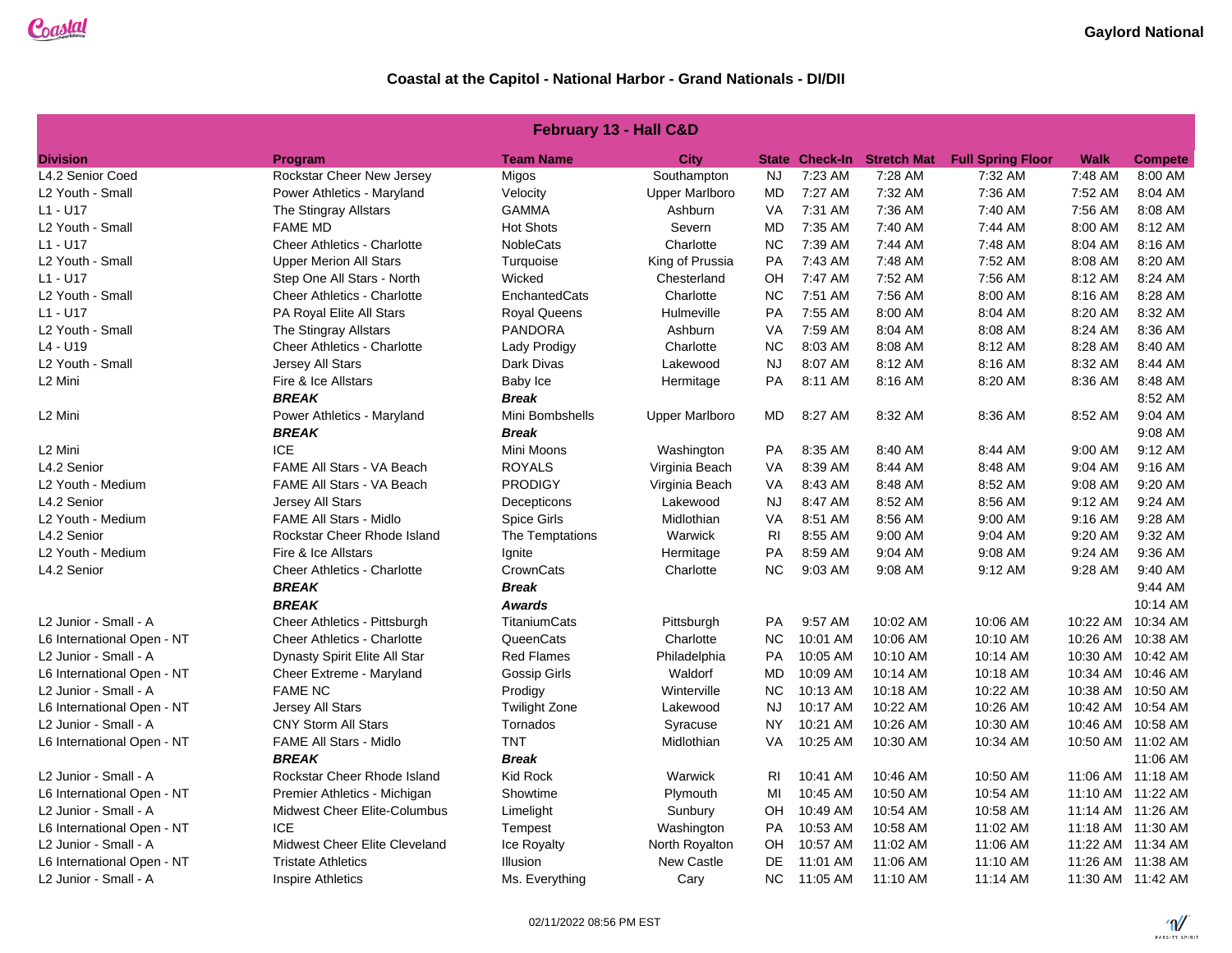| February 13 - Hall C&D     |                                    |                      |                       |           |                       |                    |                          |             |                   |  |
|----------------------------|------------------------------------|----------------------|-----------------------|-----------|-----------------------|--------------------|--------------------------|-------------|-------------------|--|
| <b>Division</b>            | Program                            | <b>Team Name</b>     | City                  |           | <b>State Check-In</b> | <b>Stretch Mat</b> | <b>Full Spring Floor</b> | <b>Walk</b> | <b>Compete</b>    |  |
| L4.2 Senior Coed           | Rockstar Cheer New Jersey          | Migos                | Southampton           | <b>NJ</b> | 7:23 AM               | 7:28 AM            | 7:32 AM                  | 7:48 AM     | 8:00 AM           |  |
| L2 Youth - Small           | Power Athletics - Maryland         | Velocity             | <b>Upper Marlboro</b> | <b>MD</b> | 7:27 AM               | 7:32 AM            | 7:36 AM                  | 7:52 AM     | 8:04 AM           |  |
| L1 - U17                   | The Stingray Allstars              | <b>GAMMA</b>         | Ashburn               | VA        | 7:31 AM               | 7:36 AM            | 7:40 AM                  | 7:56 AM     | 8:08 AM           |  |
| L2 Youth - Small           | <b>FAME MD</b>                     | <b>Hot Shots</b>     | Severn                | MD        | 7:35 AM               | 7:40 AM            | 7:44 AM                  | 8:00 AM     | 8:12 AM           |  |
| L1 - U17                   | <b>Cheer Athletics - Charlotte</b> | <b>NobleCats</b>     | Charlotte             | <b>NC</b> | 7:39 AM               | 7:44 AM            | 7:48 AM                  | 8:04 AM     | 8:16 AM           |  |
| L2 Youth - Small           | <b>Upper Merion All Stars</b>      | Turquoise            | King of Prussia       | PA        | 7:43 AM               | 7:48 AM            | 7:52 AM                  | 8:08 AM     | 8:20 AM           |  |
| L1 - U17                   | Step One All Stars - North         | Wicked               | Chesterland           | OH        | 7:47 AM               | 7:52 AM            | 7:56 AM                  | 8:12 AM     | 8:24 AM           |  |
| L2 Youth - Small           | <b>Cheer Athletics - Charlotte</b> | EnchantedCats        | Charlotte             | <b>NC</b> | 7:51 AM               | 7:56 AM            | 8:00 AM                  | 8:16 AM     | 8:28 AM           |  |
| L1 - U17                   | PA Royal Elite All Stars           | <b>Royal Queens</b>  | Hulmeville            | PA        | 7:55 AM               | 8:00 AM            | 8:04 AM                  | 8:20 AM     | 8:32 AM           |  |
| L2 Youth - Small           | The Stingray Allstars              | <b>PANDORA</b>       | Ashburn               | VA        | 7:59 AM               | 8:04 AM            | 8:08 AM                  | 8:24 AM     | 8:36 AM           |  |
| L4 - U19                   | <b>Cheer Athletics - Charlotte</b> | Lady Prodigy         | Charlotte             | <b>NC</b> | 8:03 AM               | 8:08 AM            | 8:12 AM                  | 8:28 AM     | 8:40 AM           |  |
| L2 Youth - Small           | Jersey All Stars                   | Dark Divas           | Lakewood              | <b>NJ</b> | 8:07 AM               | 8:12 AM            | 8:16 AM                  | 8:32 AM     | 8:44 AM           |  |
| L2 Mini                    | Fire & Ice Allstars                | Baby Ice             | Hermitage             | PA        | 8:11 AM               | 8:16 AM            | 8:20 AM                  | 8:36 AM     | 8:48 AM           |  |
|                            | <b>BREAK</b>                       | <b>Break</b>         |                       |           |                       |                    |                          |             | 8:52 AM           |  |
| L2 Mini                    | Power Athletics - Maryland         | Mini Bombshells      | <b>Upper Marlboro</b> | MD        | 8:27 AM               | 8:32 AM            | 8:36 AM                  | 8:52 AM     | 9:04 AM           |  |
|                            | <b>BREAK</b>                       | <b>Break</b>         |                       |           |                       |                    |                          |             | 9:08 AM           |  |
| L2 Mini                    | <b>ICE</b>                         | Mini Moons           | Washington            | PA        | 8:35 AM               | 8:40 AM            | 8:44 AM                  | 9:00 AM     | 9:12 AM           |  |
| L4.2 Senior                | FAME All Stars - VA Beach          | <b>ROYALS</b>        | Virginia Beach        | <b>VA</b> | 8:39 AM               | 8:44 AM            | 8:48 AM                  | 9:04 AM     | 9:16 AM           |  |
| L2 Youth - Medium          | FAME All Stars - VA Beach          | <b>PRODIGY</b>       | Virginia Beach        | VA        | 8:43 AM               | 8:48 AM            | 8:52 AM                  | 9:08 AM     | 9:20 AM           |  |
| L4.2 Senior                | <b>Jersey All Stars</b>            | Decepticons          | Lakewood              | NJ.       | 8:47 AM               | 8:52 AM            | 8:56 AM                  | 9:12 AM     | 9:24 AM           |  |
| L2 Youth - Medium          | <b>FAME All Stars - Midlo</b>      | Spice Girls          | Midlothian            | <b>VA</b> | 8:51 AM               | 8:56 AM            | 9:00 AM                  | 9:16 AM     | 9:28 AM           |  |
| L4.2 Senior                | Rockstar Cheer Rhode Island        | The Temptations      | Warwick               | <b>RI</b> | 8:55 AM               | 9:00 AM            | 9:04 AM                  | 9:20 AM     | 9:32 AM           |  |
| L2 Youth - Medium          | Fire & Ice Allstars                | Ignite               | Hermitage             | PA        | 8:59 AM               | 9:04 AM            | 9:08 AM                  | 9:24 AM     | 9:36 AM           |  |
| L4.2 Senior                | <b>Cheer Athletics - Charlotte</b> | CrownCats            | Charlotte             | <b>NC</b> | 9:03 AM               | 9:08 AM            | 9:12 AM                  | 9:28 AM     | 9:40 AM           |  |
|                            | <b>BREAK</b>                       | <b>Break</b>         |                       |           |                       |                    |                          |             | 9:44 AM           |  |
|                            | <b>BREAK</b>                       | <b>Awards</b>        |                       |           |                       |                    |                          |             | 10:14 AM          |  |
| L2 Junior - Small - A      | Cheer Athletics - Pittsburgh       | <b>TitaniumCats</b>  | Pittsburgh            | PA        | 9:57 AM               | 10:02 AM           | 10:06 AM                 | 10:22 AM    | 10:34 AM          |  |
| L6 International Open - NT | <b>Cheer Athletics - Charlotte</b> | QueenCats            | Charlotte             | <b>NC</b> | 10:01 AM              | 10:06 AM           | 10:10 AM                 |             | 10:26 AM 10:38 AM |  |
| L2 Junior - Small - A      | Dynasty Spirit Elite All Star      | <b>Red Flames</b>    | Philadelphia          | <b>PA</b> | 10:05 AM              | 10:10 AM           | 10:14 AM                 |             | 10:30 AM 10:42 AM |  |
| L6 International Open - NT | Cheer Extreme - Maryland           | Gossip Girls         | Waldorf               | MD        | 10:09 AM              | 10:14 AM           | 10:18 AM                 |             | 10:34 AM 10:46 AM |  |
| L2 Junior - Small - A      | <b>FAME NC</b>                     | Prodigy              | Winterville           | <b>NC</b> | 10:13 AM              | 10:18 AM           | 10:22 AM                 |             | 10:38 AM 10:50 AM |  |
| L6 International Open - NT | Jersey All Stars                   | <b>Twilight Zone</b> | Lakewood              | <b>NJ</b> | 10:17 AM              | 10:22 AM           | 10:26 AM                 |             | 10:42 AM 10:54 AM |  |
| ∟2 Junior - Small - A      | <b>CNY Storm All Stars</b>         | Tornados             | Syracuse              | <b>NY</b> | 10:21 AM              | 10:26 AM           | 10:30 AM                 |             | 10:46 AM 10:58 AM |  |
| L6 International Open - NT | FAME All Stars - Midlo             | TNT                  | Midlothian            | <b>VA</b> | 10:25 AM              | 10:30 AM           | 10:34 AM                 |             | 10:50 AM 11:02 AM |  |
|                            | <b>BREAK</b>                       | <b>Break</b>         |                       |           |                       |                    |                          |             | 11:06 AM          |  |
| L2 Junior - Small - A      | Rockstar Cheer Rhode Island        | <b>Kid Rock</b>      | Warwick               | <b>RI</b> | 10:41 AM              | 10:46 AM           | 10:50 AM                 |             | 11:06 AM 11:18 AM |  |
| L6 International Open - NT | Premier Athletics - Michigan       | Showtime             | Plymouth              | MI        | 10:45 AM              | 10:50 AM           | 10:54 AM                 |             | 11:10 AM 11:22 AM |  |
| ∟2 Junior - Small - A      | Midwest Cheer Elite-Columbus       | Limelight            | Sunbury               | OН        | 10:49 AM              | 10:54 AM           | 10:58 AM                 |             | 11:14 AM 11:26 AM |  |
| L6 International Open - NT | <b>ICE</b>                         | Tempest              | Washington            | PA        | 10:53 AM              | 10:58 AM           | 11:02 AM                 |             | 11:18 AM 11:30 AM |  |
| ∟2 Junior - Small - A      | Midwest Cheer Elite Cleveland      | Ice Royalty          | North Royalton        | OH        | 10:57 AM              | 11:02 AM           | 11:06 AM                 |             | 11:22 AM 11:34 AM |  |
| L6 International Open - NT | <b>Tristate Athletics</b>          | Illusion             | New Castle            | DE        | 11:01 AM              | 11:06 AM           | 11:10 AM                 |             | 11:26 AM 11:38 AM |  |
| ∟2 Junior - Small - A      | Inspire Athletics                  | Ms. Everything       | Cary                  | <b>NC</b> | 11:05 AM              | 11:10 AM           | $11:14$ AM               |             | 11:30 AM 11:42 AM |  |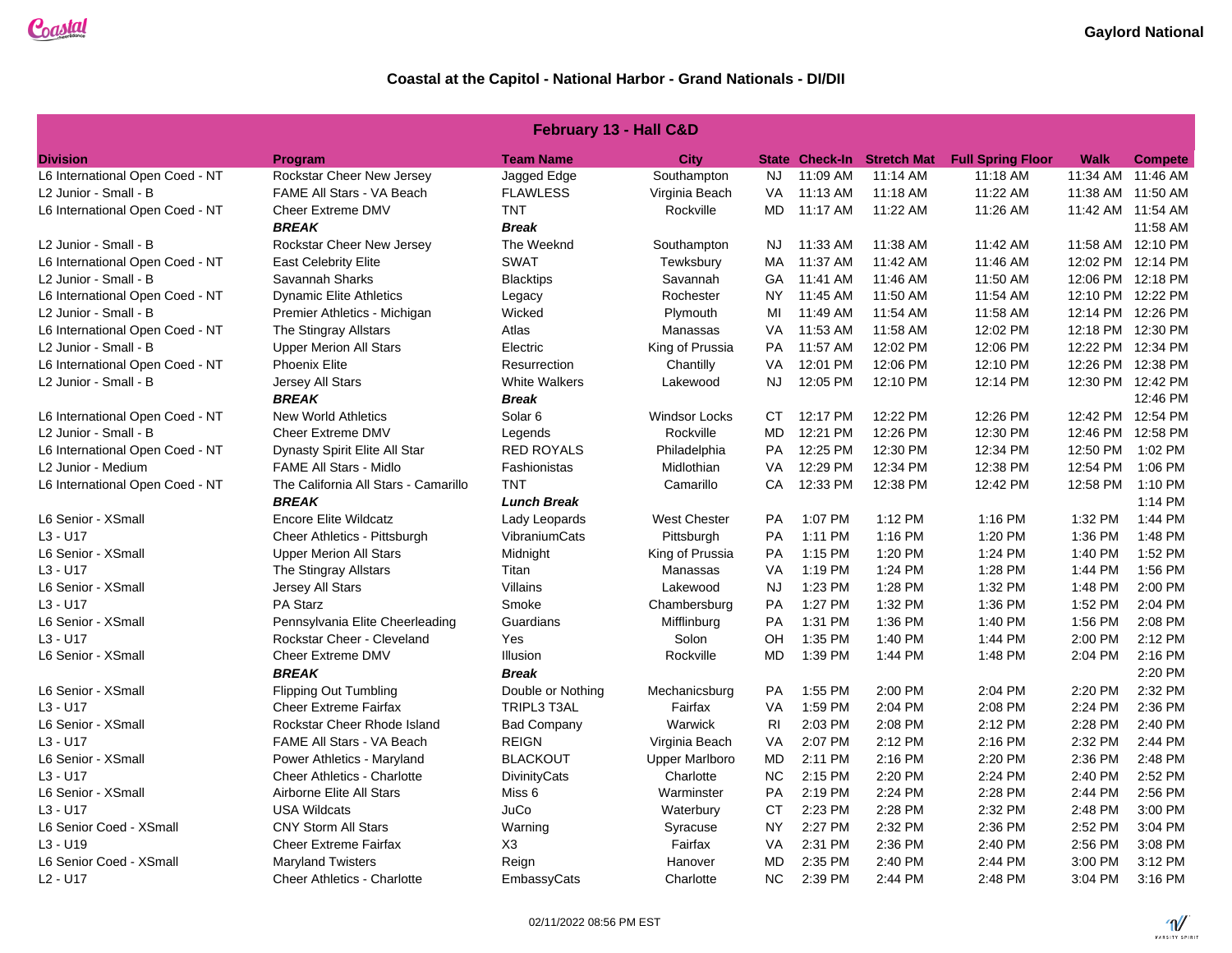| <b>February 13 - Hall C&amp;D</b> |                                      |                      |                       |           |          |                                   |                          |             |                   |
|-----------------------------------|--------------------------------------|----------------------|-----------------------|-----------|----------|-----------------------------------|--------------------------|-------------|-------------------|
| <b>Division</b>                   | <b>Program</b>                       | <b>Team Name</b>     | <b>City</b>           |           |          | <b>State Check-In Stretch Mat</b> | <b>Full Spring Floor</b> | <b>Walk</b> | <b>Compete</b>    |
| L6 International Open Coed - NT   | Rockstar Cheer New Jersey            | Jagged Edge          | Southampton           | NJ        | 11:09 AM | 11:14 AM                          | 11:18 AM                 |             | 11:34 AM 11:46 AM |
| L2 Junior - Small - B             | FAME All Stars - VA Beach            | <b>FLAWLESS</b>      | Virginia Beach        | VA        | 11:13 AM | 11:18 AM                          | 11:22 AM                 |             | 11:38 AM 11:50 AM |
| L6 International Open Coed - NT   | Cheer Extreme DMV                    | <b>TNT</b>           | Rockville             | <b>MD</b> | 11:17 AM | 11:22 AM                          | 11:26 AM                 |             | 11:42 AM 11:54 AM |
|                                   | <b>BREAK</b>                         | <b>Break</b>         |                       |           |          |                                   |                          |             | 11:58 AM          |
| L2 Junior - Small - B             | Rockstar Cheer New Jersey            | The Weeknd           | Southampton           | NJ        | 11:33 AM | 11:38 AM                          | 11:42 AM                 |             | 11:58 AM 12:10 PM |
| L6 International Open Coed - NT   | <b>East Celebrity Elite</b>          | <b>SWAT</b>          | Tewksbury             | <b>MA</b> | 11:37 AM | 11:42 AM                          | 11:46 AM                 |             | 12:02 PM 12:14 PM |
| L2 Junior - Small - B             | Savannah Sharks                      | <b>Blacktips</b>     | Savannah              | GA        | 11:41 AM | 11:46 AM                          | 11:50 AM                 |             | 12:06 PM 12:18 PM |
| L6 International Open Coed - NT   | <b>Dynamic Elite Athletics</b>       | Legacy               | Rochester             | NY        | 11:45 AM | 11:50 AM                          | 11:54 AM                 |             | 12:10 PM 12:22 PM |
| L2 Junior - Small - B             | Premier Athletics - Michigan         | Wicked               | Plymouth              | MI        | 11:49 AM | 11:54 AM                          | 11:58 AM                 |             | 12:14 PM 12:26 PM |
| L6 International Open Coed - NT   | The Stingray Allstars                | Atlas                | Manassas              | VA        | 11:53 AM | 11:58 AM                          | 12:02 PM                 |             | 12:18 PM 12:30 PM |
| L2 Junior - Small - B             | <b>Upper Merion All Stars</b>        | Electric             | King of Prussia       | <b>PA</b> | 11:57 AM | 12:02 PM                          | 12:06 PM                 |             | 12:22 PM 12:34 PM |
| L6 International Open Coed - NT   | <b>Phoenix Elite</b>                 | Resurrection         | Chantilly             | VA        | 12:01 PM | 12:06 PM                          | 12:10 PM                 |             | 12:26 PM 12:38 PM |
| L2 Junior - Small - B             | Jersey All Stars                     | <b>White Walkers</b> | Lakewood              | NJ.       | 12:05 PM | 12:10 PM                          | 12:14 PM                 |             | 12:30 PM 12:42 PM |
|                                   | <b>BREAK</b>                         | <b>Break</b>         |                       |           |          |                                   |                          |             | 12:46 PM          |
| L6 International Open Coed - NT   | <b>New World Athletics</b>           | Solar <sub>6</sub>   | <b>Windsor Locks</b>  | CT        | 12:17 PM | 12:22 PM                          | 12:26 PM                 |             | 12:42 PM 12:54 PM |
| L2 Junior - Small - B             | Cheer Extreme DMV                    | Legends              | Rockville             | <b>MD</b> | 12:21 PM | 12:26 PM                          | 12:30 PM                 |             | 12:46 PM 12:58 PM |
| L6 International Open Coed - NT   | Dynasty Spirit Elite All Star        | <b>RED ROYALS</b>    | Philadelphia          | <b>PA</b> | 12:25 PM | 12:30 PM                          | 12:34 PM                 | 12:50 PM    | 1:02 PM           |
| L2 Junior - Medium                | <b>FAME All Stars - Midlo</b>        | Fashionistas         | Midlothian            | VA        | 12:29 PM | 12:34 PM                          | 12:38 PM                 | 12:54 PM    | 1:06 PM           |
| L6 International Open Coed - NT   | The California All Stars - Camarillo | <b>TNT</b>           | Camarillo             | CA        | 12:33 PM | 12:38 PM                          | 12:42 PM                 | 12:58 PM    | 1:10 PM           |
|                                   | <b>BREAK</b>                         | <b>Lunch Break</b>   |                       |           |          |                                   |                          |             | $1:14$ PM         |
| L6 Senior - XSmall                | <b>Encore Elite Wildcatz</b>         | Lady Leopards        | <b>West Chester</b>   | <b>PA</b> | 1:07 PM  | 1:12 PM                           | 1:16 PM                  | 1:32 PM     | 1:44 PM           |
| $L3 - U17$                        | Cheer Athletics - Pittsburgh         | VibraniumCats        | Pittsburgh            | PA        | 1:11 PM  | 1:16 PM                           | 1:20 PM                  | 1:36 PM     | 1:48 PM           |
| L6 Senior - XSmall                | <b>Upper Merion All Stars</b>        | Midnight             | King of Prussia       | <b>PA</b> | 1:15 PM  | 1:20 PM                           | 1:24 PM                  | 1:40 PM     | 1:52 PM           |
| $L3 - U17$                        | The Stingray Allstars                | Titan                | Manassas              | VA        | 1:19 PM  | 1:24 PM                           | 1:28 PM                  | 1:44 PM     | 1:56 PM           |
| L6 Senior - XSmall                | Jersey All Stars                     | Villains             | Lakewood              | <b>NJ</b> | 1:23 PM  | 1:28 PM                           | 1:32 PM                  | 1:48 PM     | 2:00 PM           |
| $L3 - U17$                        | PA Starz                             | Smoke                | Chambersburg          | PA        | 1:27 PM  | 1:32 PM                           | 1:36 PM                  | 1:52 PM     | 2:04 PM           |
| L6 Senior - XSmall                | Pennsylvania Elite Cheerleading      | Guardians            | Mifflinburg           | PA        | 1:31 PM  | 1:36 PM                           | 1:40 PM                  | 1:56 PM     | 2:08 PM           |
| $L3 - U17$                        | Rockstar Cheer - Cleveland           | Yes                  | Solon                 | OH        | 1:35 PM  | 1:40 PM                           | 1:44 PM                  | 2:00 PM     | 2:12 PM           |
| L6 Senior - XSmall                | Cheer Extreme DMV                    | Illusion             | Rockville             | <b>MD</b> | 1:39 PM  | 1:44 PM                           | 1:48 PM                  | 2:04 PM     | $2:16$ PM         |
|                                   | <b>BREAK</b>                         | <b>Break</b>         |                       |           |          |                                   |                          |             | 2:20 PM           |
| L6 Senior - XSmall                | <b>Flipping Out Tumbling</b>         | Double or Nothing    | Mechanicsburg         | PA        | 1:55 PM  | 2:00 PM                           | 2:04 PM                  | 2:20 PM     | 2:32 PM           |
| $L3 - U17$                        | <b>Cheer Extreme Fairfax</b>         | TRIPL3 T3AL          | Fairfax               | VA        | 1:59 PM  | 2:04 PM                           | 2:08 PM                  | 2:24 PM     | 2:36 PM           |
| L6 Senior - XSmall                | Rockstar Cheer Rhode Island          | <b>Bad Company</b>   | Warwick               | <b>RI</b> | 2:03 PM  | 2:08 PM                           | 2:12 PM                  | 2:28 PM     | 2:40 PM           |
| $L3 - U17$                        | <b>FAME All Stars - VA Beach</b>     | <b>REIGN</b>         | Virginia Beach        | VA        | 2:07 PM  | 2:12 PM                           | 2:16 PM                  | 2:32 PM     | 2:44 PM           |
| L6 Senior - XSmall                | Power Athletics - Maryland           | <b>BLACKOUT</b>      | <b>Upper Marlboro</b> | <b>MD</b> | 2:11 PM  | 2:16 PM                           | 2:20 PM                  | 2:36 PM     | 2:48 PM           |
| $L3 - U17$                        | <b>Cheer Athletics - Charlotte</b>   | <b>DivinityCats</b>  | Charlotte             | <b>NC</b> | 2:15 PM  | 2:20 PM                           | 2:24 PM                  | 2:40 PM     | 2:52 PM           |
| L6 Senior - XSmall                | Airborne Elite All Stars             | Miss <sub>6</sub>    | Warminster            | PA        | 2:19 PM  | 2:24 PM                           | 2:28 PM                  | 2:44 PM     | 2:56 PM           |
| $L3 - U17$                        | <b>USA Wildcats</b>                  | JuCo                 | Waterbury             | <b>CT</b> | 2:23 PM  | 2:28 PM                           | 2:32 PM                  | 2:48 PM     | 3:00 PM           |
| L6 Senior Coed - XSmall           | <b>CNY Storm All Stars</b>           | Warning              | Syracuse              | <b>NY</b> | 2:27 PM  | 2:32 PM                           | 2:36 PM                  | 2:52 PM     | 3:04 PM           |
| $L3 - U19$                        | <b>Cheer Extreme Fairfax</b>         | X <sub>3</sub>       | Fairfax               | VA        | 2:31 PM  | 2:36 PM                           | 2:40 PM                  | 2:56 PM     | 3:08 PM           |
| L6 Senior Coed - XSmall           | <b>Maryland Twisters</b>             | Reign                | Hanover               | <b>MD</b> | 2:35 PM  | 2:40 PM                           | 2:44 PM                  | 3:00 PM     | 3:12 PM           |
| $L2 - U17$                        | Cheer Athletics - Charlotte          | EmbassyCats          | Charlotte             | NC.       | 2:39 PM  | 2:44 PM                           | 2:48 PM                  | 3:04 PM     | 3:16 PM           |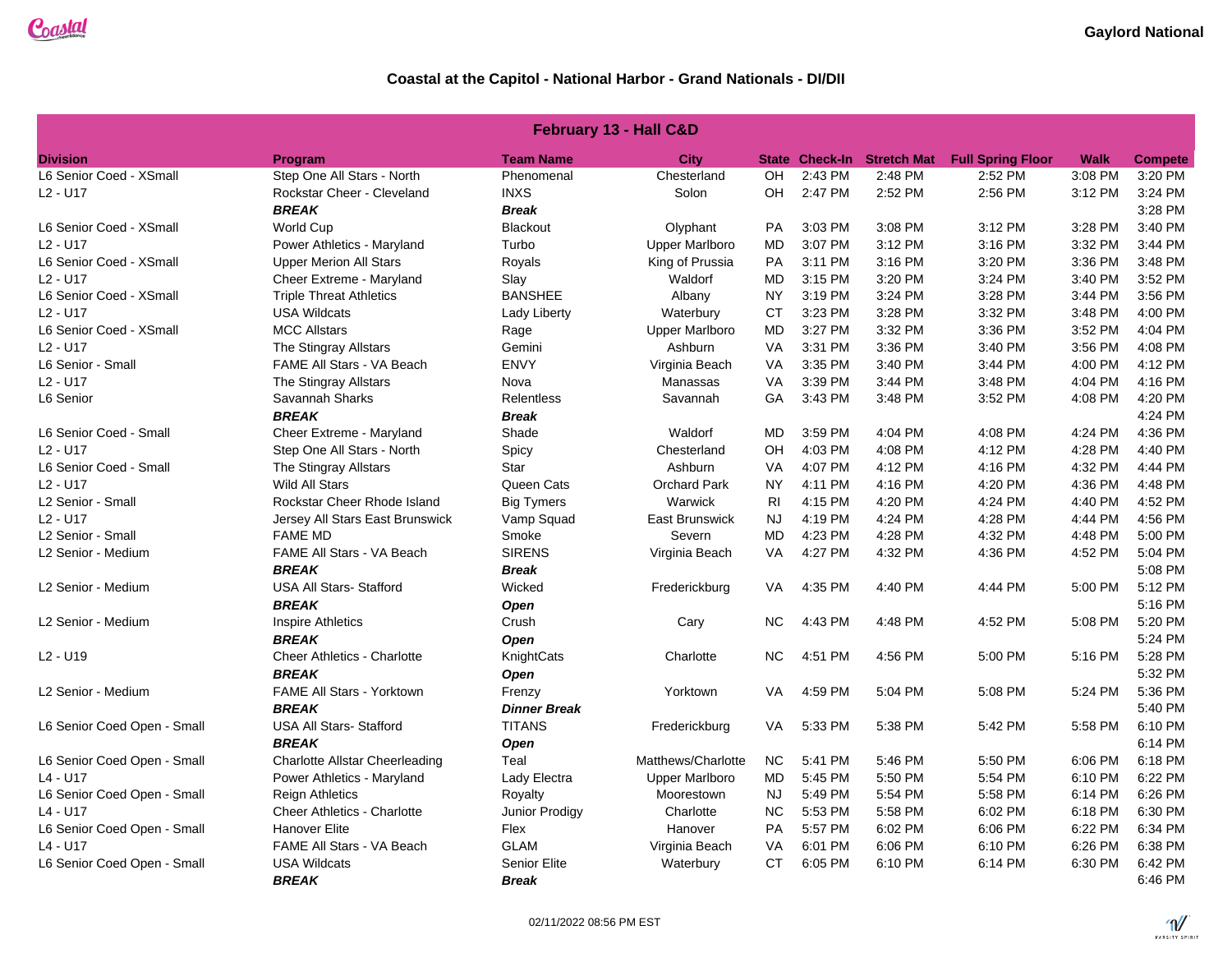| February 13 - Hall C&D           |                                       |                     |                       |           |         |                            |                          |         |                |
|----------------------------------|---------------------------------------|---------------------|-----------------------|-----------|---------|----------------------------|--------------------------|---------|----------------|
| <b>Division</b>                  | Program                               | <b>Team Name</b>    | <b>City</b>           |           |         | State Check-In Stretch Mat | <b>Full Spring Floor</b> | Walk    | <b>Compete</b> |
| L6 Senior Coed - XSmall          | Step One All Stars - North            | Phenomenal          | Chesterland           | OH        | 2:43 PM | 2:48 PM                    | 2:52 PM                  | 3:08 PM | 3:20 PM        |
| $L2 - U17$                       | Rockstar Cheer - Cleveland            | <b>INXS</b>         | Solon                 | OH        | 2:47 PM | 2:52 PM                    | 2:56 PM                  | 3:12 PM | 3:24 PM        |
|                                  | <b>BREAK</b>                          | <b>Break</b>        |                       |           |         |                            |                          |         | 3:28 PM        |
| L6 Senior Coed - XSmall          | <b>World Cup</b>                      | <b>Blackout</b>     | Olyphant              | <b>PA</b> | 3:03 PM | 3:08 PM                    | 3:12 PM                  | 3:28 PM | 3:40 PM        |
| $L2 - U17$                       | Power Athletics - Maryland            | Turbo               | <b>Upper Marlboro</b> | MD        | 3:07 PM | 3:12 PM                    | 3:16 PM                  | 3:32 PM | 3:44 PM        |
| L6 Senior Coed - XSmall          | <b>Upper Merion All Stars</b>         | Royals              | King of Prussia       | PA        | 3:11 PM | 3:16 PM                    | 3:20 PM                  | 3:36 PM | 3:48 PM        |
| $L2 - U17$                       | Cheer Extreme - Maryland              | Slay                | Waldorf               | <b>MD</b> | 3:15 PM | 3:20 PM                    | 3:24 PM                  | 3:40 PM | 3:52 PM        |
| L6 Senior Coed - XSmall          | <b>Triple Threat Athletics</b>        | <b>BANSHEE</b>      | Albany                | <b>NY</b> | 3:19 PM | 3:24 PM                    | 3:28 PM                  | 3:44 PM | 3:56 PM        |
| $L2 - U17$                       | <b>USA Wildcats</b>                   | Lady Liberty        | Waterbury             | <b>CT</b> | 3:23 PM | 3:28 PM                    | 3:32 PM                  | 3:48 PM | 4:00 PM        |
| L6 Senior Coed - XSmall          | <b>MCC Allstars</b>                   | Rage                | <b>Upper Marlboro</b> | <b>MD</b> | 3:27 PM | 3:32 PM                    | 3:36 PM                  | 3:52 PM | 4:04 PM        |
| $L2 - U17$                       | The Stingray Allstars                 | Gemini              | Ashburn               | VA        | 3:31 PM | 3:36 PM                    | 3:40 PM                  | 3:56 PM | 4:08 PM        |
| L6 Senior - Small                | FAME All Stars - VA Beach             | <b>ENVY</b>         | Virginia Beach        | VA        | 3:35 PM | 3:40 PM                    | 3:44 PM                  | 4:00 PM | 4:12 PM        |
| $L2 - U17$                       | The Stingray Allstars                 | Nova                | Manassas              | VA        | 3:39 PM | 3:44 PM                    | 3:48 PM                  | 4:04 PM | 4:16 PM        |
| L6 Senior                        | Savannah Sharks                       | <b>Relentless</b>   | Savannah              | GA        | 3:43 PM | 3:48 PM                    | 3:52 PM                  | 4:08 PM | 4:20 PM        |
|                                  | <b>BREAK</b>                          | <b>Break</b>        |                       |           |         |                            |                          |         | 4:24 PM        |
| L6 Senior Coed - Small           | Cheer Extreme - Maryland              | Shade               | Waldorf               | <b>MD</b> | 3:59 PM | 4:04 PM                    | 4:08 PM                  | 4:24 PM | 4:36 PM        |
| $L2 - U17$                       | Step One All Stars - North            | Spicy               | Chesterland           | OH        | 4:03 PM | 4:08 PM                    | 4:12 PM                  | 4:28 PM | 4:40 PM        |
| L6 Senior Coed - Small           | The Stingray Allstars                 | Star                | Ashburn               | VA        | 4:07 PM | 4:12 PM                    | 4:16 PM                  | 4:32 PM | 4:44 PM        |
| $L2 - U17$                       | Wild All Stars                        | Queen Cats          | <b>Orchard Park</b>   | <b>NY</b> | 4:11 PM | 4:16 PM                    | 4:20 PM                  | 4:36 PM | 4:48 PM        |
| L2 Senior - Small                | Rockstar Cheer Rhode Island           | <b>Big Tymers</b>   | Warwick               | <b>RI</b> | 4:15 PM | 4:20 PM                    | 4:24 PM                  | 4:40 PM | 4:52 PM        |
| $L2 - U17$                       | Jersey All Stars East Brunswick       | Vamp Squad          | <b>East Brunswick</b> | <b>NJ</b> | 4:19 PM | 4:24 PM                    | 4:28 PM                  | 4:44 PM | 4:56 PM        |
| L2 Senior - Small                | <b>FAME MD</b>                        | Smoke               | Severn                | <b>MD</b> | 4:23 PM | 4:28 PM                    | 4:32 PM                  | 4:48 PM | 5:00 PM        |
| L2 Senior - Medium               | FAME All Stars - VA Beach             | <b>SIRENS</b>       | Virginia Beach        | <b>VA</b> | 4:27 PM | 4:32 PM                    | 4:36 PM                  | 4:52 PM | 5:04 PM        |
|                                  | <b>BREAK</b>                          | <b>Break</b>        |                       |           |         |                            |                          |         | 5:08 PM        |
| L2 Senior - Medium               | <b>USA All Stars- Stafford</b>        | Wicked              | Frederickburg         | <b>VA</b> | 4:35 PM | 4:40 PM                    | 4:44 PM                  | 5:00 PM | 5:12 PM        |
|                                  | <b>BREAK</b>                          | Open                |                       |           |         |                            |                          |         | 5:16 PM        |
| L2 Senior - Medium               | <b>Inspire Athletics</b>              | Crush               | Cary                  | <b>NC</b> | 4:43 PM | 4:48 PM                    | 4:52 PM                  | 5:08 PM | 5:20 PM        |
|                                  | <b>BREAK</b>                          | Open                |                       |           |         |                            |                          |         | 5:24 PM        |
| L <sub>2</sub> - U <sub>19</sub> | <b>Cheer Athletics - Charlotte</b>    | KnightCats          | Charlotte             | <b>NC</b> | 4:51 PM | 4:56 PM                    | 5:00 PM                  | 5:16 PM | 5:28 PM        |
|                                  | <b>BREAK</b>                          | <b>Open</b>         |                       |           |         |                            |                          |         | 5:32 PM        |
| L2 Senior - Medium               | <b>FAME All Stars - Yorktown</b>      | Frenzy              | Yorktown              | <b>VA</b> | 4:59 PM | 5:04 PM                    | 5:08 PM                  | 5:24 PM | 5:36 PM        |
|                                  | <b>BREAK</b>                          | <b>Dinner Break</b> |                       |           |         |                            |                          |         | 5:40 PM        |
| L6 Senior Coed Open - Small      | <b>USA All Stars- Stafford</b>        | <b>TITANS</b>       | Frederickburg         | <b>VA</b> | 5:33 PM | 5:38 PM                    | 5:42 PM                  | 5:58 PM | 6:10 PM        |
|                                  | <b>BREAK</b>                          | Open                |                       |           |         |                            |                          |         | 6:14 PM        |
| L6 Senior Coed Open - Small      | <b>Charlotte Allstar Cheerleading</b> | Teal                | Matthews/Charlotte    | <b>NC</b> | 5:41 PM | 5:46 PM                    | 5:50 PM                  | 6:06 PM | 6:18 PM        |
| L4 - U17                         | Power Athletics - Maryland            | Lady Electra        | <b>Upper Marlboro</b> | <b>MD</b> | 5:45 PM | 5:50 PM                    | 5:54 PM                  | 6:10 PM | 6:22 PM        |
| L6 Senior Coed Open - Small      | <b>Reign Athletics</b>                | Royalty             | Moorestown            | NJ        | 5:49 PM | 5:54 PM                    | 5:58 PM                  | 6:14 PM | 6:26 PM        |
| $L4 - U17$                       | Cheer Athletics - Charlotte           | Junior Prodigy      | Charlotte             | <b>NC</b> | 5:53 PM | 5:58 PM                    | 6:02 PM                  | 6:18 PM | 6:30 PM        |
| L6 Senior Coed Open - Small      | <b>Hanover Elite</b>                  | Flex                | Hanover               | <b>PA</b> | 5:57 PM | 6:02 PM                    | 6:06 PM                  | 6:22 PM | 6:34 PM        |
| $L4 - U17$                       | FAME All Stars - VA Beach             | <b>GLAM</b>         | Virginia Beach        | VA        | 6:01 PM | 6:06 PM                    | 6:10 PM                  | 6:26 PM | 6:38 PM        |
| L6 Senior Coed Open - Small      | <b>USA Wildcats</b>                   | <b>Senior Elite</b> | Waterbury             | <b>CT</b> | 6:05 PM | 6:10 PM                    | 6:14 PM                  | 6:30 PM | 6:42 PM        |
|                                  | <b>BREAK</b>                          | <b>Break</b>        |                       |           |         |                            |                          |         | 6:46 PM        |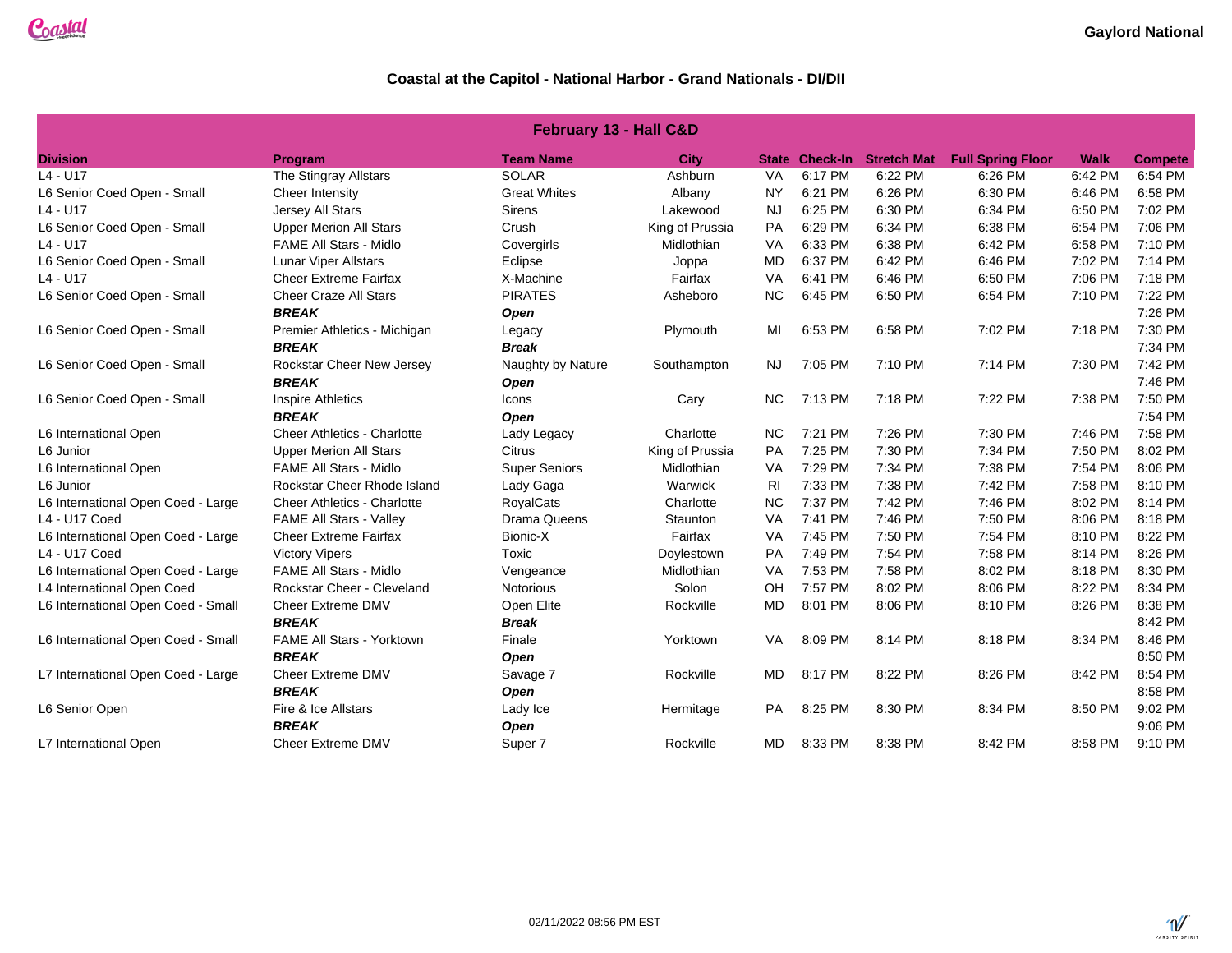| February 13 - Hall C&D             |                                    |                      |                 |           |                       |                    |                          |             |                |
|------------------------------------|------------------------------------|----------------------|-----------------|-----------|-----------------------|--------------------|--------------------------|-------------|----------------|
| <b>Division</b>                    | Program                            | <b>Team Name</b>     | <b>City</b>     |           | <b>State Check-In</b> | <b>Stretch Mat</b> | <b>Full Spring Floor</b> | <b>Walk</b> | <b>Compete</b> |
| $L4 - U17$                         | The Stingray Allstars              | <b>SOLAR</b>         | Ashburn         | VA        | 6:17 PM               | 6:22 PM            | 6:26 PM                  | 6:42 PM     | 6:54 PM        |
| L6 Senior Coed Open - Small        | Cheer Intensity                    | <b>Great Whites</b>  | Albany          | <b>NY</b> | 6:21 PM               | 6:26 PM            | 6:30 PM                  | 6:46 PM     | 6:58 PM        |
| $L4 - U17$                         | Jersey All Stars                   | <b>Sirens</b>        | Lakewood        | <b>NJ</b> | 6:25 PM               | 6:30 PM            | 6:34 PM                  | 6:50 PM     | 7:02 PM        |
| L6 Senior Coed Open - Small        | <b>Upper Merion All Stars</b>      | Crush                | King of Prussia | PA        | 6:29 PM               | 6:34 PM            | 6:38 PM                  | 6:54 PM     | 7:06 PM        |
| $L4 - U17$                         | <b>FAME All Stars - Midlo</b>      | Covergirls           | Midlothian      | VA        | 6:33 PM               | 6:38 PM            | 6:42 PM                  | 6:58 PM     | 7:10 PM        |
| L6 Senior Coed Open - Small        | <b>Lunar Viper Allstars</b>        | Eclipse              | Joppa           | <b>MD</b> | 6:37 PM               | 6:42 PM            | 6:46 PM                  | 7:02 PM     | 7:14 PM        |
| $L4 - U17$                         | <b>Cheer Extreme Fairfax</b>       | X-Machine            | Fairfax         | VA        | 6:41 PM               | 6:46 PM            | 6:50 PM                  | 7:06 PM     | 7:18 PM        |
| L6 Senior Coed Open - Small        | <b>Cheer Craze All Stars</b>       | <b>PIRATES</b>       | Asheboro        | <b>NC</b> | 6:45 PM               | 6:50 PM            | 6:54 PM                  | 7:10 PM     | 7:22 PM        |
|                                    | <b>BREAK</b>                       | Open                 |                 |           |                       |                    |                          |             | 7:26 PM        |
| L6 Senior Coed Open - Small        | Premier Athletics - Michigan       | Legacy               | Plymouth        | MI        | 6:53 PM               | 6:58 PM            | 7:02 PM                  | 7:18 PM     | 7:30 PM        |
|                                    | <b>BREAK</b>                       | <b>Break</b>         |                 |           |                       |                    |                          |             | 7:34 PM        |
| L6 Senior Coed Open - Small        | <b>Rockstar Cheer New Jersey</b>   | Naughty by Nature    | Southampton     | <b>NJ</b> | 7:05 PM               | 7:10 PM            | 7:14 PM                  | 7:30 PM     | 7:42 PM        |
|                                    | <b>BREAK</b>                       | Open                 |                 |           |                       |                    |                          |             | 7:46 PM        |
| L6 Senior Coed Open - Small        | <b>Inspire Athletics</b>           | Icons                | Cary            | <b>NC</b> | 7:13 PM               | 7:18 PM            | 7:22 PM                  | 7:38 PM     | 7:50 PM        |
|                                    | <b>BREAK</b>                       | Open                 |                 |           |                       |                    |                          |             | 7:54 PM        |
| L6 International Open              | <b>Cheer Athletics - Charlotte</b> | Lady Legacy          | Charlotte       | <b>NC</b> | 7:21 PM               | 7:26 PM            | 7:30 PM                  | 7:46 PM     | 7:58 PM        |
| L6 Junior                          | <b>Upper Merion All Stars</b>      | Citrus               | King of Prussia | PA        | 7:25 PM               | 7:30 PM            | 7:34 PM                  | 7:50 PM     | 8:02 PM        |
| L6 International Open              | <b>FAME All Stars - Midlo</b>      | <b>Super Seniors</b> | Midlothian      | VA        | 7:29 PM               | 7:34 PM            | 7:38 PM                  | 7:54 PM     | 8:06 PM        |
| L6 Junior                          | Rockstar Cheer Rhode Island        | Lady Gaga            | Warwick         | <b>RI</b> | 7:33 PM               | 7:38 PM            | 7:42 PM                  | 7:58 PM     | 8:10 PM        |
| L6 International Open Coed - Large | <b>Cheer Athletics - Charlotte</b> | <b>RoyalCats</b>     | Charlotte       | <b>NC</b> | 7:37 PM               | 7:42 PM            | 7:46 PM                  | 8:02 PM     | 8:14 PM        |
| L4 - U17 Coed                      | FAME All Stars - Valley            | Drama Queens         | Staunton        | VA        | 7:41 PM               | 7:46 PM            | 7:50 PM                  | 8:06 PM     | 8:18 PM        |
| L6 International Open Coed - Large | <b>Cheer Extreme Fairfax</b>       | Bionic-X             | Fairfax         | VA        | 7:45 PM               | 7:50 PM            | 7:54 PM                  | 8:10 PM     | 8:22 PM        |
| L4 - U17 Coed                      | <b>Victory Vipers</b>              | Toxic                | Doylestown      | PA        | 7:49 PM               | 7:54 PM            | 7:58 PM                  | 8:14 PM     | 8:26 PM        |
| L6 International Open Coed - Large | <b>FAME All Stars - Midlo</b>      | Vengeance            | Midlothian      | VA        | 7:53 PM               | 7:58 PM            | 8:02 PM                  | 8:18 PM     | 8:30 PM        |
| L4 International Open Coed         | Rockstar Cheer - Cleveland         | Notorious            | Solon           | OH        | 7:57 PM               | 8:02 PM            | 8:06 PM                  | 8:22 PM     | 8:34 PM        |
| L6 International Open Coed - Small | <b>Cheer Extreme DMV</b>           | Open Elite           | Rockville       | <b>MD</b> | 8:01 PM               | 8:06 PM            | 8:10 PM                  | 8:26 PM     | 8:38 PM        |
|                                    | <b>BREAK</b>                       | <b>Break</b>         |                 |           |                       |                    |                          |             | 8:42 PM        |
| L6 International Open Coed - Small | FAME All Stars - Yorktown          | Finale               | Yorktown        | VA        | 8:09 PM               | 8:14 PM            | 8:18 PM                  | 8:34 PM     | 8:46 PM        |
|                                    | <b>BREAK</b>                       | Open                 |                 |           |                       |                    |                          |             | 8:50 PM        |
| L7 International Open Coed - Large | <b>Cheer Extreme DMV</b>           | Savage 7             | Rockville       | <b>MD</b> | 8:17 PM               | 8:22 PM            | 8:26 PM                  | 8:42 PM     | 8:54 PM        |
|                                    | <b>BREAK</b>                       | Open                 |                 |           |                       |                    |                          |             | 8:58 PM        |
| L6 Senior Open                     | Fire & Ice Allstars                | Lady Ice             | Hermitage       | PA        | 8:25 PM               | 8:30 PM            | 8:34 PM                  | 8:50 PM     | 9:02 PM        |
|                                    | <b>BREAK</b>                       | Open                 |                 |           |                       |                    |                          |             | 9:06 PM        |
| L7 International Open              | <b>Cheer Extreme DMV</b>           | Super 7              | Rockville       | MD        | 8:33 PM               | 8:38 PM            | 8:42 PM                  | 8:58 PM     | 9:10 PM        |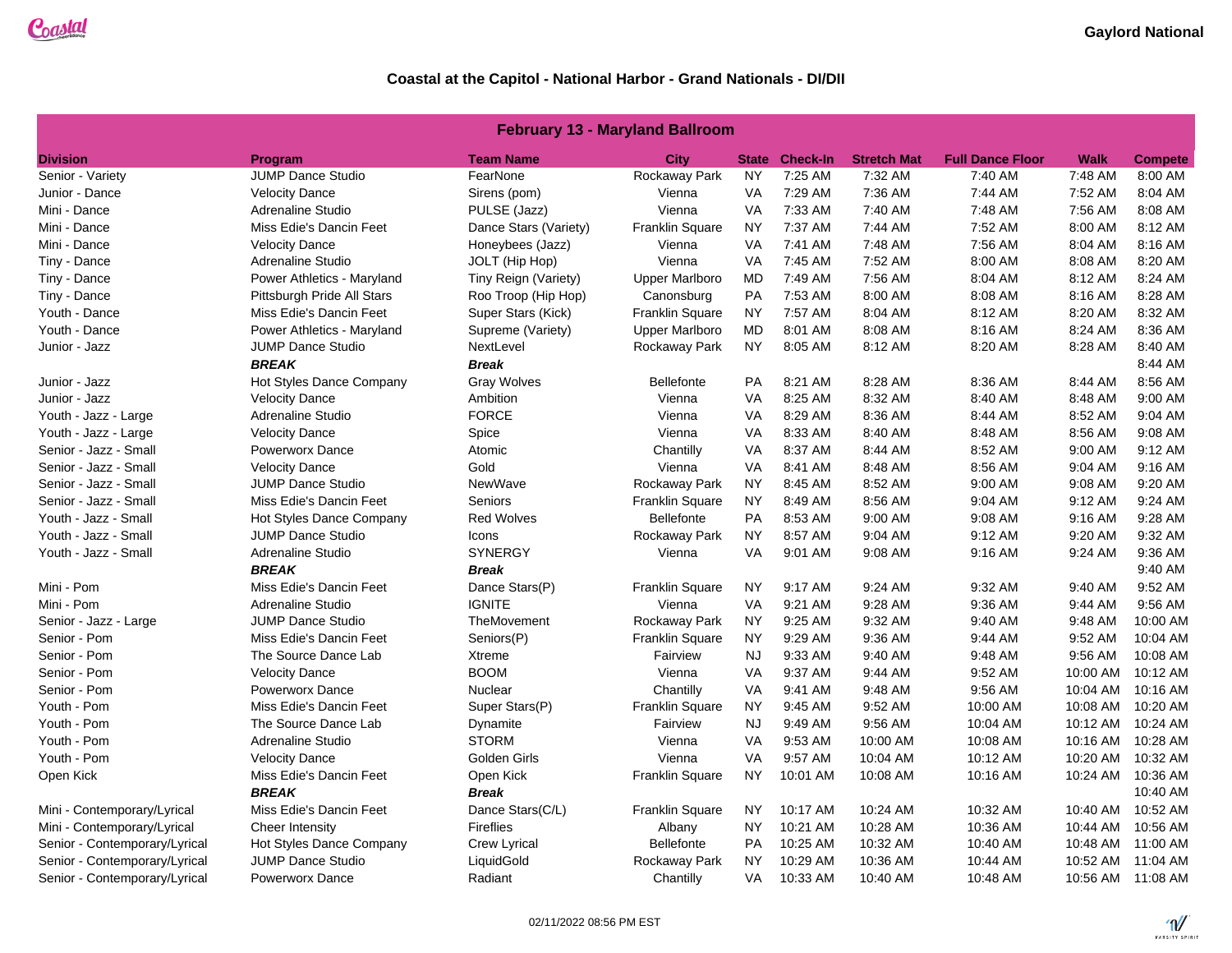#### **February 13 - Maryland Ballroom**

| <b>Division</b>               | <b>Program</b>             | <b>Team Name</b>      | <b>City</b>            |           | <b>State Check-In</b> | <b>Stretch Mat</b> | <b>Full Dance Floor</b> | Walk     | <b>Compete</b>     |
|-------------------------------|----------------------------|-----------------------|------------------------|-----------|-----------------------|--------------------|-------------------------|----------|--------------------|
| Senior - Variety              | <b>JUMP Dance Studio</b>   | FearNone              | Rockaway Park          | <b>NY</b> | 7:25 AM               | 7:32 AM            | 7:40 AM                 | 7:48 AM  | 8:00 AM            |
| Junior - Dance                | <b>Velocity Dance</b>      | Sirens (pom)          | Vienna                 | VA        | 7:29 AM               | 7:36 AM            | 7:44 AM                 | 7:52 AM  | 8:04 AM            |
| Mini - Dance                  | <b>Adrenaline Studio</b>   | PULSE (Jazz)          | Vienna                 | VA        | 7:33 AM               | 7:40 AM            | 7:48 AM                 | 7:56 AM  | 8:08 AM            |
| Mini - Dance                  | Miss Edie's Dancin Feet    | Dance Stars (Variety) | Franklin Square        | <b>NY</b> | 7:37 AM               | 7:44 AM            | 7:52 AM                 | 8:00 AM  | 8:12 AM            |
| Mini - Dance                  | <b>Velocity Dance</b>      | Honeybees (Jazz)      | Vienna                 | <b>VA</b> | 7:41 AM               | 7:48 AM            | 7:56 AM                 | 8:04 AM  | 8:16 AM            |
| Tiny - Dance                  | Adrenaline Studio          | JOLT (Hip Hop)        | Vienna                 | <b>VA</b> | 7:45 AM               | 7:52 AM            | 8:00 AM                 | 8:08 AM  | 8:20 AM            |
| Tiny - Dance                  | Power Athletics - Maryland | Tiny Reign (Variety)  | <b>Upper Marlboro</b>  | <b>MD</b> | 7:49 AM               | 7:56 AM            | 8:04 AM                 | 8:12 AM  | 8:24 AM            |
| Tiny - Dance                  | Pittsburgh Pride All Stars | Roo Troop (Hip Hop)   | Canonsburg             | <b>PA</b> | 7:53 AM               | 8:00 AM            | 8:08 AM                 | 8:16 AM  | 8:28 AM            |
| Youth - Dance                 | Miss Edie's Dancin Feet    | Super Stars (Kick)    | <b>Franklin Square</b> | <b>NY</b> | 7:57 AM               | 8:04 AM            | 8:12 AM                 | 8:20 AM  | 8:32 AM            |
| Youth - Dance                 | Power Athletics - Maryland | Supreme (Variety)     | <b>Upper Marlboro</b>  | MD        | 8:01 AM               | 8:08 AM            | 8:16 AM                 | 8:24 AM  | 8:36 AM            |
| Junior - Jazz                 | <b>JUMP Dance Studio</b>   | NextLevel             | Rockaway Park          | NY.       | 8:05 AM               | 8:12 AM            | 8:20 AM                 | 8:28 AM  | 8:40 AM            |
|                               | <b>BREAK</b>               | <b>Break</b>          |                        |           |                       |                    |                         |          | 8:44 AM            |
| Junior - Jazz                 | Hot Styles Dance Company   | Gray Wolves           | <b>Bellefonte</b>      | PA        | 8:21 AM               | 8:28 AM            | 8:36 AM                 | 8:44 AM  | 8:56 AM            |
| Junior - Jazz                 | <b>Velocity Dance</b>      | Ambition              | Vienna                 | <b>VA</b> | 8:25 AM               | 8:32 AM            | 8:40 AM                 | 8:48 AM  | 9:00 AM            |
| Youth - Jazz - Large          | Adrenaline Studio          | <b>FORCE</b>          | Vienna                 | <b>VA</b> | 8:29 AM               | 8:36 AM            | 8:44 AM                 | 8:52 AM  | 9:04 AM            |
| Youth - Jazz - Large          | <b>Velocity Dance</b>      | Spice                 | Vienna                 | <b>VA</b> | 8:33 AM               | 8:40 AM            | 8:48 AM                 | 8:56 AM  | 9:08 AM            |
| Senior - Jazz - Small         | <b>Powerworx Dance</b>     | Atomic                | Chantilly              | <b>VA</b> | 8:37 AM               | 8:44 AM            | 8:52 AM                 | 9:00 AM  | 9:12 AM            |
| Senior - Jazz - Small         | <b>Velocity Dance</b>      | Gold                  | Vienna                 | <b>VA</b> | 8:41 AM               | 8:48 AM            | 8:56 AM                 | 9:04 AM  | 9:16 AM            |
| Senior - Jazz - Small         | <b>JUMP Dance Studio</b>   | NewWave               | Rockaway Park          | <b>NY</b> | 8:45 AM               | 8:52 AM            | 9:00 AM                 | 9:08 AM  | 9:20 AM            |
| Senior - Jazz - Small         | Miss Edie's Dancin Feet    | Seniors               | Franklin Square        | <b>NY</b> | 8:49 AM               | 8:56 AM            | 9:04 AM                 | 9:12 AM  | 9:24 AM            |
| Youth - Jazz - Small          | Hot Styles Dance Company   | <b>Red Wolves</b>     | <b>Bellefonte</b>      | <b>PA</b> | 8:53 AM               | 9:00 AM            | 9:08 AM                 | 9:16 AM  | 9:28 AM            |
| Youth - Jazz - Small          | <b>JUMP Dance Studio</b>   | Icons                 | Rockaway Park          | NY.       | 8:57 AM               | 9:04 AM            | 9:12 AM                 | 9:20 AM  | 9:32 AM            |
| Youth - Jazz - Small          | Adrenaline Studio          | <b>SYNERGY</b>        | Vienna                 | <b>VA</b> | 9:01 AM               | 9:08 AM            | $9:16$ AM               | 9:24 AM  | 9:36 AM            |
|                               | <b>BREAK</b>               | <b>Break</b>          |                        |           |                       |                    |                         |          | 9:40 AM            |
| Mini - Pom                    | Miss Edie's Dancin Feet    | Dance Stars(P)        | <b>Franklin Square</b> | <b>NY</b> | 9:17 AM               | 9:24 AM            | 9:32 AM                 | 9:40 AM  | 9:52 AM            |
| Mini - Pom                    | <b>Adrenaline Studio</b>   | <b>IGNITE</b>         | Vienna                 | <b>VA</b> | 9:21 AM               | 9:28 AM            | 9:36 AM                 | 9:44 AM  | 9:56 AM            |
| Senior - Jazz - Large         | <b>JUMP Dance Studio</b>   | TheMovement           | Rockaway Park          | <b>NY</b> | 9:25 AM               | 9:32 AM            | 9:40 AM                 | 9:48 AM  | 10:00 AM           |
| Senior - Pom                  | Miss Edie's Dancin Feet    | Seniors(P)            | Franklin Square        | <b>NY</b> | 9:29 AM               | 9:36 AM            | 9:44 AM                 | 9:52 AM  | 10:04 AM           |
| Senior - Pom                  | The Source Dance Lab       | Xtreme                | Fairview               | <b>NJ</b> | 9:33 AM               | 9:40 AM            | 9:48 AM                 | 9:56 AM  | 10:08 AM           |
| Senior - Pom                  | <b>Velocity Dance</b>      | <b>BOOM</b>           | Vienna                 | <b>VA</b> | 9:37 AM               | 9:44 AM            | 9:52 AM                 | 10:00 AM | 10:12 AM           |
| Senior - Pom                  | <b>Powerworx Dance</b>     | Nuclear               | Chantilly              | <b>VA</b> | 9:41 AM               | 9:48 AM            | 9:56 AM                 | 10:04 AM | 10:16 AM           |
| Youth - Pom                   | Miss Edie's Dancin Feet    | Super Stars(P)        | <b>Franklin Square</b> | <b>NY</b> | 9:45 AM               | 9:52 AM            | 10:00 AM                | 10:08 AM | 10:20 AM           |
| Youth - Pom                   | The Source Dance Lab       | Dynamite              | Fairview               | <b>NJ</b> | 9:49 AM               | 9:56 AM            | 10:04 AM                | 10:12 AM | 10:24 AM           |
| Youth - Pom                   | <b>Adrenaline Studio</b>   | <b>STORM</b>          | Vienna                 | VA        | 9:53 AM               | 10:00 AM           | 10:08 AM                | 10:16 AM | 10:28 AM           |
| Youth - Pom                   | <b>Velocity Dance</b>      | Golden Girls          | Vienna                 | VA        | 9:57 AM               | 10:04 AM           | 10:12 AM                | 10:20 AM | 10:32 AM           |
| Open Kick                     | Miss Edie's Dancin Feet    | Open Kick             | Franklin Square        | NY        | 10:01 AM              | 10:08 AM           | 10:16 AM                | 10:24 AM | 10:36 AM           |
|                               | <b>BREAK</b>               | <b>Break</b>          |                        |           |                       |                    |                         |          | 10:40 AM           |
| Mini - Contemporary/Lyrical   | Miss Edie's Dancin Feet    | Dance Stars(C/L)      | Franklin Square        | NY.       | 10:17 AM              | 10:24 AM           | 10:32 AM                | 10:40 AM | 10:52 AM           |
| Mini - Contemporary/Lyrical   | Cheer Intensity            | <b>Fireflies</b>      | Albany                 | <b>NY</b> | 10:21 AM              | 10:28 AM           | 10:36 AM                | 10:44 AM | 10:56 AM           |
| Senior - Contemporary/Lyrical | Hot Styles Dance Company   | Crew Lyrical          | <b>Bellefonte</b>      | <b>PA</b> | 10:25 AM              | 10:32 AM           | 10:40 AM                | 10:48 AM | 11:00 AM           |
| Senior - Contemporary/Lyrical | <b>JUMP Dance Studio</b>   | LiquidGold            | Rockaway Park          | NY.       | 10:29 AM              | 10:36 AM           | 10:44 AM                | 10:52 AM | 11:04 AM           |
| Senior - Contemporary/Lyrical | <b>Powerworx Dance</b>     | Radiant               | Chantilly              | VA        | 10:33 AM              | 10:40 AM           | 10:48 AM                |          | 10:56 AM  11:08 AM |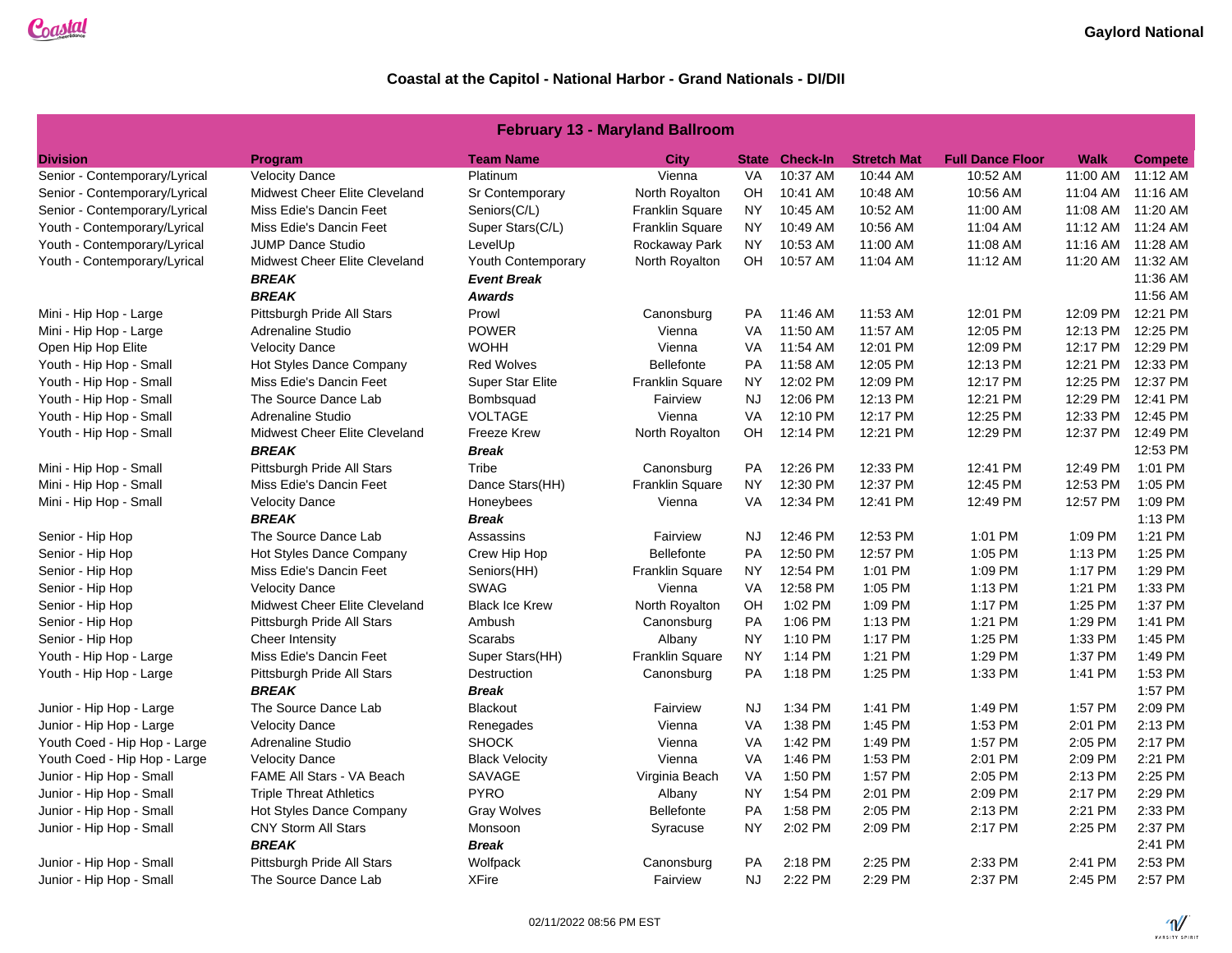### **February 13 - Maryland Ballroom**

| <b>Division</b>               | Program                        | <b>Team Name</b>      | <b>City</b>            |           | <b>State Check-In</b> | <b>Stretch Mat</b> | <b>Full Dance Floor</b> | Walk               | <b>Compete</b>     |
|-------------------------------|--------------------------------|-----------------------|------------------------|-----------|-----------------------|--------------------|-------------------------|--------------------|--------------------|
| Senior - Contemporary/Lyrical | <b>Velocity Dance</b>          | Platinum              | Vienna                 | <b>VA</b> | 10:37 AM              | 10:44 AM           | 10:52 AM                | 11:00 AM           | $11:12$ AM         |
| Senior - Contemporary/Lyrical | Midwest Cheer Elite Cleveland  | Sr Contemporary       | North Royalton         | OH        | 10:41 AM              | 10:48 AM           | 10:56 AM                |                    | 11:04 AM 11:16 AM  |
| Senior - Contemporary/Lyrical | Miss Edie's Dancin Feet        | Seniors(C/L)          | <b>Franklin Square</b> | <b>NY</b> | 10:45 AM              | 10:52 AM           | 11:00 AM                |                    | 11:08 AM  11:20 AM |
| Youth - Contemporary/Lyrical  | Miss Edie's Dancin Feet        | Super Stars(C/L)      | Franklin Square        | NY        | 10:49 AM              | 10:56 AM           | 11:04 AM                |                    | 11:12 AM 11:24 AM  |
| Youth - Contemporary/Lyrical  | <b>JUMP Dance Studio</b>       | LevelUp               | Rockaway Park          | <b>NY</b> | 10:53 AM              | 11:00 AM           | 11:08 AM                | 11:16 AM  11:28 AM |                    |
| Youth - Contemporary/Lyrical  | Midwest Cheer Elite Cleveland  | Youth Contemporary    | North Royalton         | OH        | 10:57 AM              | 11:04 AM           | 11:12 AM                |                    | 11:20 AM 11:32 AM  |
|                               | <b>BREAK</b>                   | <b>Event Break</b>    |                        |           |                       |                    |                         |                    | 11:36 AM           |
|                               | <b>BREAK</b>                   | <b>Awards</b>         |                        |           |                       |                    |                         |                    | 11:56 AM           |
| Mini - Hip Hop - Large        | Pittsburgh Pride All Stars     | Prowl                 | Canonsburg             | <b>PA</b> | 11:46 AM              | 11:53 AM           | 12:01 PM                |                    | 12:09 PM 12:21 PM  |
| Mini - Hip Hop - Large        | Adrenaline Studio              | <b>POWER</b>          | Vienna                 | VA        | 11:50 AM              | 11:57 AM           | 12:05 PM                | 12:13 PM           | 12:25 PM           |
| Open Hip Hop Elite            | <b>Velocity Dance</b>          | <b>WOHH</b>           | Vienna                 | <b>VA</b> | 11:54 AM              | 12:01 PM           | 12:09 PM                | 12:17 PM           | 12:29 PM           |
| Youth - Hip Hop - Small       | Hot Styles Dance Company       | <b>Red Wolves</b>     | <b>Bellefonte</b>      | <b>PA</b> | 11:58 AM              | 12:05 PM           | 12:13 PM                |                    | 12:21 PM 12:33 PM  |
| Youth - Hip Hop - Small       | Miss Edie's Dancin Feet        | Super Star Elite      | Franklin Square        | <b>NY</b> | 12:02 PM              | 12:09 PM           | 12:17 PM                | 12:25 PM           | 12:37 PM           |
| Youth - Hip Hop - Small       | The Source Dance Lab           | Bombsquad             | Fairview               | <b>NJ</b> | 12:06 PM              | 12:13 PM           | 12:21 PM                | 12:29 PM           | 12:41 PM           |
| Youth - Hip Hop - Small       | <b>Adrenaline Studio</b>       | <b>VOLTAGE</b>        | Vienna                 | <b>VA</b> | 12:10 PM              | 12:17 PM           | 12:25 PM                | 12:33 PM           | 12:45 PM           |
| Youth - Hip Hop - Small       | Midwest Cheer Elite Cleveland  | <b>Freeze Krew</b>    | North Royalton         | OH.       | 12:14 PM              | 12:21 PM           | 12:29 PM                |                    | 12:37 PM 12:49 PM  |
|                               | <b>BREAK</b>                   | <b>Break</b>          |                        |           |                       |                    |                         |                    | 12:53 PM           |
| Mini - Hip Hop - Small        | Pittsburgh Pride All Stars     | Tribe                 | Canonsburg             | <b>PA</b> | 12:26 PM              | 12:33 PM           | 12:41 PM                | 12:49 PM           | 1:01 PM            |
| Mini - Hip Hop - Small        | Miss Edie's Dancin Feet        | Dance Stars(HH)       | Franklin Square        | <b>NY</b> | 12:30 PM              | 12:37 PM           | 12:45 PM                | 12:53 PM           | 1:05 PM            |
| Mini - Hip Hop - Small        | <b>Velocity Dance</b>          | Honeybees             | Vienna                 | <b>VA</b> | 12:34 PM              | 12:41 PM           | 12:49 PM                | 12:57 PM           | 1:09 PM            |
|                               | <b>BREAK</b>                   | <b>Break</b>          |                        |           |                       |                    |                         |                    | 1:13 PM            |
| Senior - Hip Hop              | The Source Dance Lab           | Assassins             | Fairview               | <b>NJ</b> | 12:46 PM              | 12:53 PM           | 1:01 PM                 | 1:09 PM            | 1:21 PM            |
| Senior - Hip Hop              | Hot Styles Dance Company       | Crew Hip Hop          | <b>Bellefonte</b>      | <b>PA</b> | 12:50 PM              | 12:57 PM           | 1:05 PM                 | 1:13 PM            | 1:25 PM            |
| Senior - Hip Hop              | Miss Edie's Dancin Feet        | Seniors(HH)           | Franklin Square        | <b>NY</b> | 12:54 PM              | 1:01 PM            | 1:09 PM                 | 1:17 PM            | 1:29 PM            |
| Senior - Hip Hop              | <b>Velocity Dance</b>          | <b>SWAG</b>           | Vienna                 | VA        | 12:58 PM              | 1:05 PM            | 1:13 PM                 | 1:21 PM            | 1:33 PM            |
| Senior - Hip Hop              | Midwest Cheer Elite Cleveland  | <b>Black Ice Krew</b> | North Royalton         | OH        | 1:02 PM               | 1:09 PM            | 1:17 PM                 | 1:25 PM            | 1:37 PM            |
| Senior - Hip Hop              | Pittsburgh Pride All Stars     | Ambush                | Canonsburg             | PA        | 1:06 PM               | 1:13 PM            | 1:21 PM                 | 1:29 PM            | 1:41 PM            |
| Senior - Hip Hop              | Cheer Intensity                | <b>Scarabs</b>        | Albany                 | <b>NY</b> | 1:10 PM               | 1:17 PM            | 1:25 PM                 | 1:33 PM            | 1:45 PM            |
| Youth - Hip Hop - Large       | Miss Edie's Dancin Feet        | Super Stars(HH)       | Franklin Square        | NY        | 1:14 PM               | 1:21 PM            | 1:29 PM                 | 1:37 PM            | 1:49 PM            |
| Youth - Hip Hop - Large       | Pittsburgh Pride All Stars     | Destruction           | Canonsburg             | <b>PA</b> | 1:18 PM               | 1:25 PM            | 1:33 PM                 | 1:41 PM            | 1:53 PM            |
|                               | <b>BREAK</b>                   | <b>Break</b>          |                        |           |                       |                    |                         |                    | 1:57 PM            |
| Junior - Hip Hop - Large      | The Source Dance Lab           | <b>Blackout</b>       | Fairview               | <b>NJ</b> | 1:34 PM               | 1:41 PM            | 1:49 PM                 | 1:57 PM            | 2:09 PM            |
| Junior - Hip Hop - Large      | <b>Velocity Dance</b>          | Renegades             | Vienna                 | <b>VA</b> | 1:38 PM               | 1:45 PM            | 1:53 PM                 | 2:01 PM            | 2:13 PM            |
| Youth Coed - Hip Hop - Large  | Adrenaline Studio              | <b>SHOCK</b>          | Vienna                 | VA        | 1:42 PM               | 1:49 PM            | 1:57 PM                 | 2:05 PM            | 2:17 PM            |
| Youth Coed - Hip Hop - Large  | <b>Velocity Dance</b>          | <b>Black Velocity</b> | Vienna                 | VA        | 1:46 PM               | 1:53 PM            | 2:01 PM                 | 2:09 PM            | 2:21 PM            |
| Junior - Hip Hop - Small      | FAME All Stars - VA Beach      | SAVAGE                | Virginia Beach         | VA        | 1:50 PM               | 1:57 PM            | 2:05 PM                 | 2:13 PM            | 2:25 PM            |
| Junior - Hip Hop - Small      | <b>Triple Threat Athletics</b> | <b>PYRO</b>           | Albany                 | <b>NY</b> | 1:54 PM               | 2:01 PM            | 2:09 PM                 | 2:17 PM            | 2:29 PM            |
| Junior - Hip Hop - Small      | Hot Styles Dance Company       | <b>Gray Wolves</b>    | <b>Bellefonte</b>      | PA        | 1:58 PM               | 2:05 PM            | 2:13 PM                 | 2:21 PM            | 2:33 PM            |
| Junior - Hip Hop - Small      | <b>CNY Storm All Stars</b>     | Monsoon               | Syracuse               | <b>NY</b> | 2:02 PM               | 2:09 PM            | 2:17 PM                 | 2:25 PM            | 2:37 PM            |
|                               | <b>BREAK</b>                   | <b>Break</b>          |                        |           |                       |                    |                         |                    | 2:41 PM            |
| Junior - Hip Hop - Small      | Pittsburgh Pride All Stars     | Wolfpack              | Canonsburg             | <b>PA</b> | 2:18 PM               | 2:25 PM            | 2:33 PM                 | 2:41 PM            | 2:53 PM            |
| Junior - Hip Hop - Small      | The Source Dance Lab           | <b>XFire</b>          | Fairview               | <b>NJ</b> | 2:22 PM               | 2:29 PM            | 2:37 PM                 | 2:45 PM            | 2:57 PM            |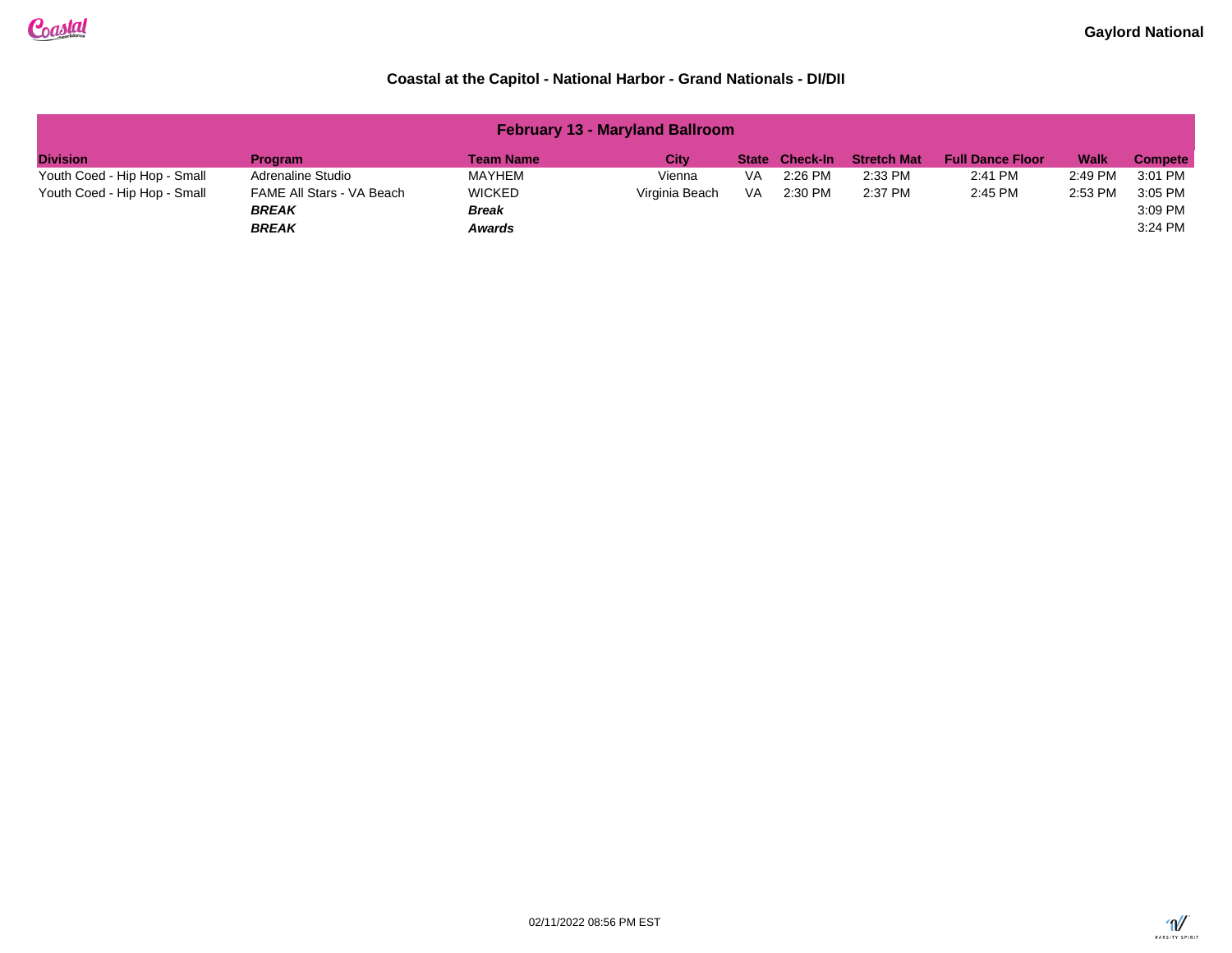| <b>February 13 - Maryland Ballroom</b> |                                                           |                                                |                |    |                       |                    |                         |             |                               |  |
|----------------------------------------|-----------------------------------------------------------|------------------------------------------------|----------------|----|-----------------------|--------------------|-------------------------|-------------|-------------------------------|--|
| <b>Division</b>                        | <b>Program</b>                                            | <b>Team Name</b>                               | City           |    | <b>State Check-In</b> | <b>Stretch Mat</b> | <b>Full Dance Floor</b> | <b>Walk</b> | <b>Compete</b>                |  |
| Youth Coed - Hip Hop - Small           | Adrenaline Studio                                         | MAYHEM                                         | Vienna         | VA | 2:26 PM               | 2:33 PM            | 2:41 PM                 | 2:49 PM     | 3:01 PM                       |  |
| Youth Coed - Hip Hop - Small           | FAME All Stars - VA Beach<br><b>BREAK</b><br><b>BREAK</b> | <b>WICKED</b><br><b>Break</b><br><b>Awards</b> | Virginia Beach | VA | 2:30 PM               | 2:37 PM            | 2:45 PM                 | 2:53 PM     | 3:05 PM<br>3:09 PM<br>3:24 PM |  |

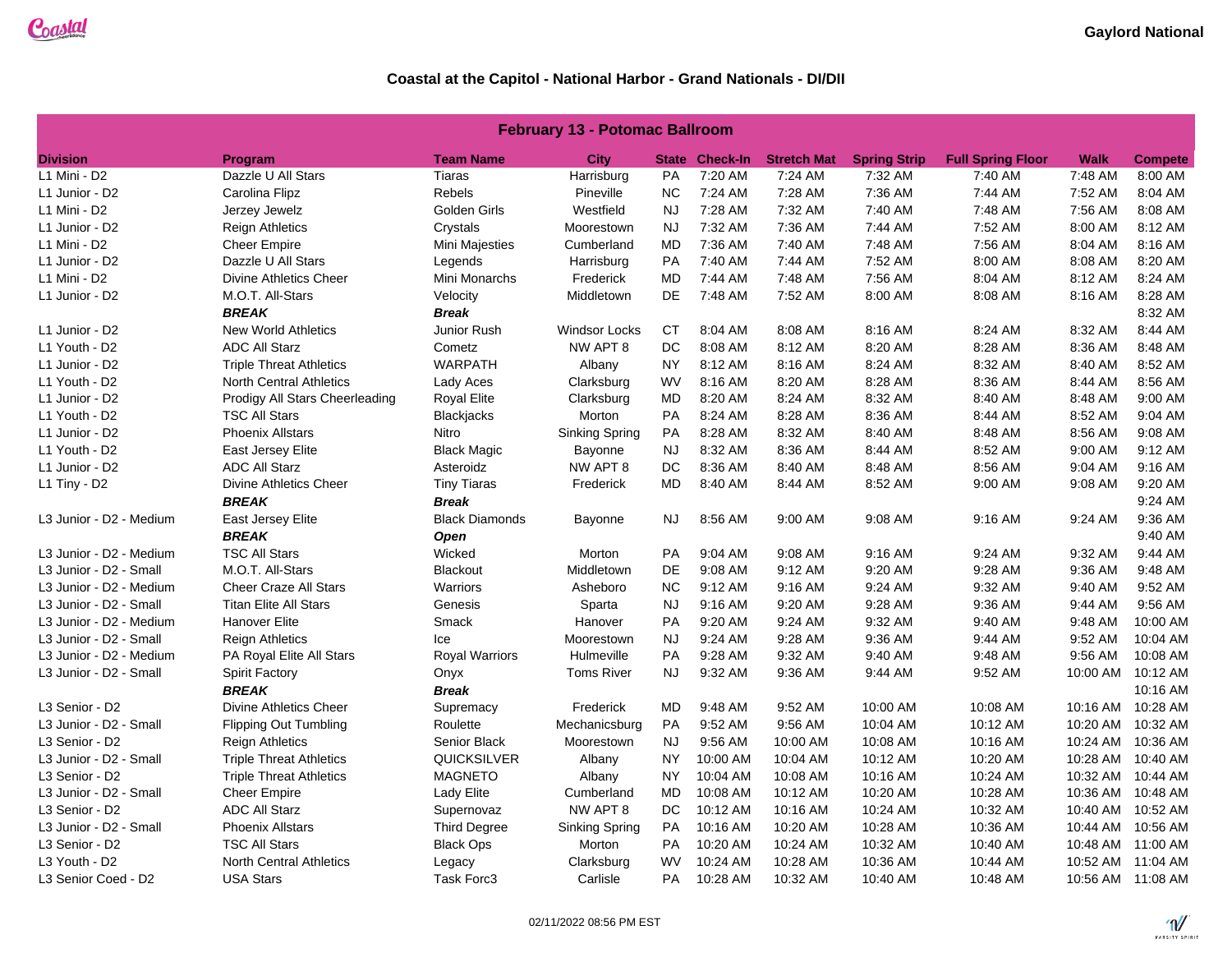| <b>February 13 - Potomac Ballroom</b> |                                |                       |                       |           |                       |                    |                     |                          |             |                   |
|---------------------------------------|--------------------------------|-----------------------|-----------------------|-----------|-----------------------|--------------------|---------------------|--------------------------|-------------|-------------------|
| <b>Division</b>                       | Program                        | <b>Team Name</b>      | <b>City</b>           |           | <b>State Check-In</b> | <b>Stretch Mat</b> | <b>Spring Strip</b> | <b>Full Spring Floor</b> | <b>Walk</b> | <b>Compete</b>    |
| L1 Mini - D2                          | Dazzle U All Stars             | Tiaras                | Harrisburg            | PA        | 7:20 AM               | 7:24 AM            | 7:32 AM             | 7:40 AM                  | 7:48 AM     | 8:00 AM           |
| L1 Junior - D2                        | Carolina Flipz                 | Rebels                | Pineville             | <b>NC</b> | 7:24 AM               | 7:28 AM            | 7:36 AM             | 7:44 AM                  | 7:52 AM     | 8:04 AM           |
| L1 Mini - D2                          | Jerzey Jewelz                  | Golden Girls          | Westfield             | <b>NJ</b> | 7:28 AM               | 7:32 AM            | 7:40 AM             | 7:48 AM                  | 7:56 AM     | 8:08 AM           |
| L1 Junior - D2                        | <b>Reign Athletics</b>         | Crystals              | Moorestown            | <b>NJ</b> | 7:32 AM               | 7:36 AM            | 7:44 AM             | 7:52 AM                  | 8:00 AM     | 8:12 AM           |
| L1 Mini - D2                          | <b>Cheer Empire</b>            | Mini Majesties        | Cumberland            | MD        | 7:36 AM               | 7:40 AM            | 7:48 AM             | 7:56 AM                  | 8:04 AM     | 8:16 AM           |
| L1 Junior - D2                        | Dazzle U All Stars             | Legends               | Harrisburg            | <b>PA</b> | 7:40 AM               | 7:44 AM            | 7:52 AM             | 8:00 AM                  | 8:08 AM     | 8:20 AM           |
| L1 Mini - D2                          | Divine Athletics Cheer         | Mini Monarchs         | Frederick             | MD.       | 7:44 AM               | 7:48 AM            | 7:56 AM             | 8:04 AM                  | 8:12 AM     | 8:24 AM           |
| L1 Junior - D2                        | M.O.T. All-Stars               | Velocity              | Middletown            | <b>DE</b> | 7:48 AM               | 7:52 AM            | 8:00 AM             | 8:08 AM                  | 8:16 AM     | 8:28 AM           |
|                                       | <b>BREAK</b>                   | <b>Break</b>          |                       |           |                       |                    |                     |                          |             | 8:32 AM           |
| L1 Junior - D2                        | <b>New World Athletics</b>     | Junior Rush           | <b>Windsor Locks</b>  | CT        | 8:04 AM               | 8:08 AM            | 8:16 AM             | 8:24 AM                  | 8:32 AM     | 8:44 AM           |
| L1 Youth - D2                         | <b>ADC All Starz</b>           | Cometz                | NW APT 8              | DC        | 8:08 AM               | 8:12 AM            | 8:20 AM             | 8:28 AM                  | 8:36 AM     | 8:48 AM           |
| L1 Junior - D2                        | <b>Triple Threat Athletics</b> | <b>WARPATH</b>        | Albany                | <b>NY</b> | 8:12 AM               | 8:16 AM            | 8:24 AM             | 8:32 AM                  | 8:40 AM     | 8:52 AM           |
| L1 Youth - D2                         | <b>North Central Athletics</b> | Lady Aces             | Clarksburg            | <b>WV</b> | 8:16 AM               | 8:20 AM            | 8:28 AM             | 8:36 AM                  | 8:44 AM     | 8:56 AM           |
| L1 Junior - D2                        | Prodigy All Stars Cheerleading | <b>Royal Elite</b>    | Clarksburg            | <b>MD</b> | 8:20 AM               | 8:24 AM            | 8:32 AM             | 8:40 AM                  | 8:48 AM     | 9:00 AM           |
| L1 Youth - D2                         | <b>TSC All Stars</b>           | Blackjacks            | Morton                | <b>PA</b> | 8:24 AM               | 8:28 AM            | 8:36 AM             | 8:44 AM                  | 8:52 AM     | 9:04 AM           |
| L1 Junior - D2                        | <b>Phoenix Allstars</b>        | Nitro                 | Sinking Spring        | <b>PA</b> | 8:28 AM               | 8:32 AM            | 8:40 AM             | 8:48 AM                  | 8:56 AM     | 9:08 AM           |
| L1 Youth - D2                         | East Jersey Elite              | <b>Black Magic</b>    | Bayonne               | <b>NJ</b> | 8:32 AM               | 8:36 AM            | 8:44 AM             | 8:52 AM                  | 9:00 AM     | 9:12 AM           |
| L1 Junior - D2                        | <b>ADC All Starz</b>           | Asteroidz             | NW APT 8              | DC        | 8:36 AM               | 8:40 AM            | 8:48 AM             | 8:56 AM                  | 9:04 AM     | 9:16 AM           |
| $L1$ Tiny - D2                        | Divine Athletics Cheer         | <b>Tiny Tiaras</b>    | Frederick             | MD        | 8:40 AM               | 8:44 AM            | 8:52 AM             | 9:00 AM                  | 9:08 AM     | 9:20 AM           |
|                                       | <b>BREAK</b>                   | <b>Break</b>          |                       |           |                       |                    |                     |                          |             | 9:24 AM           |
| L3 Junior - D2 - Medium               | East Jersey Elite              | <b>Black Diamonds</b> | Bayonne               | NJ.       | 8:56 AM               | 9:00 AM            | 9:08 AM             | $9:16$ AM                | 9:24 AM     | 9:36 AM           |
|                                       | <b>BREAK</b>                   | Open                  |                       |           |                       |                    |                     |                          |             | 9:40 AM           |
| L3 Junior - D2 - Medium               | <b>TSC All Stars</b>           | Wicked                | Morton                | <b>PA</b> | 9:04 AM               | 9:08 AM            | 9:16 AM             | 9:24 AM                  | 9:32 AM     | 9:44 AM           |
| L3 Junior - D2 - Small                | M.O.T. All-Stars               | <b>Blackout</b>       | Middletown            | DE        | 9:08 AM               | 9:12 AM            | 9:20 AM             | 9:28 AM                  | 9:36 AM     | 9:48 AM           |
| L3 Junior - D2 - Medium               | <b>Cheer Craze All Stars</b>   | Warriors              | Asheboro              | <b>NC</b> | 9:12 AM               | 9:16 AM            | 9:24 AM             | 9:32 AM                  | 9:40 AM     | 9:52 AM           |
| L3 Junior - D2 - Small                | <b>Titan Elite All Stars</b>   | Genesis               | Sparta                | <b>NJ</b> | 9:16 AM               | 9:20 AM            | 9:28 AM             | 9:36 AM                  | 9:44 AM     | 9:56 AM           |
| L3 Junior - D2 - Medium               | <b>Hanover Elite</b>           | Smack                 | Hanover               | <b>PA</b> | 9:20 AM               | 9:24 AM            | 9:32 AM             | 9:40 AM                  | 9:48 AM     | 10:00 AM          |
| L3 Junior - D2 - Small                | <b>Reign Athletics</b>         | Ice                   | Moorestown            | <b>NJ</b> | 9:24 AM               | 9:28 AM            | 9:36 AM             | 9:44 AM                  | 9:52 AM     | 10:04 AM          |
| L3 Junior - D2 - Medium               | PA Royal Elite All Stars       | <b>Royal Warriors</b> | Hulmeville            | PA        | 9:28 AM               | 9:32 AM            | 9:40 AM             | 9:48 AM                  | 9:56 AM     | 10:08 AM          |
| L3 Junior - D2 - Small                | <b>Spirit Factory</b>          | Onyx                  | <b>Toms River</b>     | <b>NJ</b> | 9:32 AM               | 9:36 AM            | 9:44 AM             | 9:52 AM                  | 10:00 AM    | 10:12 AM          |
|                                       | <b>BREAK</b>                   | <b>Break</b>          |                       |           |                       |                    |                     |                          |             | 10:16 AM          |
| L3 Senior - D2                        | Divine Athletics Cheer         | Supremacy             | Frederick             | MD.       | 9:48 AM               | 9:52 AM            | 10:00 AM            | 10:08 AM                 |             | 10:16 AM 10:28 AM |
| L3 Junior - D2 - Small                | <b>Flipping Out Tumbling</b>   | Roulette              | Mechanicsburg         | PA        | 9:52 AM               | 9:56 AM            | 10:04 AM            | 10:12 AM                 | 10:20 AM    | 10:32 AM          |
| L3 Senior - D2                        | <b>Reign Athletics</b>         | Senior Black          | Moorestown            | <b>NJ</b> | 9:56 AM               | 10:00 AM           | 10:08 AM            | 10:16 AM                 |             | 10:24 AM 10:36 AM |
| L3 Junior - D2 - Small                | <b>Triple Threat Athletics</b> | <b>QUICKSILVER</b>    | Albany                | <b>NY</b> | 10:00 AM              | 10:04 AM           | 10:12 AM            | 10:20 AM                 |             | 10:28 AM 10:40 AM |
| L3 Senior - D2                        | <b>Triple Threat Athletics</b> | <b>MAGNETO</b>        | Albany                | <b>NY</b> | 10:04 AM              | 10:08 AM           | 10:16 AM            | 10:24 AM                 | 10:32 AM    | 10:44 AM          |
| L3 Junior - D2 - Small                | <b>Cheer Empire</b>            | Lady Elite            | Cumberland            | MD.       | 10:08 AM              | 10:12 AM           | 10:20 AM            | 10:28 AM                 | 10:36 AM    | 10:48 AM          |
| L3 Senior - D2                        | <b>ADC All Starz</b>           | Supernovaz            | NW APT 8              | DC        | 10:12 AM              | 10:16 AM           | 10:24 AM            | 10:32 AM                 |             | 10:40 AM 10:52 AM |
| L3 Junior - D2 - Small                | <b>Phoenix Allstars</b>        | <b>Third Degree</b>   | <b>Sinking Spring</b> | <b>PA</b> | 10:16 AM              | 10:20 AM           | 10:28 AM            | 10:36 AM                 | 10:44 AM    | 10:56 AM          |
| L3 Senior - D2                        | <b>TSC All Stars</b>           | <b>Black Ops</b>      | Morton                | <b>PA</b> | 10:20 AM              | 10:24 AM           | 10:32 AM            | 10:40 AM                 |             | 10:48 AM 11:00 AM |
| L3 Youth - D2                         | <b>North Central Athletics</b> | Legacy                | Clarksburg            | WV        | 10:24 AM              | 10:28 AM           | 10:36 AM            | 10:44 AM                 |             | 10:52 AM 11:04 AM |
| L3 Senior Coed - D2                   | <b>USA Stars</b>               | Task Forc3            | Carlisle              | PA        | 10:28 AM              | 10:32 AM           | 10:40 AM            | 10:48 AM                 |             | 10:56 AM 11:08 AM |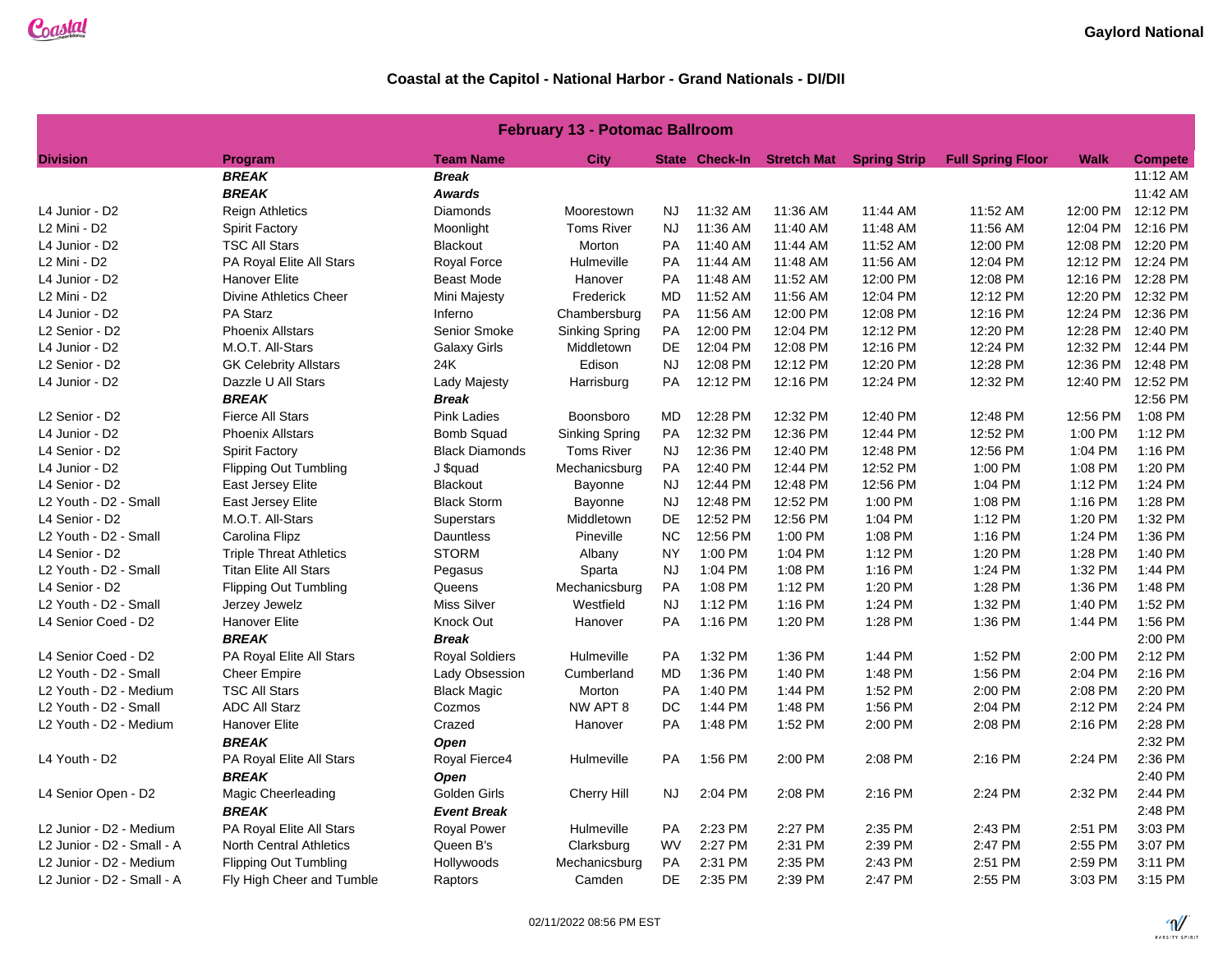| <b>February 13 - Potomac Ballroom</b> |                                |                       |                       |           |                       |          |                                 |                          |             |                   |  |
|---------------------------------------|--------------------------------|-----------------------|-----------------------|-----------|-----------------------|----------|---------------------------------|--------------------------|-------------|-------------------|--|
| <b>Division</b>                       | Program                        | <b>Team Name</b>      | <b>City</b>           |           | <b>State Check-In</b> |          | <b>Stretch Mat Spring Strip</b> | <b>Full Spring Floor</b> | <b>Walk</b> | <b>Compete</b>    |  |
|                                       | <b>BREAK</b>                   | <b>Break</b>          |                       |           |                       |          |                                 |                          |             | 11:12 AM          |  |
|                                       | <b>BREAK</b>                   | <b>Awards</b>         |                       |           |                       |          |                                 |                          |             | 11:42 AM          |  |
| L4 Junior - D2                        | <b>Reign Athletics</b>         | Diamonds              | Moorestown            | <b>NJ</b> | 11:32 AM              | 11:36 AM | 11:44 AM                        | 11:52 AM                 | 12:00 PM    | 12:12 PM          |  |
| L2 Mini - D2                          | <b>Spirit Factory</b>          | Moonlight             | <b>Toms River</b>     | <b>NJ</b> | 11:36 AM              | 11:40 AM | 11:48 AM                        | 11:56 AM                 | 12:04 PM    | 12:16 PM          |  |
| L4 Junior - D2                        | <b>TSC All Stars</b>           | <b>Blackout</b>       | Morton                | PA        | 11:40 AM              | 11:44 AM | 11:52 AM                        | 12:00 PM                 |             | 12:08 PM 12:20 PM |  |
| L2 Mini - D2                          | PA Royal Elite All Stars       | Royal Force           | Hulmeville            | PA        | 11:44 AM              | 11:48 AM | 11:56 AM                        | 12:04 PM                 | 12:12 PM    | 12:24 PM          |  |
| L4 Junior - D2                        | <b>Hanover Elite</b>           | <b>Beast Mode</b>     | Hanover               | <b>PA</b> | 11:48 AM              | 11:52 AM | 12:00 PM                        | 12:08 PM                 | 12:16 PM    | 12:28 PM          |  |
| L <sub>2</sub> Mini - D <sub>2</sub>  | <b>Divine Athletics Cheer</b>  | Mini Majesty          | Frederick             | MD        | 11:52 AM              | 11:56 AM | 12:04 PM                        | 12:12 PM                 |             | 12:20 PM 12:32 PM |  |
| L4 Junior - D2                        | PA Starz                       | Inferno               | Chambersburg          | PA        | 11:56 AM              | 12:00 PM | 12:08 PM                        | 12:16 PM                 | 12:24 PM    | 12:36 PM          |  |
| L2 Senior - D2                        | <b>Phoenix Allstars</b>        | Senior Smoke          | <b>Sinking Spring</b> | PA        | 12:00 PM              | 12:04 PM | 12:12 PM                        | 12:20 PM                 | 12:28 PM    | 12:40 PM          |  |
| L4 Junior - D2                        | M.O.T. All-Stars               | <b>Galaxy Girls</b>   | Middletown            | DE        | 12:04 PM              | 12:08 PM | 12:16 PM                        | 12:24 PM                 |             | 12:32 PM 12:44 PM |  |
| L2 Senior - D2                        | <b>GK Celebrity Allstars</b>   | 24K                   | Edison                | <b>NJ</b> | 12:08 PM              | 12:12 PM | 12:20 PM                        | 12:28 PM                 | 12:36 PM    | 12:48 PM          |  |
| L4 Junior - D2                        | Dazzle U All Stars             | Lady Majesty          | Harrisburg            | <b>PA</b> | 12:12 PM              | 12:16 PM | 12:24 PM                        | 12:32 PM                 | 12:40 PM    | 12:52 PM          |  |
|                                       | <b>BREAK</b>                   | <b>Break</b>          |                       |           |                       |          |                                 |                          |             | 12:56 PM          |  |
| L2 Senior - D2                        | <b>Fierce All Stars</b>        | <b>Pink Ladies</b>    | Boonsboro             | MD        | 12:28 PM              | 12:32 PM | 12:40 PM                        | 12:48 PM                 | 12:56 PM    | 1:08 PM           |  |
| L4 Junior - D2                        | <b>Phoenix Allstars</b>        | <b>Bomb Squad</b>     | <b>Sinking Spring</b> | PA        | 12:32 PM              | 12:36 PM | 12:44 PM                        | 12:52 PM                 | 1:00 PM     | 1:12 PM           |  |
| L4 Senior - D2                        | <b>Spirit Factory</b>          | <b>Black Diamonds</b> | <b>Toms River</b>     | <b>NJ</b> | 12:36 PM              | 12:40 PM | 12:48 PM                        | 12:56 PM                 | 1:04 PM     | 1:16 PM           |  |
| L4 Junior - D2                        | Flipping Out Tumbling          | J \$quad              | Mechanicsburg         | <b>PA</b> | 12:40 PM              | 12:44 PM | 12:52 PM                        | 1:00 PM                  | 1:08 PM     | 1:20 PM           |  |
| L4 Senior - D2                        | East Jersey Elite              | <b>Blackout</b>       | Bayonne               | NJ.       | 12:44 PM              | 12:48 PM | 12:56 PM                        | 1:04 PM                  | 1:12 PM     | 1:24 PM           |  |
| L2 Youth - D2 - Small                 | East Jersey Elite              | <b>Black Storm</b>    | Bayonne               | <b>NJ</b> | 12:48 PM              | 12:52 PM | 1:00 PM                         | 1:08 PM                  | 1:16 PM     | 1:28 PM           |  |
| L4 Senior - D2                        | M.O.T. All-Stars               | Superstars            | Middletown            | DE        | 12:52 PM              | 12:56 PM | 1:04 PM                         | 1:12 PM                  | 1:20 PM     | 1:32 PM           |  |
| L2 Youth - D2 - Small                 | Carolina Flipz                 | Dauntless             | Pineville             | NC.       | 12:56 PM              | 1:00 PM  | 1:08 PM                         | 1:16 PM                  | 1:24 PM     | 1:36 PM           |  |
| L4 Senior - D2                        | <b>Triple Threat Athletics</b> | <b>STORM</b>          | Albany                | <b>NY</b> | 1:00 PM               | 1:04 PM  | 1:12 PM                         | 1:20 PM                  | 1:28 PM     | 1:40 PM           |  |
| L2 Youth - D2 - Small                 | <b>Titan Elite All Stars</b>   | Pegasus               | Sparta                | <b>NJ</b> | 1:04 PM               | 1:08 PM  | 1:16 PM                         | 1:24 PM                  | 1:32 PM     | 1:44 PM           |  |
| L4 Senior - D2                        | <b>Flipping Out Tumbling</b>   | Queens                | Mechanicsburg         | PA        | 1:08 PM               | 1:12 PM  | 1:20 PM                         | 1:28 PM                  | 1:36 PM     | 1:48 PM           |  |
| L2 Youth - D2 - Small                 | Jerzey Jewelz                  | <b>Miss Silver</b>    | Westfield             | <b>NJ</b> | 1:12 PM               | 1:16 PM  | 1:24 PM                         | 1:32 PM                  | 1:40 PM     | 1:52 PM           |  |
| L4 Senior Coed - D2                   | <b>Hanover Elite</b>           | Knock Out             | Hanover               | PA        | 1:16 PM               | 1:20 PM  | 1:28 PM                         | 1:36 PM                  | 1:44 PM     | 1:56 PM           |  |
|                                       | <b>BREAK</b>                   | <b>Break</b>          |                       |           |                       |          |                                 |                          |             | 2:00 PM           |  |
| L4 Senior Coed - D2                   | PA Royal Elite All Stars       | <b>Royal Soldiers</b> | Hulmeville            | PA        | 1:32 PM               | 1:36 PM  | 1:44 PM                         | 1:52 PM                  | 2:00 PM     | 2:12 PM           |  |
| L2 Youth - D2 - Small                 | <b>Cheer Empire</b>            | Lady Obsession        | Cumberland            | MD        | 1:36 PM               | 1:40 PM  | 1:48 PM                         | 1:56 PM                  | 2:04 PM     | 2:16 PM           |  |
| L2 Youth - D2 - Medium                | <b>TSC All Stars</b>           | <b>Black Magic</b>    | Morton                | PA        | 1:40 PM               | 1:44 PM  | 1:52 PM                         | 2:00 PM                  | 2:08 PM     | 2:20 PM           |  |
| L2 Youth - D2 - Small                 | <b>ADC All Starz</b>           | Cozmos                | NW APT 8              | DC        | 1:44 PM               | 1:48 PM  | 1:56 PM                         | 2:04 PM                  | 2:12 PM     | 2:24 PM           |  |
| L2 Youth - D2 - Medium                | <b>Hanover Elite</b>           | Crazed                | Hanover               | PA        | 1:48 PM               | 1:52 PM  | 2:00 PM                         | 2:08 PM                  | 2:16 PM     | 2:28 PM           |  |
|                                       | <b>BREAK</b>                   | Open                  |                       |           |                       |          |                                 |                          |             | 2:32 PM           |  |
| L4 Youth - D2                         | PA Royal Elite All Stars       | Royal Fierce4         | Hulmeville            | <b>PA</b> | 1:56 PM               | 2:00 PM  | 2:08 PM                         | 2:16 PM                  | 2:24 PM     | 2:36 PM           |  |
|                                       | <b>BREAK</b>                   | <b>Open</b>           |                       |           |                       |          |                                 |                          |             | 2:40 PM           |  |
| L4 Senior Open - D2                   | Magic Cheerleading             | Golden Girls          | Cherry Hill           | <b>NJ</b> | 2:04 PM               | 2:08 PM  | 2:16 PM                         | 2:24 PM                  | 2:32 PM     | 2:44 PM           |  |
|                                       | <b>BREAK</b>                   | <b>Event Break</b>    |                       |           |                       |          |                                 |                          |             | 2:48 PM           |  |
| L2 Junior - D2 - Medium               | PA Royal Elite All Stars       | <b>Royal Power</b>    | Hulmeville            | PA        | 2:23 PM               | 2:27 PM  | 2:35 PM                         | 2:43 PM                  | 2:51 PM     | 3:03 PM           |  |
| L2 Junior - D2 - Small - A            | <b>North Central Athletics</b> | Queen B's             | Clarksburg            | <b>WV</b> | 2:27 PM               | 2:31 PM  | 2:39 PM                         | 2:47 PM                  | 2:55 PM     | 3:07 PM           |  |
| L2 Junior - D2 - Medium               | <b>Flipping Out Tumbling</b>   | Hollywoods            | Mechanicsburg         | PA        | 2:31 PM               | 2:35 PM  | 2:43 PM                         | 2:51 PM                  | 2:59 PM     | 3:11 PM           |  |
| L2 Junior - D2 - Small - A            | Fly High Cheer and Tumble      | Raptors               | Camden                | DE        | 2:35 PM               | 2:39 PM  | 2:47 PM                         | 2:55 PM                  | 3:03 PM     | 3:15 PM           |  |